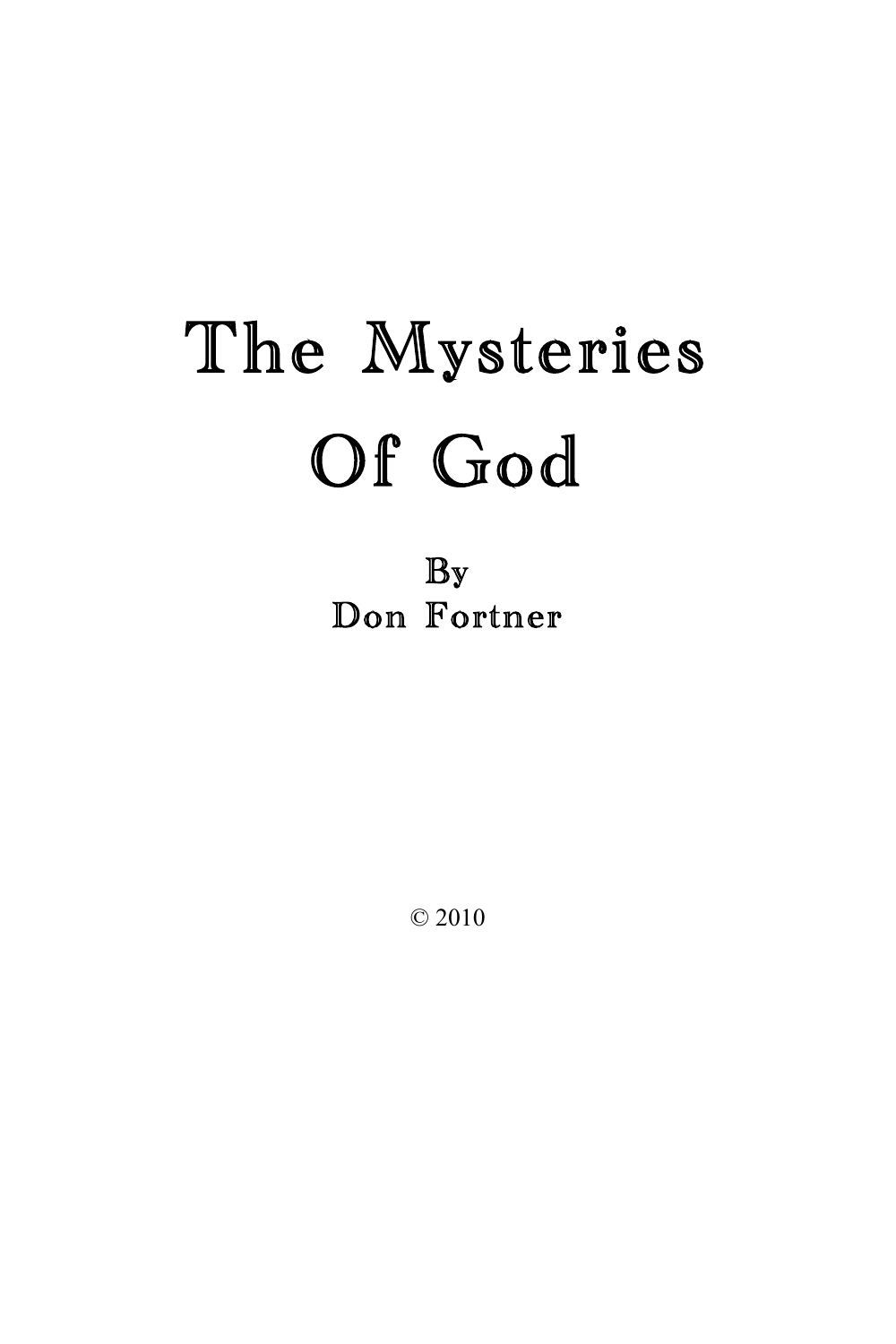# The Mysteries Of God

By Don Fortner

© 2010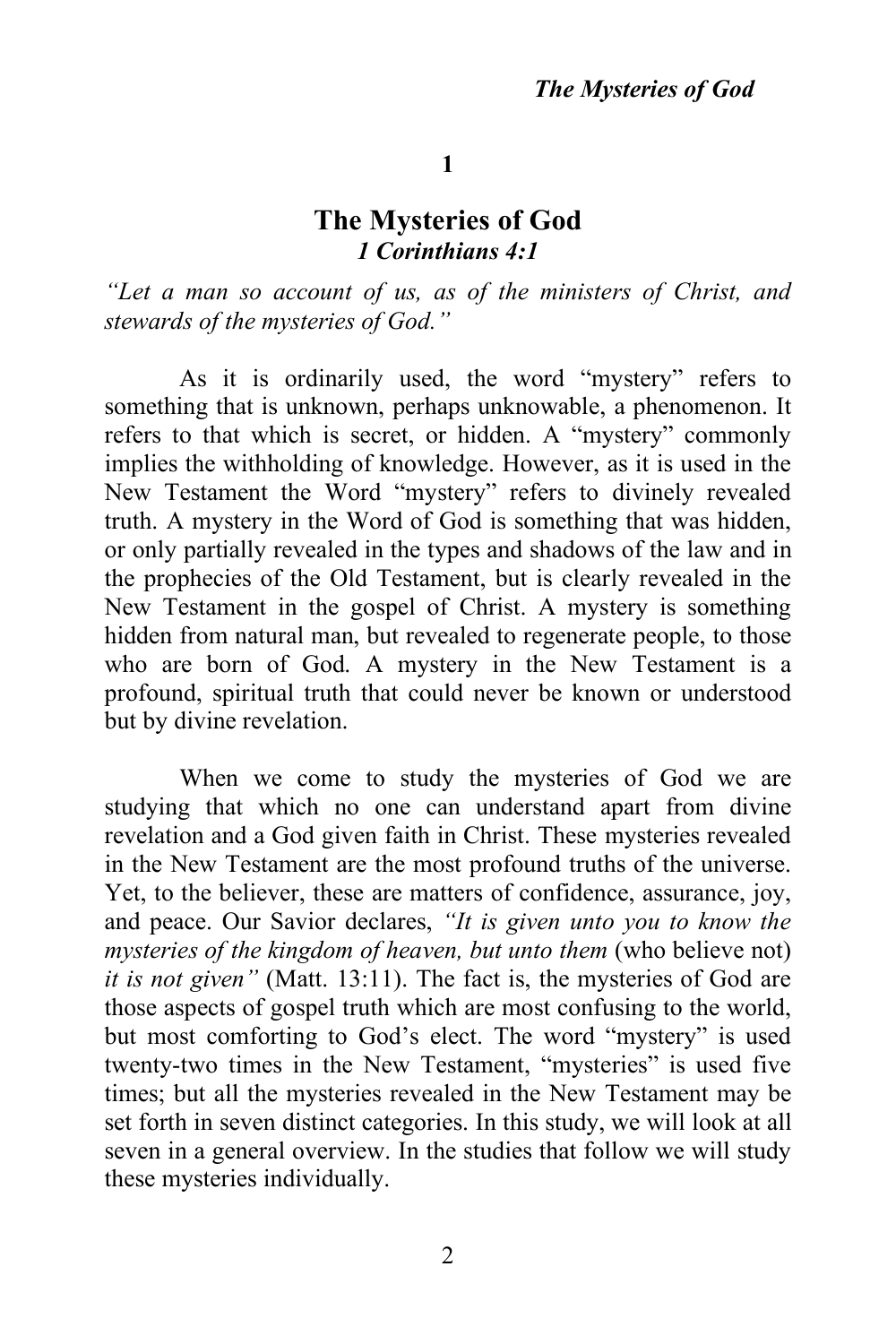**1**

## **The Mysteries of God** *1 Corinthians 4:1*

*"Let a man so account of us, as of the ministers of Christ, and stewards of the mysteries of God."*

As it is ordinarily used, the word "mystery" refers to something that is unknown, perhaps unknowable, a phenomenon. It refers to that which is secret, or hidden. A "mystery" commonly implies the withholding of knowledge. However, as it is used in the New Testament the Word "mystery" refers to divinely revealed truth. A mystery in the Word of God is something that was hidden, or only partially revealed in the types and shadows of the law and in the prophecies of the Old Testament, but is clearly revealed in the New Testament in the gospel of Christ. A mystery is something hidden from natural man, but revealed to regenerate people, to those who are born of God. A mystery in the New Testament is a profound, spiritual truth that could never be known or understood but by divine revelation.

When we come to study the mysteries of God we are studying that which no one can understand apart from divine revelation and a God given faith in Christ. These mysteries revealed in the New Testament are the most profound truths of the universe. Yet, to the believer, these are matters of confidence, assurance, joy, and peace. Our Savior declares, *"It is given unto you to know the mysteries of the kingdom of heaven, but unto them* (who believe not) *it is not given"* (Matt. 13:11). The fact is, the mysteries of God are those aspects of gospel truth which are most confusing to the world, but most comforting to God's elect. The word "mystery" is used twenty-two times in the New Testament, "mysteries" is used five times; but all the mysteries revealed in the New Testament may be set forth in seven distinct categories. In this study, we will look at all seven in a general overview. In the studies that follow we will study these mysteries individually.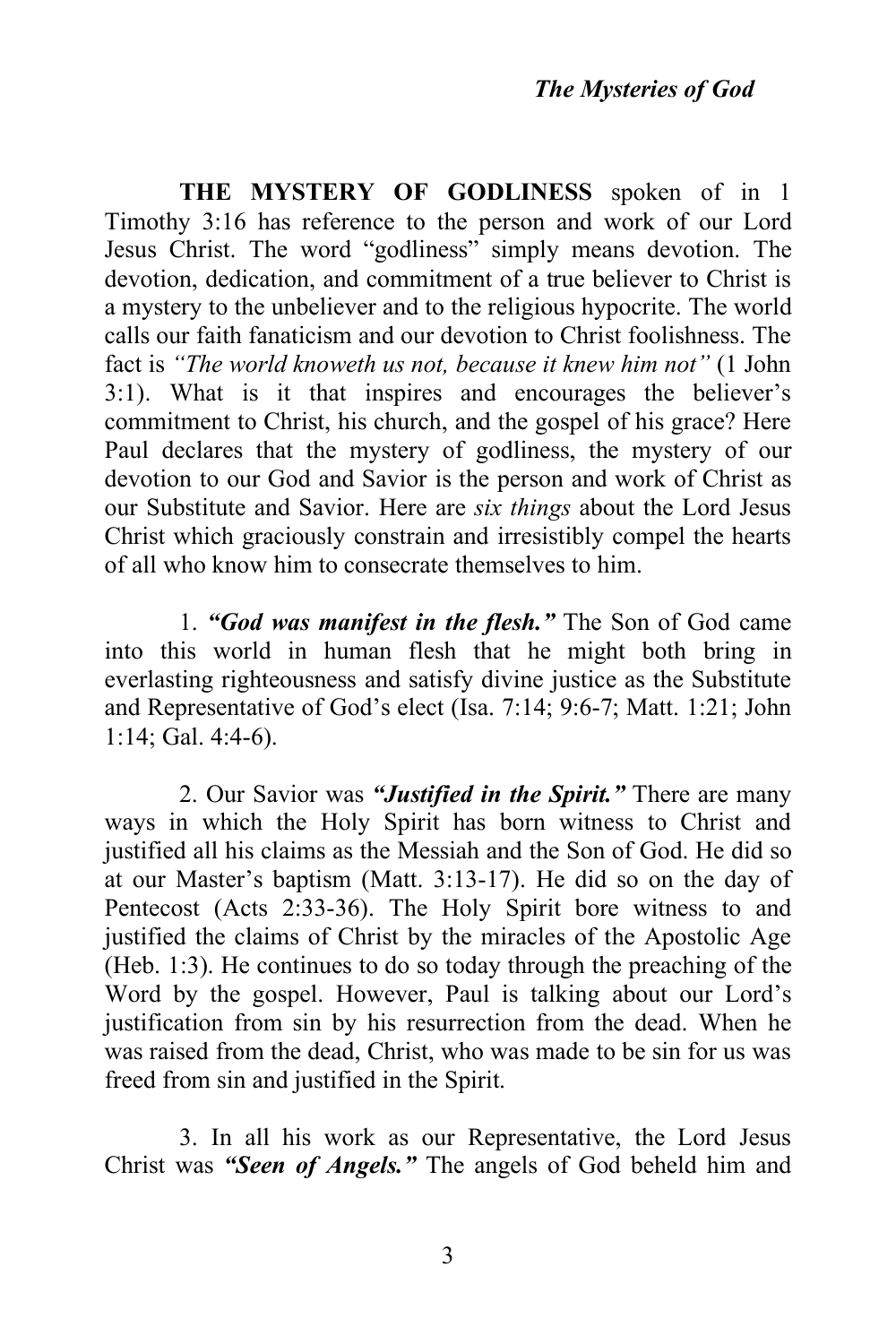**THE MYSTERY OF GODLINESS** spoken of in 1 Timothy 3:16 has reference to the person and work of our Lord Jesus Christ. The word "godliness" simply means devotion. The devotion, dedication, and commitment of a true believer to Christ is a mystery to the unbeliever and to the religious hypocrite. The world calls our faith fanaticism and our devotion to Christ foolishness. The fact is *"The world knoweth us not, because it knew him not"* (1 John 3:1). What is it that inspires and encourages the believer's commitment to Christ, his church, and the gospel of his grace? Here Paul declares that the mystery of godliness, the mystery of our devotion to our God and Savior is the person and work of Christ as our Substitute and Savior. Here are *six things* about the Lord Jesus Christ which graciously constrain and irresistibly compel the hearts of all who know him to consecrate themselves to him.

1. *"God was manifest in the flesh."* The Son of God came into this world in human flesh that he might both bring in everlasting righteousness and satisfy divine justice as the Substitute and Representative of God's elect (Isa. 7:14; 9:6-7; Matt. 1:21; John 1:14; Gal. 4:4-6).

2. Our Savior was *"Justified in the Spirit."* There are many ways in which the Holy Spirit has born witness to Christ and justified all his claims as the Messiah and the Son of God. He did so at our Master's baptism (Matt. 3:13-17). He did so on the day of Pentecost (Acts 2:33-36). The Holy Spirit bore witness to and justified the claims of Christ by the miracles of the Apostolic Age (Heb. 1:3). He continues to do so today through the preaching of the Word by the gospel. However, Paul is talking about our Lord's justification from sin by his resurrection from the dead. When he was raised from the dead, Christ, who was made to be sin for us was freed from sin and justified in the Spirit.

3. In all his work as our Representative, the Lord Jesus Christ was *"Seen of Angels."* The angels of God beheld him and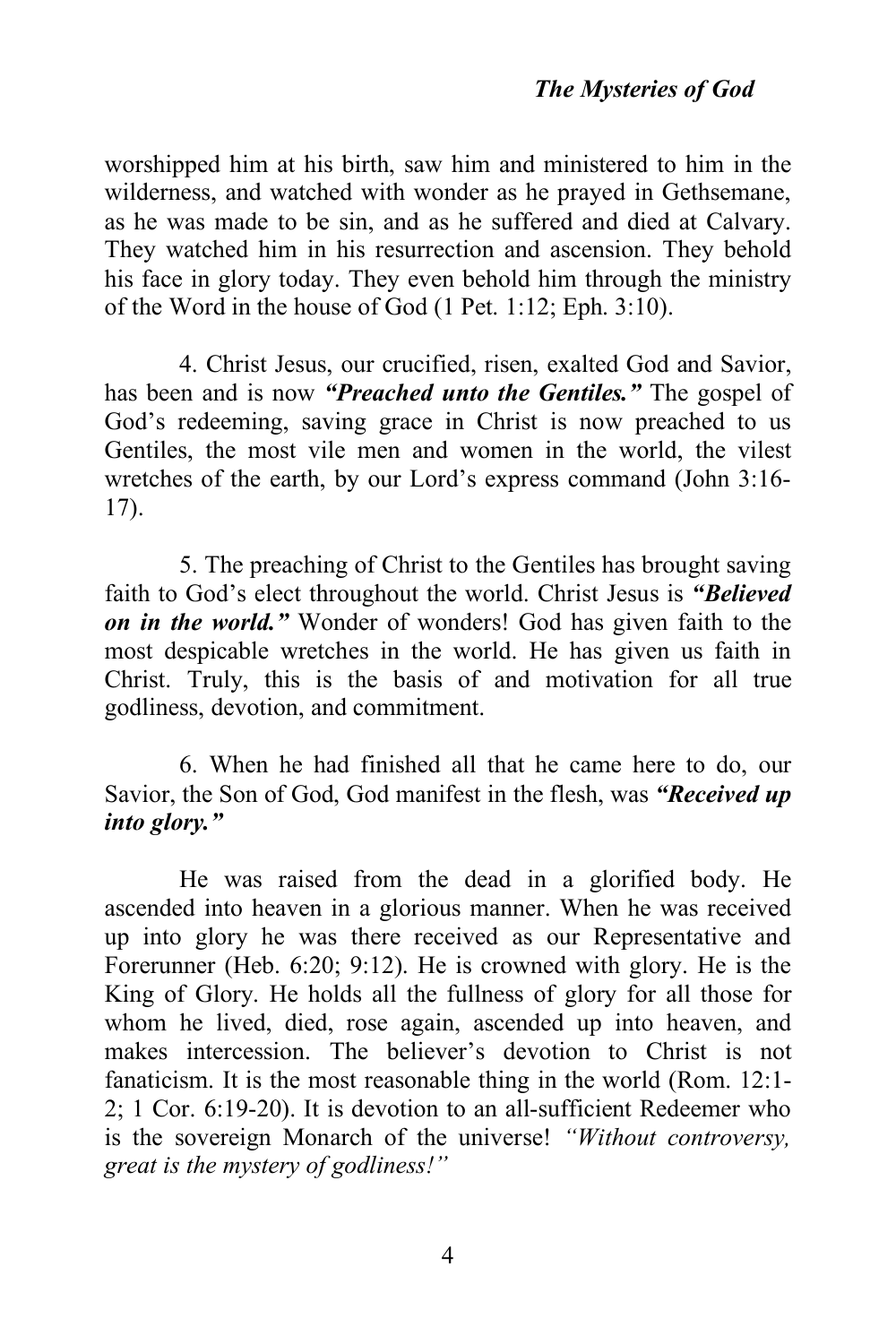## *The Mysteries of God*

worshipped him at his birth, saw him and ministered to him in the wilderness, and watched with wonder as he prayed in Gethsemane, as he was made to be sin, and as he suffered and died at Calvary. They watched him in his resurrection and ascension. They behold his face in glory today. They even behold him through the ministry of the Word in the house of God (1 Pet. 1:12; Eph. 3:10).

4. Christ Jesus, our crucified, risen, exalted God and Savior, has been and is now *"Preached unto the Gentiles."* The gospel of God's redeeming, saving grace in Christ is now preached to us Gentiles, the most vile men and women in the world, the vilest wretches of the earth, by our Lord's express command (John 3:16- 17).

5. The preaching of Christ to the Gentiles has brought saving faith to God's elect throughout the world. Christ Jesus is *"Believed on in the world."* Wonder of wonders! God has given faith to the most despicable wretches in the world. He has given us faith in Christ. Truly, this is the basis of and motivation for all true godliness, devotion, and commitment.

6. When he had finished all that he came here to do, our Savior, the Son of God, God manifest in the flesh, was *"Received up into glory."*

He was raised from the dead in a glorified body. He ascended into heaven in a glorious manner. When he was received up into glory he was there received as our Representative and Forerunner (Heb. 6:20; 9:12). He is crowned with glory. He is the King of Glory. He holds all the fullness of glory for all those for whom he lived, died, rose again, ascended up into heaven, and makes intercession. The believer's devotion to Christ is not fanaticism. It is the most reasonable thing in the world (Rom. 12:1- 2; 1 Cor. 6:19-20). It is devotion to an all-sufficient Redeemer who is the sovereign Monarch of the universe! *"Without controversy, great is the mystery of godliness!"*

4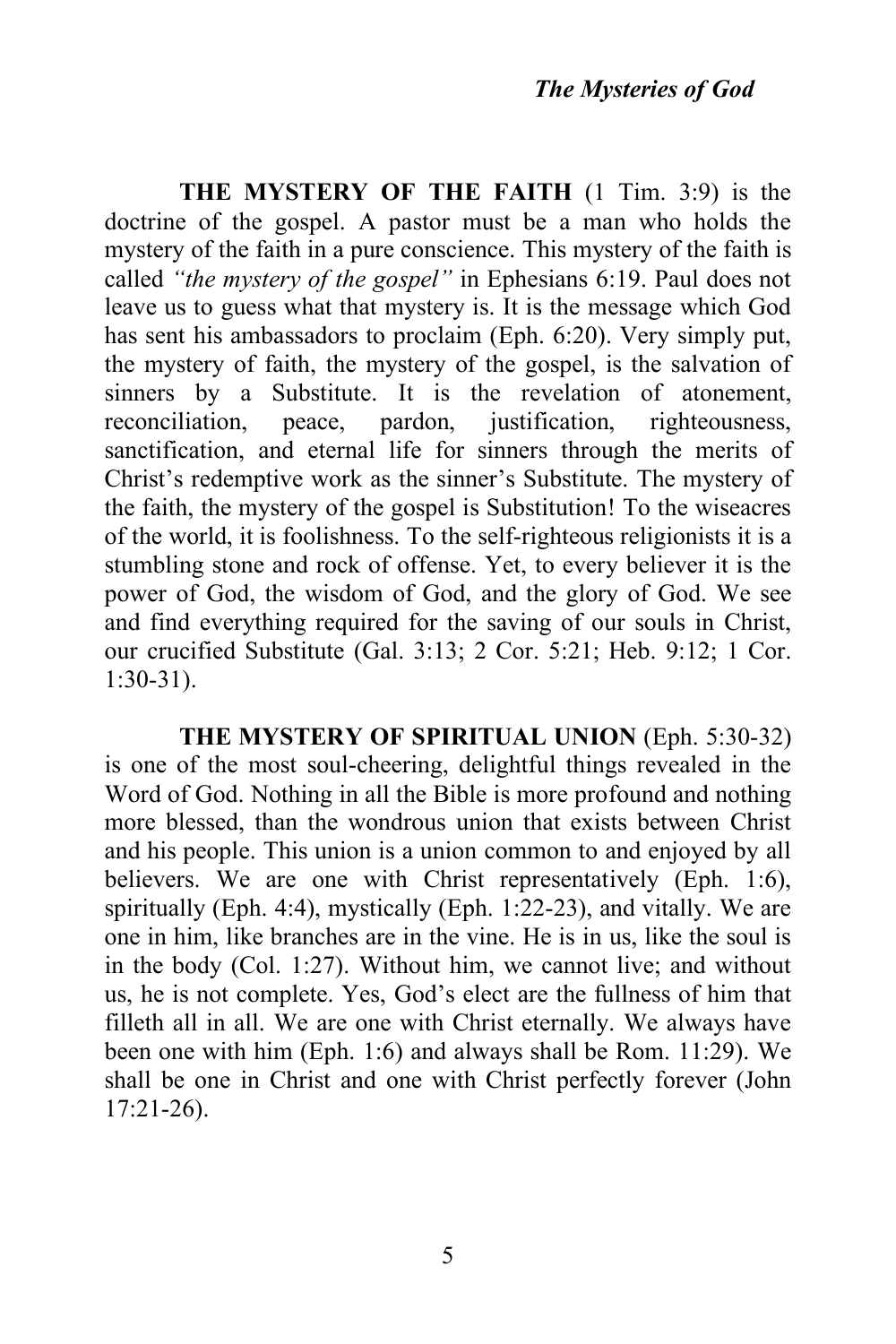**THE MYSTERY OF THE FAITH** (1 Tim. 3:9) is the doctrine of the gospel. A pastor must be a man who holds the mystery of the faith in a pure conscience. This mystery of the faith is called *"the mystery of the gospel"* in Ephesians 6:19. Paul does not leave us to guess what that mystery is. It is the message which God has sent his ambassadors to proclaim (Eph. 6:20). Very simply put, the mystery of faith, the mystery of the gospel, is the salvation of sinners by a Substitute. It is the revelation of atonement, reconciliation, peace, pardon, justification, righteousness, sanctification, and eternal life for sinners through the merits of Christ's redemptive work as the sinner's Substitute. The mystery of the faith, the mystery of the gospel is Substitution! To the wiseacres of the world, it is foolishness. To the self-righteous religionists it is a stumbling stone and rock of offense. Yet, to every believer it is the power of God, the wisdom of God, and the glory of God. We see and find everything required for the saving of our souls in Christ, our crucified Substitute (Gal. 3:13; 2 Cor. 5:21; Heb. 9:12; 1 Cor. 1:30-31).

**THE MYSTERY OF SPIRITUAL UNION** (Eph. 5:30-32) is one of the most soul-cheering, delightful things revealed in the Word of God. Nothing in all the Bible is more profound and nothing more blessed, than the wondrous union that exists between Christ and his people. This union is a union common to and enjoyed by all believers. We are one with Christ representatively (Eph. 1:6), spiritually (Eph. 4:4), mystically (Eph. 1:22-23), and vitally. We are one in him, like branches are in the vine. He is in us, like the soul is in the body (Col. 1:27). Without him, we cannot live; and without us, he is not complete. Yes, God's elect are the fullness of him that filleth all in all. We are one with Christ eternally. We always have been one with him (Eph. 1:6) and always shall be Rom. 11:29). We shall be one in Christ and one with Christ perfectly forever (John 17:21-26).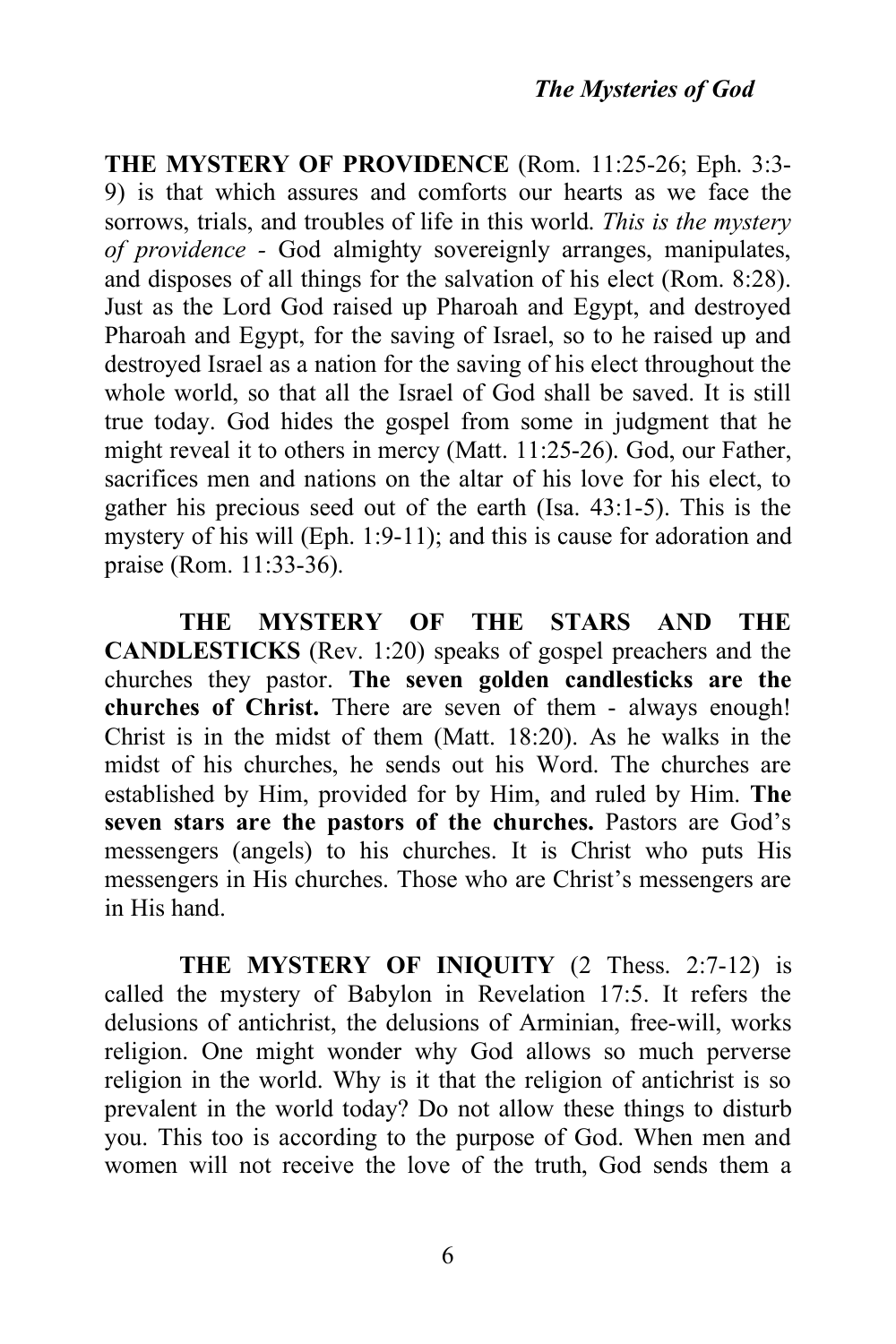**THE MYSTERY OF PROVIDENCE** (Rom. 11:25-26; Eph. 3:3- 9) is that which assures and comforts our hearts as we face the sorrows, trials, and troubles of life in this world. *This is the mystery of providence -* God almighty sovereignly arranges, manipulates, and disposes of all things for the salvation of his elect (Rom. 8:28). Just as the Lord God raised up Pharoah and Egypt, and destroyed Pharoah and Egypt, for the saving of Israel, so to he raised up and destroyed Israel as a nation for the saving of his elect throughout the whole world, so that all the Israel of God shall be saved. It is still true today. God hides the gospel from some in judgment that he might reveal it to others in mercy (Matt. 11:25-26). God, our Father, sacrifices men and nations on the altar of his love for his elect, to gather his precious seed out of the earth (Isa. 43:1-5). This is the mystery of his will (Eph. 1:9-11); and this is cause for adoration and praise (Rom. 11:33-36).

**THE MYSTERY OF THE STARS AND THE CANDLESTICKS** (Rev. 1:20) speaks of gospel preachers and the churches they pastor. **The seven golden candlesticks are the churches of Christ.** There are seven of them - always enough! Christ is in the midst of them (Matt. 18:20). As he walks in the midst of his churches, he sends out his Word. The churches are established by Him, provided for by Him, and ruled by Him. **The seven stars are the pastors of the churches.** Pastors are God's messengers (angels) to his churches. It is Christ who puts His messengers in His churches. Those who are Christ's messengers are in His hand.

**THE MYSTERY OF INIQUITY** (2 Thess. 2:7-12) is called the mystery of Babylon in Revelation 17:5. It refers the delusions of antichrist, the delusions of Arminian, free-will, works religion. One might wonder why God allows so much perverse religion in the world. Why is it that the religion of antichrist is so prevalent in the world today? Do not allow these things to disturb you. This too is according to the purpose of God. When men and women will not receive the love of the truth, God sends them a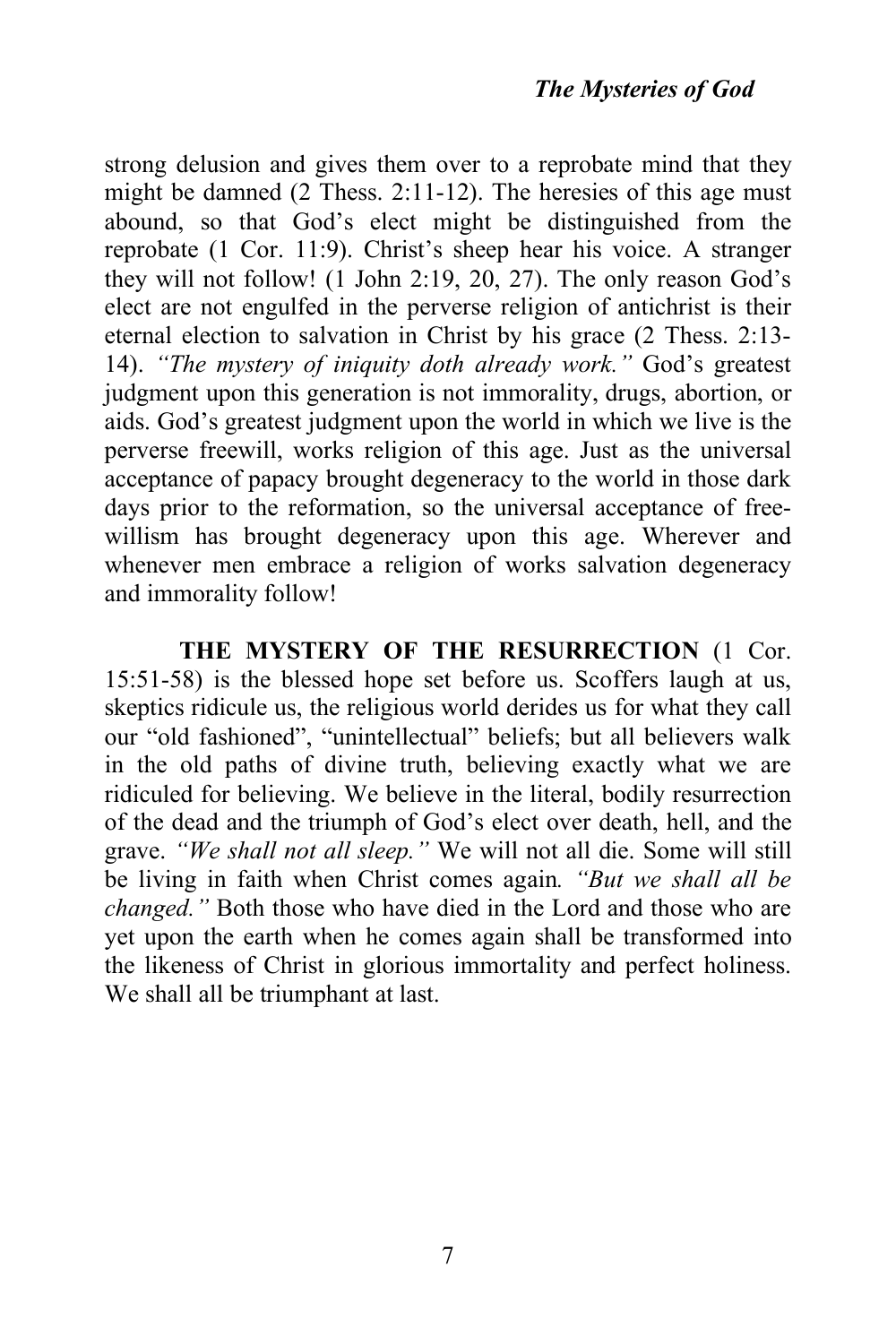strong delusion and gives them over to a reprobate mind that they might be damned (2 Thess. 2:11-12). The heresies of this age must abound, so that God's elect might be distinguished from the reprobate (1 Cor. 11:9). Christ's sheep hear his voice. A stranger they will not follow! (1 John 2:19, 20, 27). The only reason God's elect are not engulfed in the perverse religion of antichrist is their eternal election to salvation in Christ by his grace (2 Thess. 2:13- 14). *"The mystery of iniquity doth already work."* God's greatest judgment upon this generation is not immorality, drugs, abortion, or aids. God's greatest judgment upon the world in which we live is the perverse freewill, works religion of this age. Just as the universal acceptance of papacy brought degeneracy to the world in those dark days prior to the reformation, so the universal acceptance of freewillism has brought degeneracy upon this age. Wherever and whenever men embrace a religion of works salvation degeneracy and immorality follow!

**THE MYSTERY OF THE RESURRECTION** (1 Cor. 15:51-58) is the blessed hope set before us. Scoffers laugh at us, skeptics ridicule us, the religious world derides us for what they call our "old fashioned", "unintellectual" beliefs; but all believers walk in the old paths of divine truth, believing exactly what we are ridiculed for believing. We believe in the literal, bodily resurrection of the dead and the triumph of God's elect over death, hell, and the grave. *"We shall not all sleep."* We will not all die. Some will still be living in faith when Christ comes again*. "But we shall all be changed."* Both those who have died in the Lord and those who are yet upon the earth when he comes again shall be transformed into the likeness of Christ in glorious immortality and perfect holiness. We shall all be triumphant at last.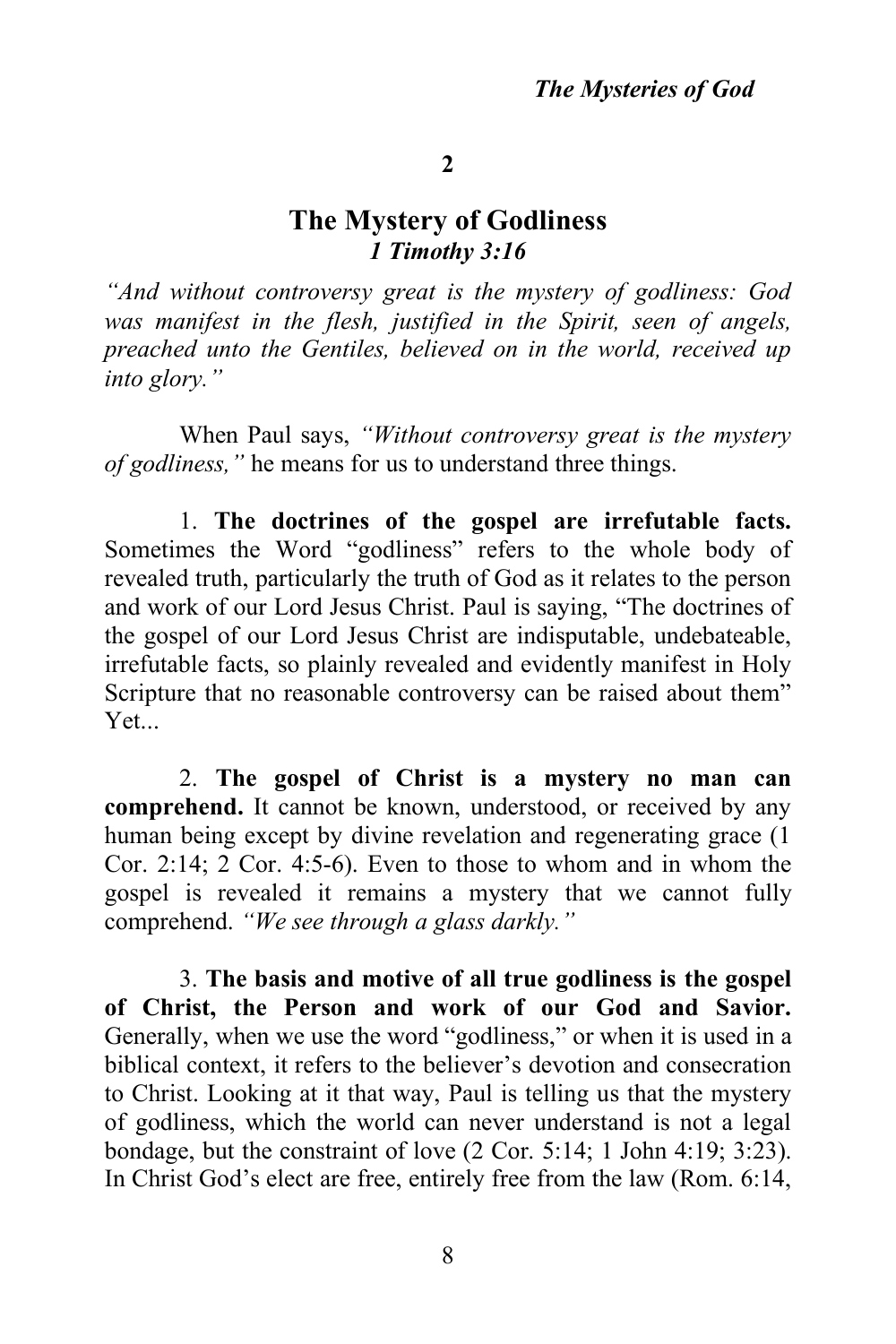#### **2**

## **The Mystery of Godliness** *1 Timothy 3:16*

*"And without controversy great is the mystery of godliness: God was manifest in the flesh, justified in the Spirit, seen of angels, preached unto the Gentiles, believed on in the world, received up into glory."*

When Paul says, *"Without controversy great is the mystery of godliness,"* he means for us to understand three things.

1. **The doctrines of the gospel are irrefutable facts.**  Sometimes the Word "godliness" refers to the whole body of revealed truth, particularly the truth of God as it relates to the person and work of our Lord Jesus Christ. Paul is saying, "The doctrines of the gospel of our Lord Jesus Christ are indisputable, undebateable, irrefutable facts, so plainly revealed and evidently manifest in Holy Scripture that no reasonable controversy can be raised about them" Yet.

2. **The gospel of Christ is a mystery no man can comprehend.** It cannot be known, understood, or received by any human being except by divine revelation and regenerating grace (1 Cor. 2:14; 2 Cor. 4:5-6). Even to those to whom and in whom the gospel is revealed it remains a mystery that we cannot fully comprehend. *"We see through a glass darkly."*

3. **The basis and motive of all true godliness is the gospel of Christ, the Person and work of our God and Savior.**  Generally, when we use the word "godliness," or when it is used in a biblical context, it refers to the believer's devotion and consecration to Christ. Looking at it that way, Paul is telling us that the mystery of godliness, which the world can never understand is not a legal bondage, but the constraint of love (2 Cor. 5:14; 1 John 4:19; 3:23). In Christ God's elect are free, entirely free from the law (Rom. 6:14,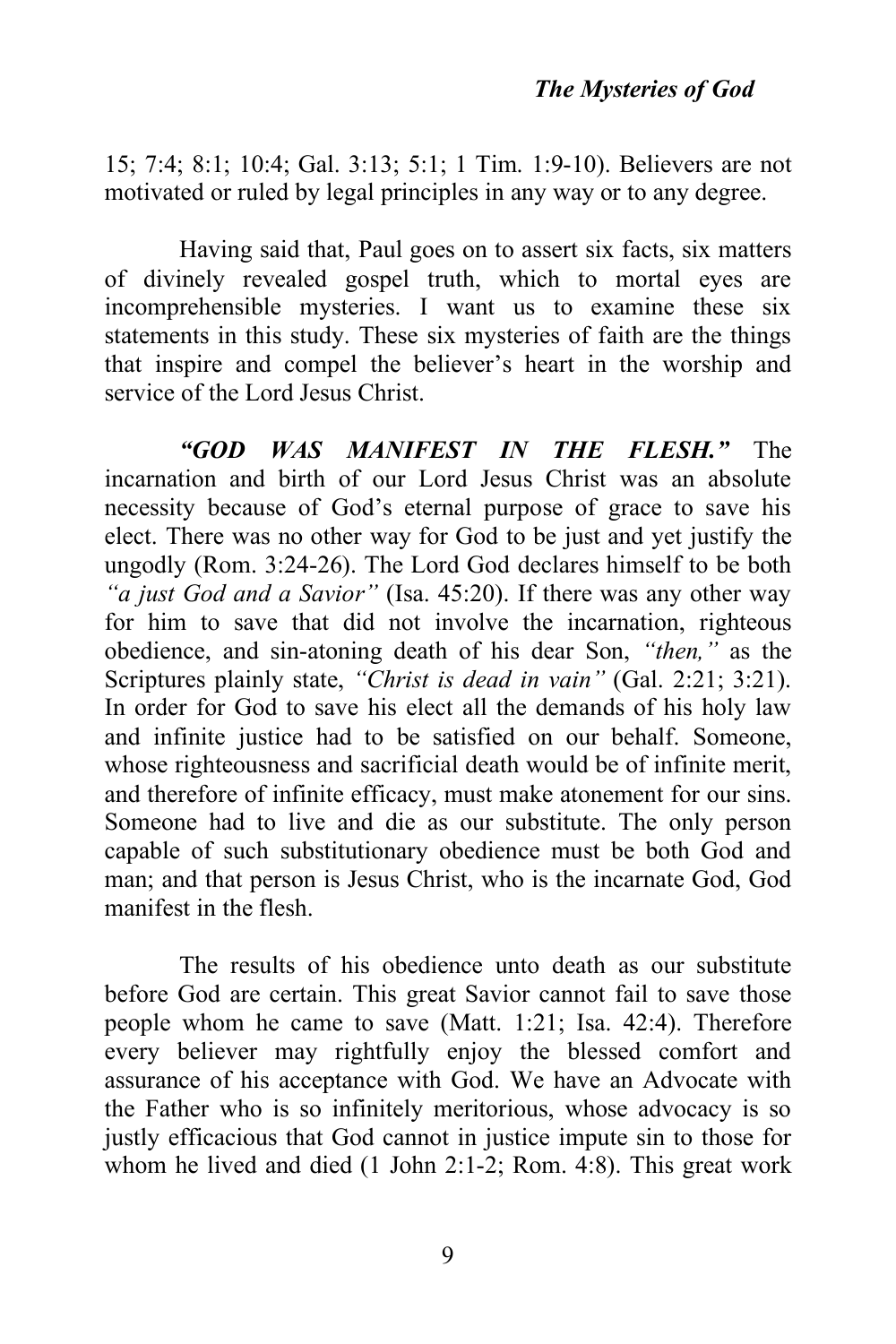15; 7:4; 8:1; 10:4; Gal. 3:13; 5:1; 1 Tim. 1:9-10). Believers are not motivated or ruled by legal principles in any way or to any degree.

Having said that, Paul goes on to assert six facts, six matters of divinely revealed gospel truth, which to mortal eyes are incomprehensible mysteries. I want us to examine these six statements in this study. These six mysteries of faith are the things that inspire and compel the believer's heart in the worship and service of the Lord Jesus Christ.

*"GOD WAS MANIFEST IN THE FLESH."* The incarnation and birth of our Lord Jesus Christ was an absolute necessity because of God's eternal purpose of grace to save his elect. There was no other way for God to be just and yet justify the ungodly (Rom. 3:24-26). The Lord God declares himself to be both *"a just God and a Savior"* (Isa. 45:20). If there was any other way for him to save that did not involve the incarnation, righteous obedience, and sin-atoning death of his dear Son, *"then,"* as the Scriptures plainly state, *"Christ is dead in vain"* (Gal. 2:21; 3:21). In order for God to save his elect all the demands of his holy law and infinite justice had to be satisfied on our behalf. Someone, whose righteousness and sacrificial death would be of infinite merit, and therefore of infinite efficacy, must make atonement for our sins. Someone had to live and die as our substitute. The only person capable of such substitutionary obedience must be both God and man; and that person is Jesus Christ, who is the incarnate God, God manifest in the flesh.

The results of his obedience unto death as our substitute before God are certain. This great Savior cannot fail to save those people whom he came to save (Matt. 1:21; Isa. 42:4). Therefore every believer may rightfully enjoy the blessed comfort and assurance of his acceptance with God. We have an Advocate with the Father who is so infinitely meritorious, whose advocacy is so justly efficacious that God cannot in justice impute sin to those for whom he lived and died (1 John 2:1-2; Rom. 4:8). This great work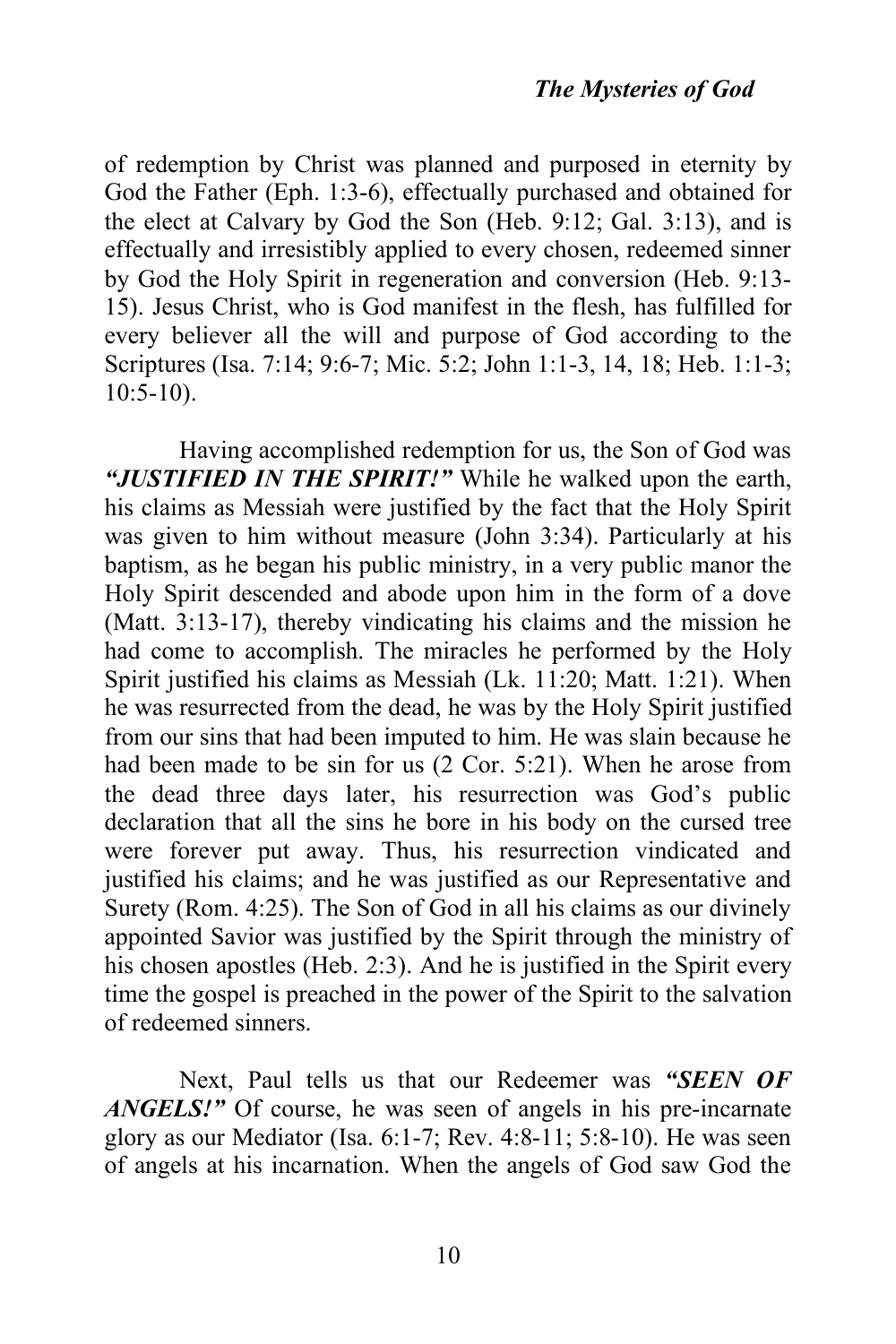of redemption by Christ was planned and purposed in eternity by God the Father (Eph. 1:3-6), effectually purchased and obtained for the elect at Calvary by God the Son (Heb. 9:12; Gal. 3:13), and is effectually and irresistibly applied to every chosen, redeemed sinner by God the Holy Spirit in regeneration and conversion (Heb. 9:13- 15). Jesus Christ, who is God manifest in the flesh, has fulfilled for every believer all the will and purpose of God according to the Scriptures (Isa. 7:14; 9:6-7; Mic. 5:2; John 1:1-3, 14, 18; Heb. 1:1-3; 10:5-10).

Having accomplished redemption for us, the Son of God was *"JUSTIFIED IN THE SPIRIT!"* While he walked upon the earth, his claims as Messiah were justified by the fact that the Holy Spirit was given to him without measure (John 3:34). Particularly at his baptism, as he began his public ministry, in a very public manor the Holy Spirit descended and abode upon him in the form of a dove (Matt. 3:13-17), thereby vindicating his claims and the mission he had come to accomplish. The miracles he performed by the Holy Spirit justified his claims as Messiah (Lk. 11:20; Matt. 1:21). When he was resurrected from the dead, he was by the Holy Spirit justified from our sins that had been imputed to him. He was slain because he had been made to be sin for us (2 Cor. 5:21). When he arose from the dead three days later, his resurrection was God's public declaration that all the sins he bore in his body on the cursed tree were forever put away. Thus, his resurrection vindicated and justified his claims; and he was justified as our Representative and Surety (Rom. 4:25). The Son of God in all his claims as our divinely appointed Savior was justified by the Spirit through the ministry of his chosen apostles (Heb. 2:3). And he is justified in the Spirit every time the gospel is preached in the power of the Spirit to the salvation of redeemed sinners.

Next, Paul tells us that our Redeemer was *"SEEN OF ANGELS!"* Of course, he was seen of angels in his pre-incarnate glory as our Mediator (Isa. 6:1-7; Rev. 4:8-11; 5:8-10). He was seen of angels at his incarnation. When the angels of God saw God the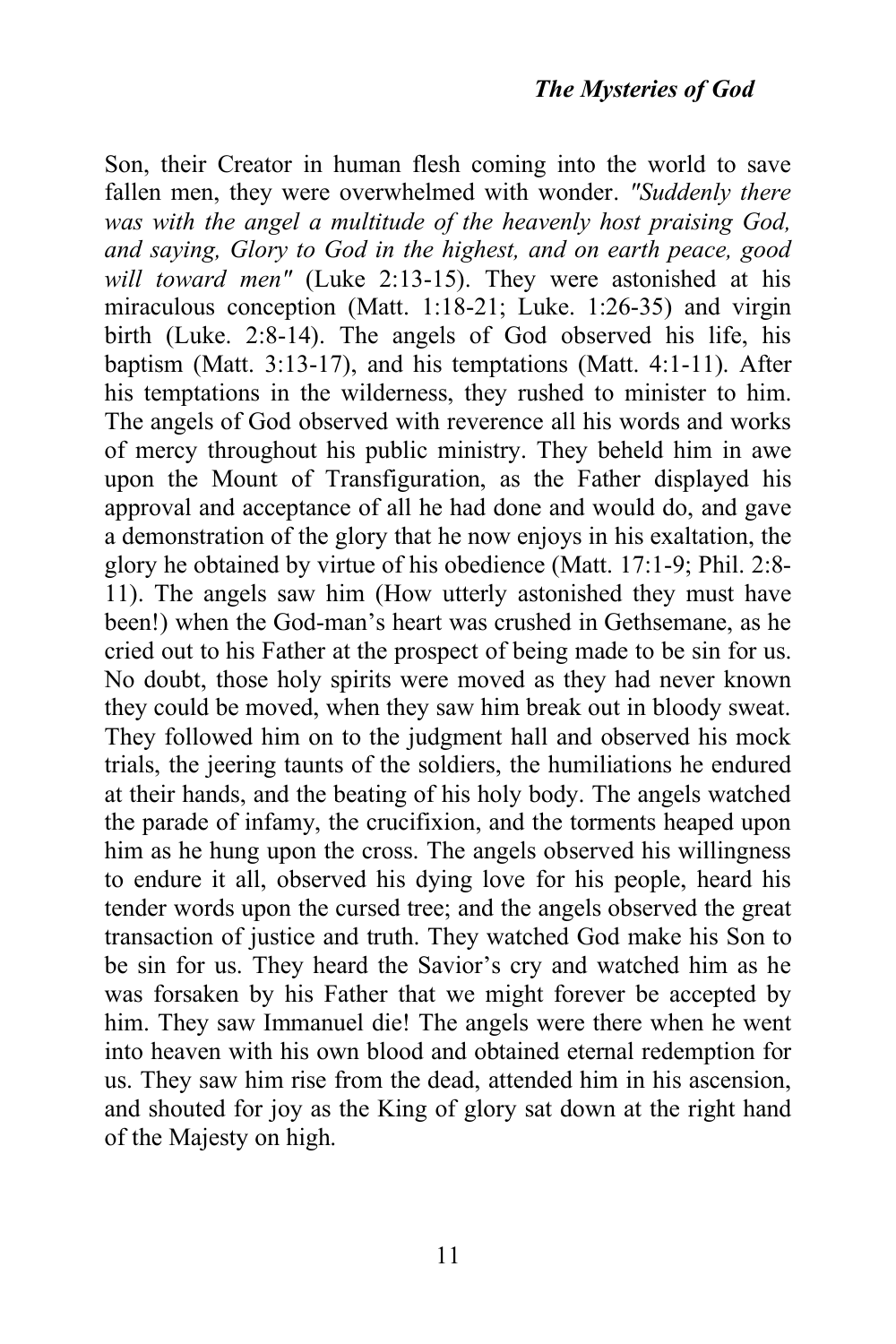Son, their Creator in human flesh coming into the world to save fallen men, they were overwhelmed with wonder. *"Suddenly there was with the angel a multitude of the heavenly host praising God, and saying, Glory to God in the highest, and on earth peace, good will toward men"* (Luke 2:13-15). They were astonished at his miraculous conception (Matt. 1:18-21; Luke. 1:26-35) and virgin birth (Luke. 2:8-14). The angels of God observed his life, his baptism (Matt. 3:13-17), and his temptations (Matt. 4:1-11). After his temptations in the wilderness, they rushed to minister to him. The angels of God observed with reverence all his words and works of mercy throughout his public ministry. They beheld him in awe upon the Mount of Transfiguration, as the Father displayed his approval and acceptance of all he had done and would do, and gave a demonstration of the glory that he now enjoys in his exaltation, the glory he obtained by virtue of his obedience (Matt. 17:1-9; Phil. 2:8- 11). The angels saw him (How utterly astonished they must have been!) when the God-man's heart was crushed in Gethsemane, as he cried out to his Father at the prospect of being made to be sin for us. No doubt, those holy spirits were moved as they had never known they could be moved, when they saw him break out in bloody sweat. They followed him on to the judgment hall and observed his mock trials, the jeering taunts of the soldiers, the humiliations he endured at their hands, and the beating of his holy body. The angels watched the parade of infamy, the crucifixion, and the torments heaped upon him as he hung upon the cross. The angels observed his willingness to endure it all, observed his dying love for his people, heard his tender words upon the cursed tree; and the angels observed the great transaction of justice and truth. They watched God make his Son to be sin for us. They heard the Savior's cry and watched him as he was forsaken by his Father that we might forever be accepted by him. They saw Immanuel die! The angels were there when he went into heaven with his own blood and obtained eternal redemption for us. They saw him rise from the dead, attended him in his ascension, and shouted for joy as the King of glory sat down at the right hand of the Majesty on high.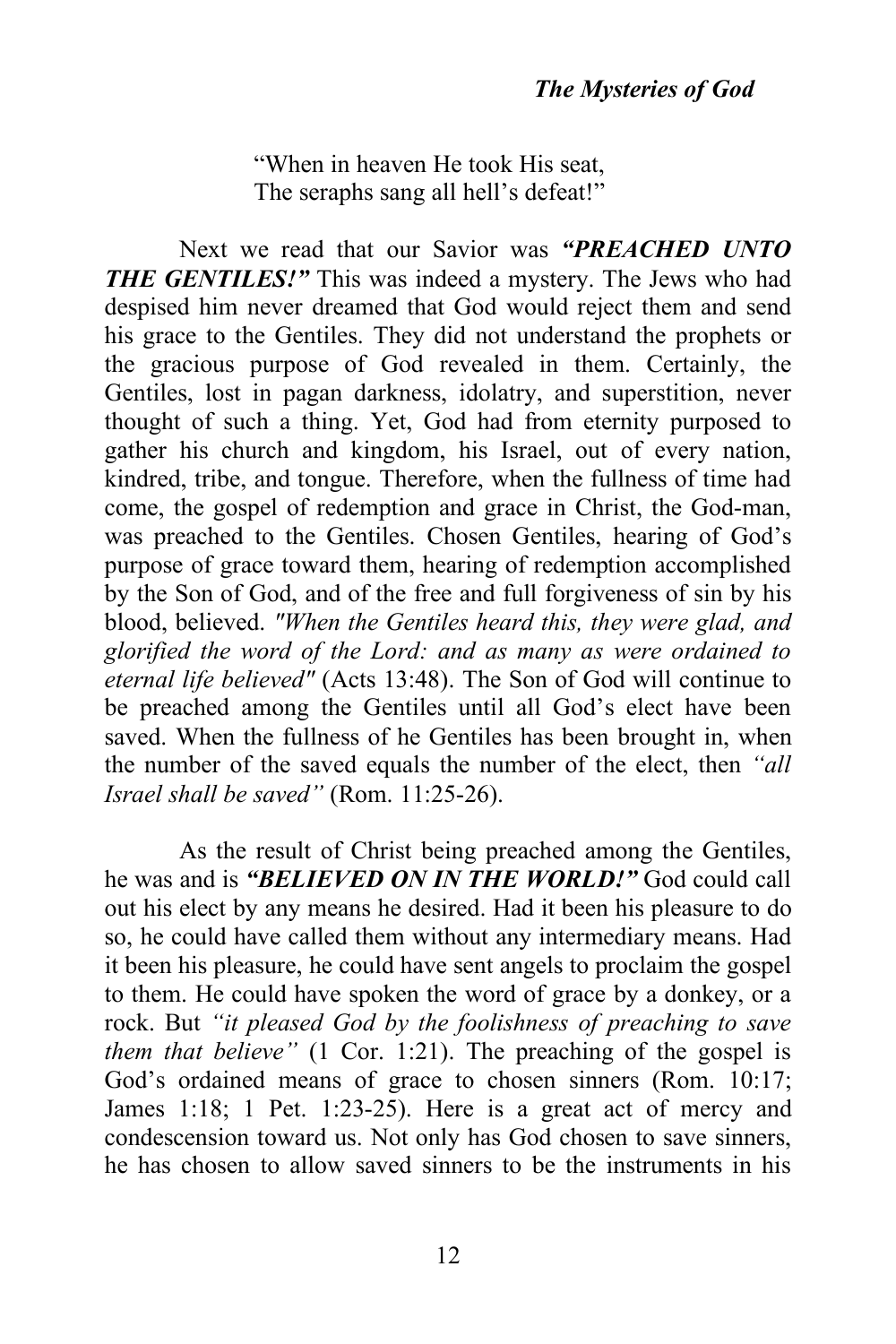"When in heaven He took His seat, The seraphs sang all hell's defeat!"

Next we read that our Savior was *"PREACHED UNTO THE GENTILES!* This was indeed a mystery. The Jews who had despised him never dreamed that God would reject them and send his grace to the Gentiles. They did not understand the prophets or the gracious purpose of God revealed in them. Certainly, the Gentiles, lost in pagan darkness, idolatry, and superstition, never thought of such a thing. Yet, God had from eternity purposed to gather his church and kingdom, his Israel, out of every nation, kindred, tribe, and tongue. Therefore, when the fullness of time had come, the gospel of redemption and grace in Christ, the God-man, was preached to the Gentiles. Chosen Gentiles, hearing of God's purpose of grace toward them, hearing of redemption accomplished by the Son of God, and of the free and full forgiveness of sin by his blood, believed. *"When the Gentiles heard this, they were glad, and glorified the word of the Lord: and as many as were ordained to eternal life believed"* (Acts 13:48). The Son of God will continue to be preached among the Gentiles until all God's elect have been saved. When the fullness of he Gentiles has been brought in, when the number of the saved equals the number of the elect, then *"all Israel shall be saved"* (Rom. 11:25-26).

As the result of Christ being preached among the Gentiles, he was and is *"BELIEVED ON IN THE WORLD!"* God could call out his elect by any means he desired. Had it been his pleasure to do so, he could have called them without any intermediary means. Had it been his pleasure, he could have sent angels to proclaim the gospel to them. He could have spoken the word of grace by a donkey, or a rock. But *"it pleased God by the foolishness of preaching to save them that believe"* (1 Cor. 1:21). The preaching of the gospel is God's ordained means of grace to chosen sinners (Rom. 10:17; James 1:18; 1 Pet. 1:23-25). Here is a great act of mercy and condescension toward us. Not only has God chosen to save sinners, he has chosen to allow saved sinners to be the instruments in his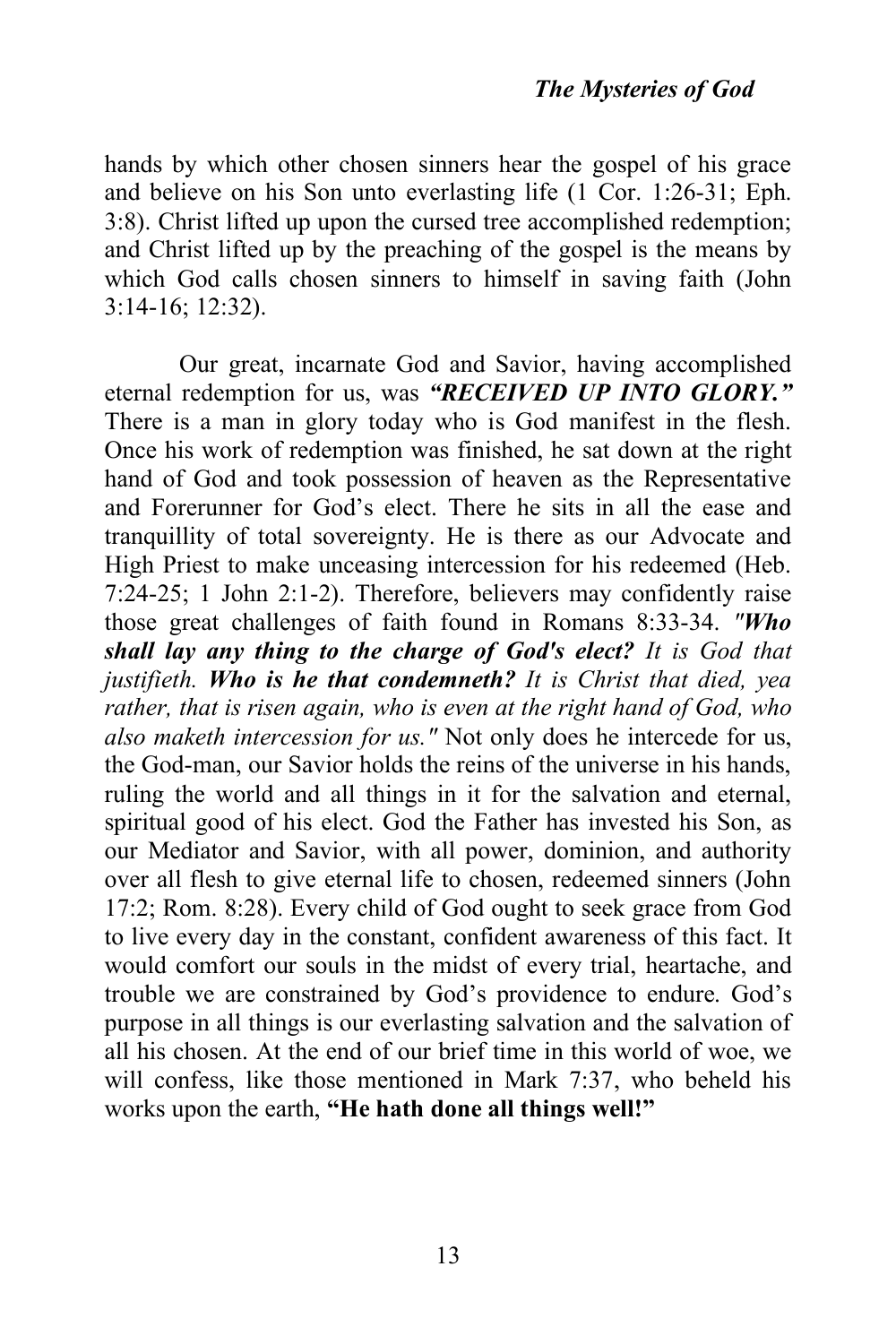hands by which other chosen sinners hear the gospel of his grace and believe on his Son unto everlasting life (1 Cor. 1:26-31; Eph. 3:8). Christ lifted up upon the cursed tree accomplished redemption; and Christ lifted up by the preaching of the gospel is the means by which God calls chosen sinners to himself in saving faith (John 3:14-16; 12:32).

Our great, incarnate God and Savior, having accomplished eternal redemption for us, was *"RECEIVED UP INTO GLORY."* There is a man in glory today who is God manifest in the flesh. Once his work of redemption was finished, he sat down at the right hand of God and took possession of heaven as the Representative and Forerunner for God's elect. There he sits in all the ease and tranquillity of total sovereignty. He is there as our Advocate and High Priest to make unceasing intercession for his redeemed (Heb. 7:24-25; 1 John 2:1-2). Therefore, believers may confidently raise those great challenges of faith found in Romans 8:33-34. *"Who shall lay any thing to the charge of God's elect? It is God that justifieth. Who is he that condemneth? It is Christ that died, yea rather, that is risen again, who is even at the right hand of God, who also maketh intercession for us."* Not only does he intercede for us, the God-man, our Savior holds the reins of the universe in his hands, ruling the world and all things in it for the salvation and eternal, spiritual good of his elect. God the Father has invested his Son, as our Mediator and Savior, with all power, dominion, and authority over all flesh to give eternal life to chosen, redeemed sinners (John 17:2; Rom. 8:28). Every child of God ought to seek grace from God to live every day in the constant, confident awareness of this fact. It would comfort our souls in the midst of every trial, heartache, and trouble we are constrained by God's providence to endure. God's purpose in all things is our everlasting salvation and the salvation of all his chosen. At the end of our brief time in this world of woe, we will confess, like those mentioned in Mark 7:37, who beheld his works upon the earth, **"He hath done all things well!"**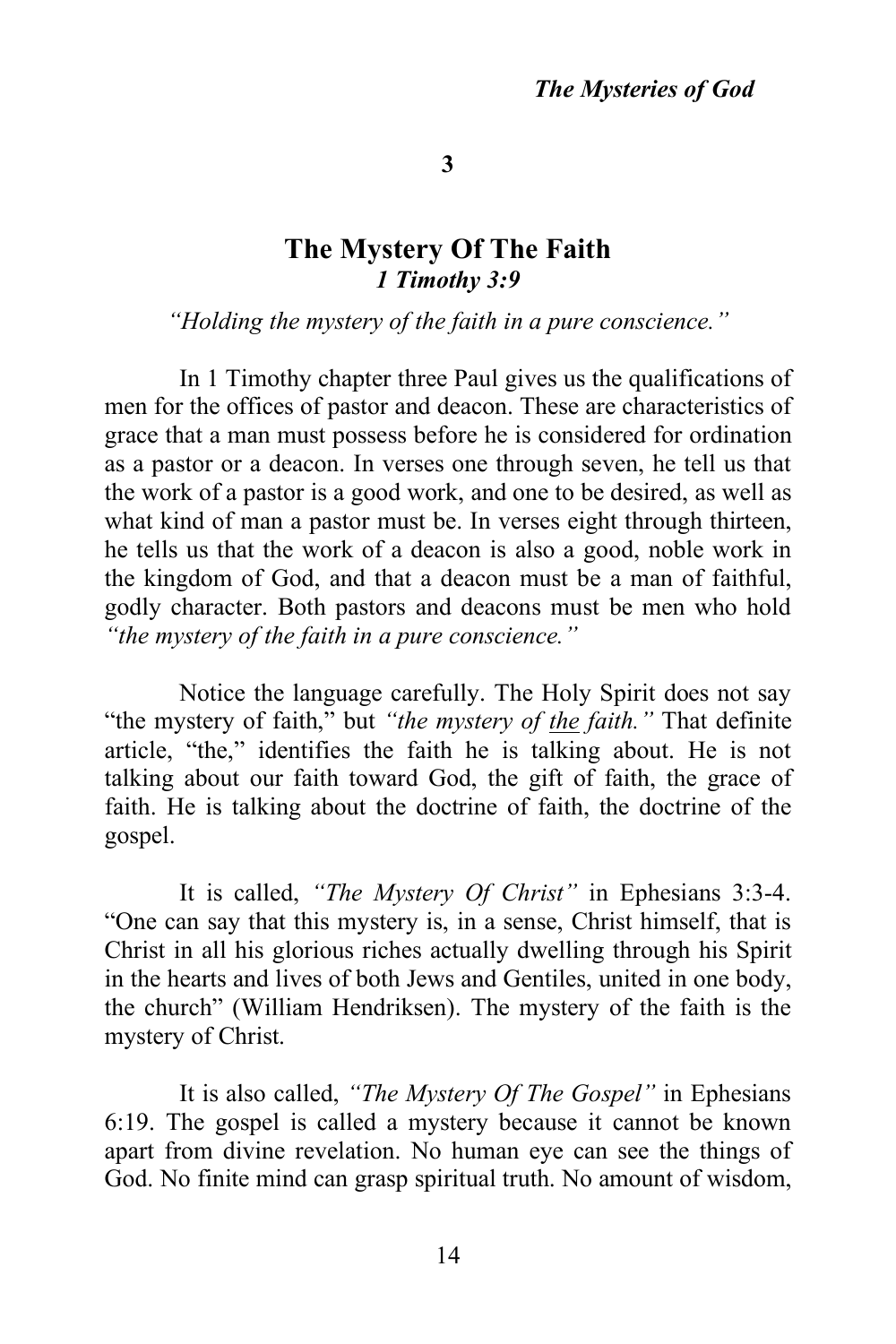**3**

## **The Mystery Of The Faith** *1 Timothy 3:9*

*"Holding the mystery of the faith in a pure conscience."*

In 1 Timothy chapter three Paul gives us the qualifications of men for the offices of pastor and deacon. These are characteristics of grace that a man must possess before he is considered for ordination as a pastor or a deacon. In verses one through seven, he tell us that the work of a pastor is a good work, and one to be desired, as well as what kind of man a pastor must be. In verses eight through thirteen, he tells us that the work of a deacon is also a good, noble work in the kingdom of God, and that a deacon must be a man of faithful, godly character. Both pastors and deacons must be men who hold *"the mystery of the faith in a pure conscience."*

Notice the language carefully. The Holy Spirit does not say "the mystery of faith," but *"the mystery of the faith."* That definite article, "the," identifies the faith he is talking about. He is not talking about our faith toward God, the gift of faith, the grace of faith. He is talking about the doctrine of faith, the doctrine of the gospel.

It is called, *"The Mystery Of Christ"* in Ephesians 3:3-4. "One can say that this mystery is, in a sense, Christ himself, that is Christ in all his glorious riches actually dwelling through his Spirit in the hearts and lives of both Jews and Gentiles, united in one body, the church" (William Hendriksen). The mystery of the faith is the mystery of Christ.

It is also called, *"The Mystery Of The Gospel"* in Ephesians 6:19. The gospel is called a mystery because it cannot be known apart from divine revelation. No human eye can see the things of God. No finite mind can grasp spiritual truth. No amount of wisdom,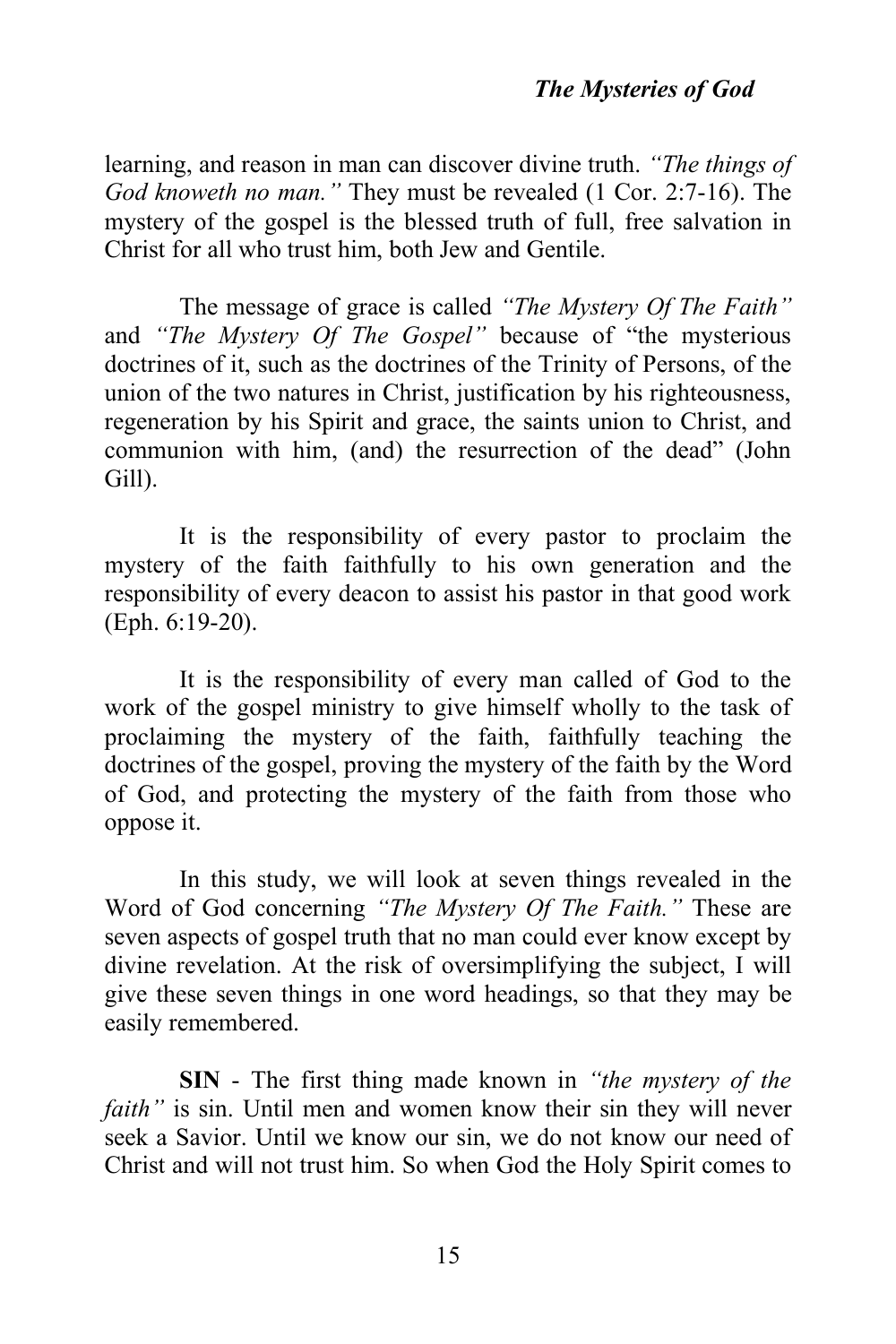learning, and reason in man can discover divine truth. *"The things of God knoweth no man."* They must be revealed (1 Cor. 2:7-16). The mystery of the gospel is the blessed truth of full, free salvation in Christ for all who trust him, both Jew and Gentile.

The message of grace is called *"The Mystery Of The Faith"*  and *"The Mystery Of The Gospel"* because of "the mysterious doctrines of it, such as the doctrines of the Trinity of Persons, of the union of the two natures in Christ, justification by his righteousness, regeneration by his Spirit and grace, the saints union to Christ, and communion with him, (and) the resurrection of the dead" (John Gill).

It is the responsibility of every pastor to proclaim the mystery of the faith faithfully to his own generation and the responsibility of every deacon to assist his pastor in that good work (Eph. 6:19-20).

It is the responsibility of every man called of God to the work of the gospel ministry to give himself wholly to the task of proclaiming the mystery of the faith, faithfully teaching the doctrines of the gospel, proving the mystery of the faith by the Word of God, and protecting the mystery of the faith from those who oppose it.

In this study, we will look at seven things revealed in the Word of God concerning *"The Mystery Of The Faith."* These are seven aspects of gospel truth that no man could ever know except by divine revelation. At the risk of oversimplifying the subject, I will give these seven things in one word headings, so that they may be easily remembered.

**SIN** - The first thing made known in *"the mystery of the faith*" is sin. Until men and women know their sin they will never seek a Savior. Until we know our sin, we do not know our need of Christ and will not trust him. So when God the Holy Spirit comes to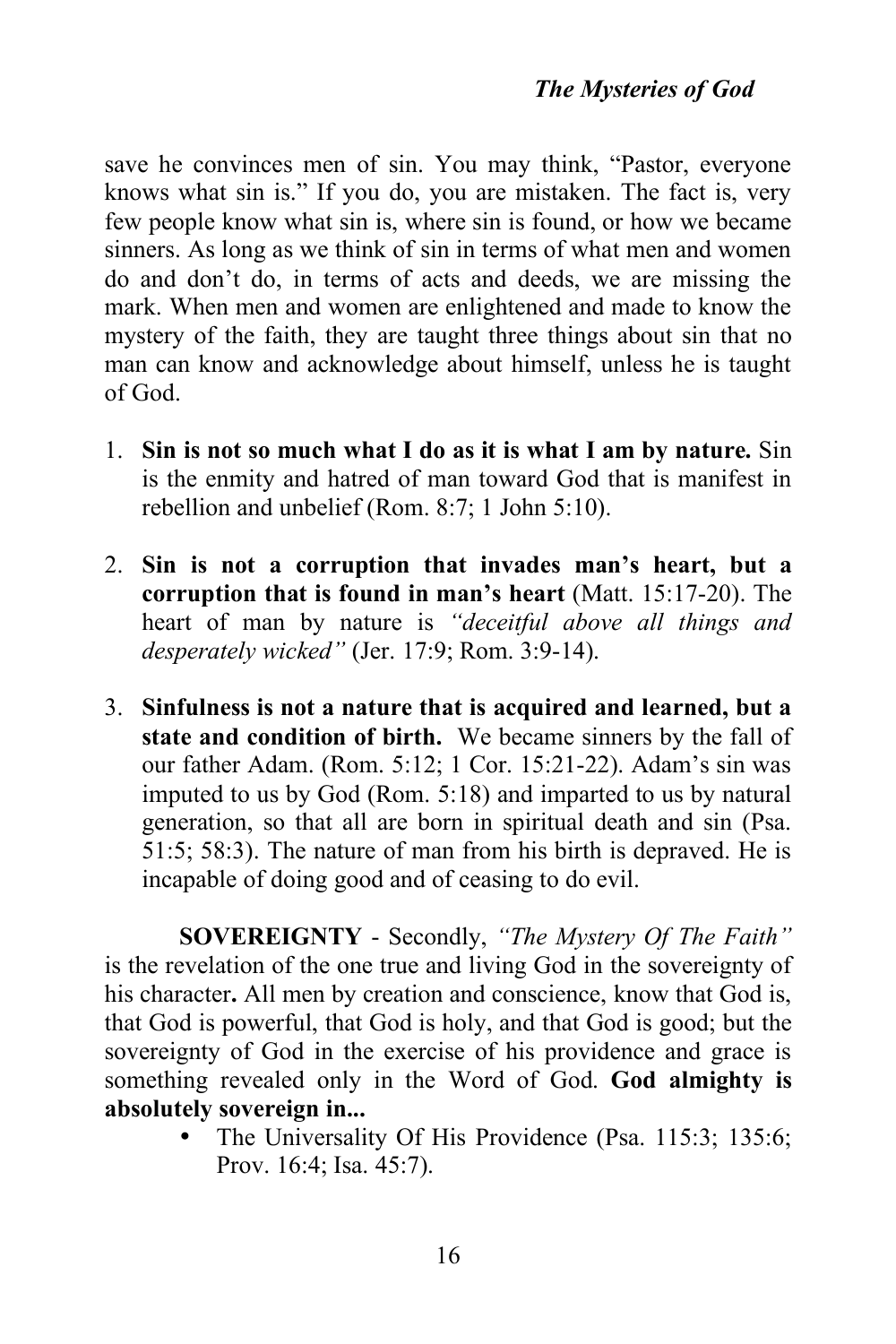save he convinces men of sin. You may think, "Pastor, everyone knows what sin is." If you do, you are mistaken. The fact is, very few people know what sin is, where sin is found, or how we became sinners. As long as we think of sin in terms of what men and women do and don't do, in terms of acts and deeds, we are missing the mark. When men and women are enlightened and made to know the mystery of the faith, they are taught three things about sin that no man can know and acknowledge about himself, unless he is taught of God.

- 1. **Sin is not so much what I do as it is what I am by nature.** Sin is the enmity and hatred of man toward God that is manifest in rebellion and unbelief (Rom. 8:7; 1 John 5:10).
- 2. **Sin is not a corruption that invades man's heart, but a corruption that is found in man's heart** (Matt. 15:17-20). The heart of man by nature is *"deceitful above all things and desperately wicked"* (Jer. 17:9; Rom. 3:9-14).
- 3. **Sinfulness is not a nature that is acquired and learned, but a state and condition of birth.** We became sinners by the fall of our father Adam. (Rom. 5:12; 1 Cor. 15:21-22). Adam's sin was imputed to us by God (Rom. 5:18) and imparted to us by natural generation, so that all are born in spiritual death and sin (Psa. 51:5; 58:3). The nature of man from his birth is depraved. He is incapable of doing good and of ceasing to do evil.

**SOVEREIGNTY** - Secondly, *"The Mystery Of The Faith"*  is the revelation of the one true and living God in the sovereignty of his character**.** All men by creation and conscience, know that God is, that God is powerful, that God is holy, and that God is good; but the sovereignty of God in the exercise of his providence and grace is something revealed only in the Word of God. **God almighty is absolutely sovereign in...**

The Universality Of His Providence (Psa. 115:3; 135:6; Prov. 16:4; Isa. 45:7).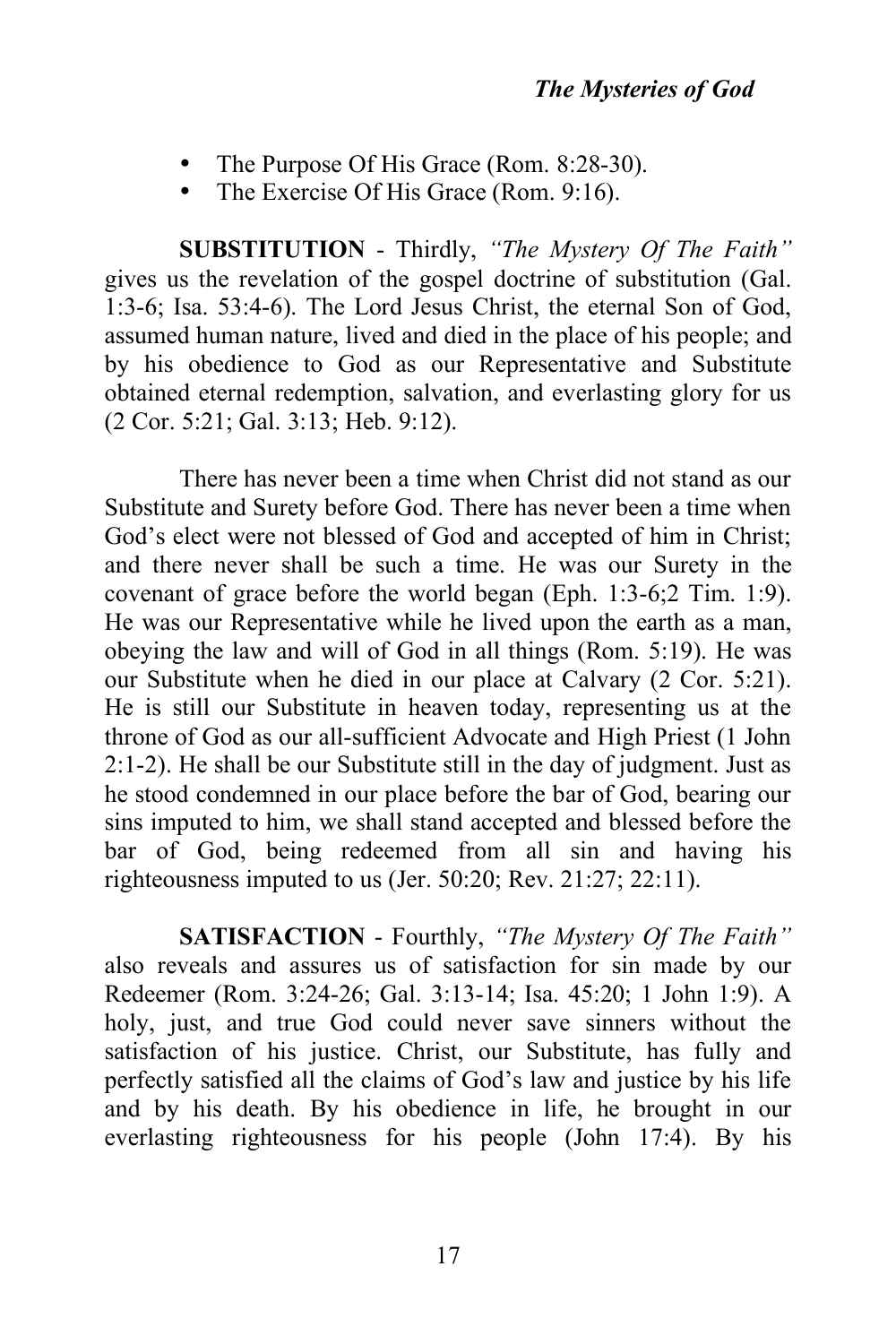- The Purpose Of His Grace (Rom. 8:28-30).
- The Exercise Of His Grace (Rom. 9:16).

**SUBSTITUTION** - Thirdly, *"The Mystery Of The Faith"*  gives us the revelation of the gospel doctrine of substitution (Gal. 1:3-6; Isa. 53:4-6). The Lord Jesus Christ, the eternal Son of God, assumed human nature, lived and died in the place of his people; and by his obedience to God as our Representative and Substitute obtained eternal redemption, salvation, and everlasting glory for us (2 Cor. 5:21; Gal. 3:13; Heb. 9:12).

There has never been a time when Christ did not stand as our Substitute and Surety before God. There has never been a time when God's elect were not blessed of God and accepted of him in Christ; and there never shall be such a time. He was our Surety in the covenant of grace before the world began (Eph. 1:3-6;2 Tim. 1:9). He was our Representative while he lived upon the earth as a man, obeying the law and will of God in all things (Rom. 5:19). He was our Substitute when he died in our place at Calvary (2 Cor. 5:21). He is still our Substitute in heaven today, representing us at the throne of God as our all-sufficient Advocate and High Priest (1 John 2:1-2). He shall be our Substitute still in the day of judgment. Just as he stood condemned in our place before the bar of God, bearing our sins imputed to him, we shall stand accepted and blessed before the bar of God, being redeemed from all sin and having his righteousness imputed to us (Jer. 50:20; Rev. 21:27; 22:11).

**SATISFACTION** - Fourthly, *"The Mystery Of The Faith"*  also reveals and assures us of satisfaction for sin made by our Redeemer (Rom. 3:24-26; Gal. 3:13-14; Isa. 45:20; 1 John 1:9). A holy, just, and true God could never save sinners without the satisfaction of his justice. Christ, our Substitute, has fully and perfectly satisfied all the claims of God's law and justice by his life and by his death. By his obedience in life, he brought in our everlasting righteousness for his people (John 17:4). By his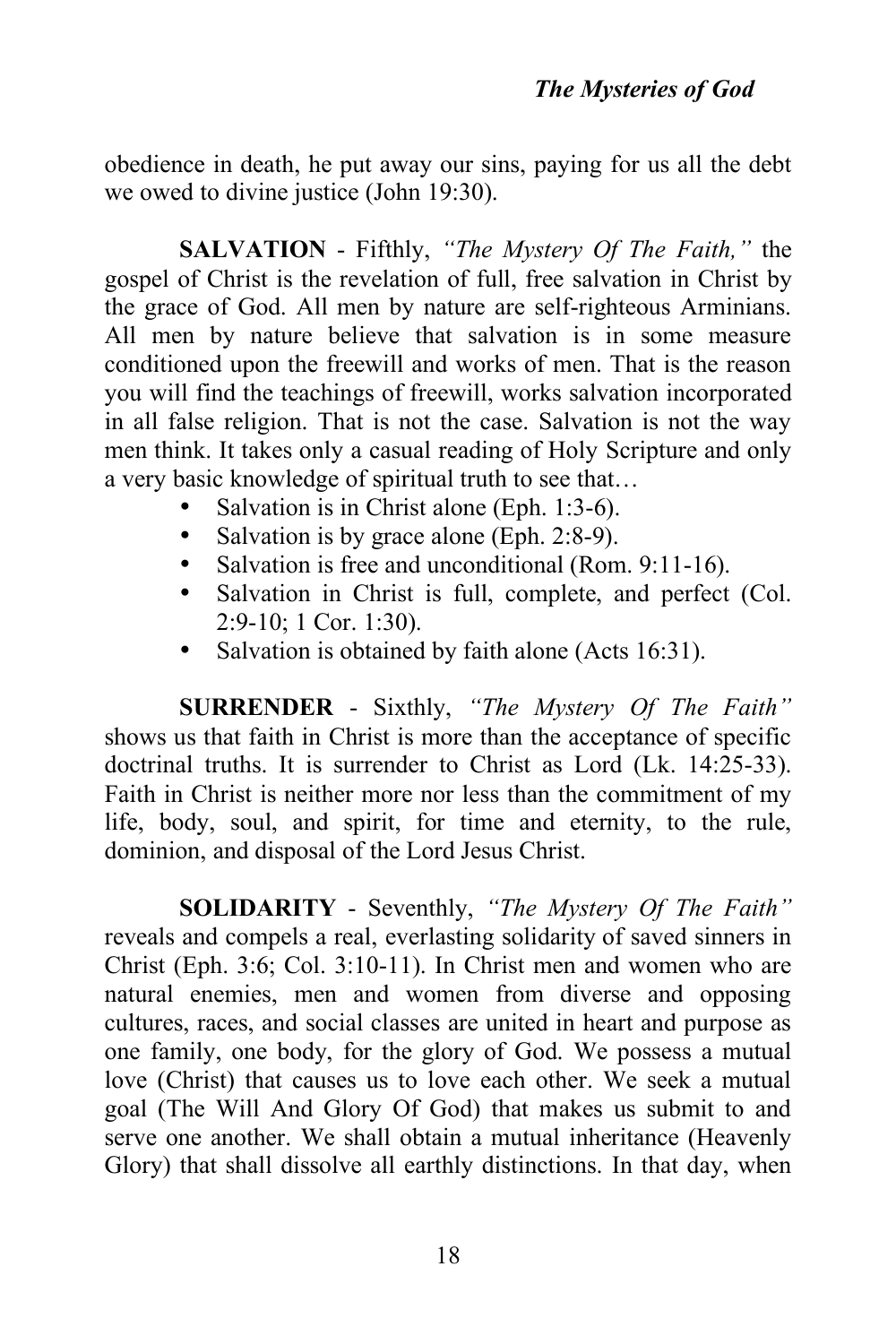obedience in death, he put away our sins, paying for us all the debt we owed to divine justice (John 19:30).

**SALVATION** - Fifthly, *"The Mystery Of The Faith,"* the gospel of Christ is the revelation of full, free salvation in Christ by the grace of God. All men by nature are self-righteous Arminians. All men by nature believe that salvation is in some measure conditioned upon the freewill and works of men. That is the reason you will find the teachings of freewill, works salvation incorporated in all false religion. That is not the case. Salvation is not the way men think. It takes only a casual reading of Holy Scripture and only a very basic knowledge of spiritual truth to see that…

- Salvation is in Christ alone (Eph. 1:3-6).
- Salvation is by grace alone (Eph. 2:8-9).
- Salvation is free and unconditional (Rom. 9:11-16).
- Salvation in Christ is full, complete, and perfect (Col. 2:9-10; 1 Cor. 1:30).
- Salvation is obtained by faith alone (Acts 16:31).

**SURRENDER** - Sixthly, *"The Mystery Of The Faith"*  shows us that faith in Christ is more than the acceptance of specific doctrinal truths. It is surrender to Christ as Lord (Lk. 14:25-33). Faith in Christ is neither more nor less than the commitment of my life, body, soul, and spirit, for time and eternity, to the rule, dominion, and disposal of the Lord Jesus Christ.

**SOLIDARITY** - Seventhly, *"The Mystery Of The Faith"*  reveals and compels a real, everlasting solidarity of saved sinners in Christ (Eph. 3:6; Col. 3:10-11). In Christ men and women who are natural enemies, men and women from diverse and opposing cultures, races, and social classes are united in heart and purpose as one family, one body, for the glory of God. We possess a mutual love (Christ) that causes us to love each other. We seek a mutual goal (The Will And Glory Of God) that makes us submit to and serve one another. We shall obtain a mutual inheritance (Heavenly Glory) that shall dissolve all earthly distinctions. In that day, when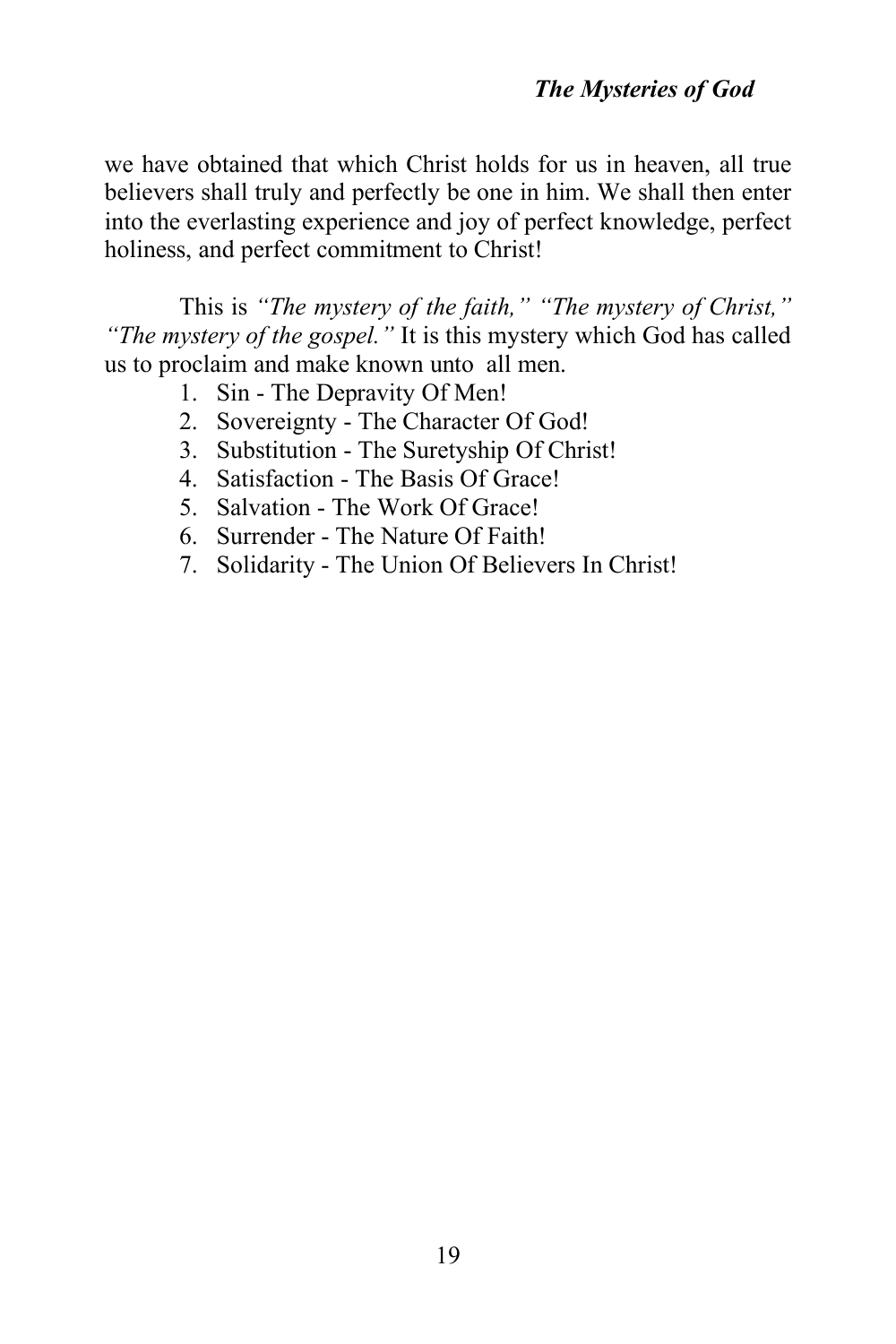we have obtained that which Christ holds for us in heaven, all true believers shall truly and perfectly be one in him. We shall then enter into the everlasting experience and joy of perfect knowledge, perfect holiness, and perfect commitment to Christ!

This is *"The mystery of the faith," "The mystery of Christ," "The mystery of the gospel."* It is this mystery which God has called us to proclaim and make known unto all men.

- 1. Sin The Depravity Of Men!
- 2. Sovereignty The Character Of God!
- 3. Substitution The Suretyship Of Christ!
- 4. Satisfaction The Basis Of Grace!
- 5. Salvation The Work Of Grace!
- 6. Surrender The Nature Of Faith!
- 7. Solidarity The Union Of Believers In Christ!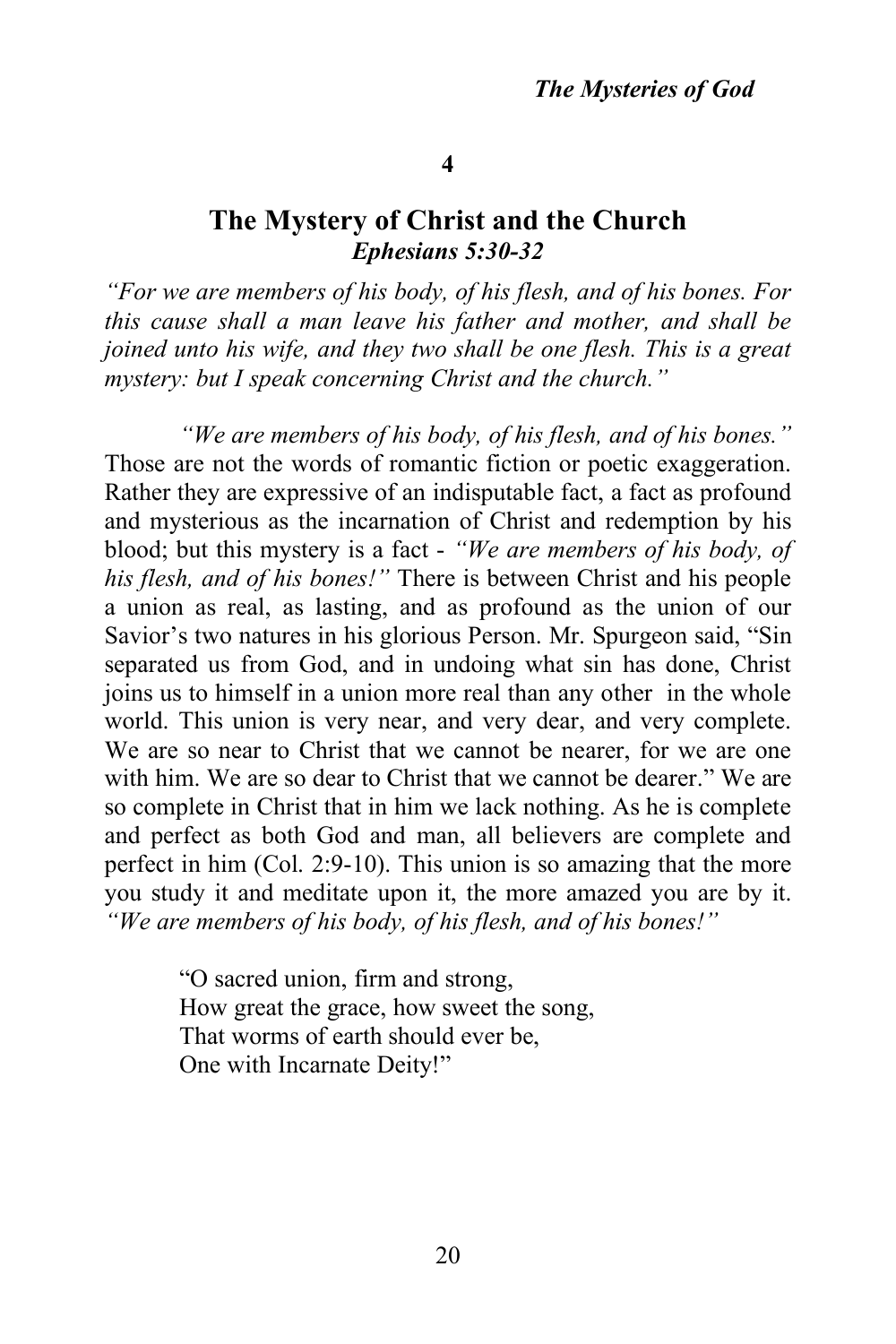#### **4**

## **The Mystery of Christ and the Church** *Ephesians 5:30-32*

*"For we are members of his body, of his flesh, and of his bones. For this cause shall a man leave his father and mother, and shall be joined unto his wife, and they two shall be one flesh. This is a great mystery: but I speak concerning Christ and the church."*

*"We are members of his body, of his flesh, and of his bones."*  Those are not the words of romantic fiction or poetic exaggeration. Rather they are expressive of an indisputable fact, a fact as profound and mysterious as the incarnation of Christ and redemption by his blood; but this mystery is a fact - *"We are members of his body, of his flesh, and of his bones!"* There is between Christ and his people a union as real, as lasting, and as profound as the union of our Savior's two natures in his glorious Person. Mr. Spurgeon said, "Sin separated us from God, and in undoing what sin has done, Christ joins us to himself in a union more real than any other in the whole world. This union is very near, and very dear, and very complete. We are so near to Christ that we cannot be nearer, for we are one with him. We are so dear to Christ that we cannot be dearer." We are so complete in Christ that in him we lack nothing. As he is complete and perfect as both God and man, all believers are complete and perfect in him (Col. 2:9-10). This union is so amazing that the more you study it and meditate upon it, the more amazed you are by it. *"We are members of his body, of his flesh, and of his bones!"*

> "O sacred union, firm and strong, How great the grace, how sweet the song, That worms of earth should ever be, One with Incarnate Deity!"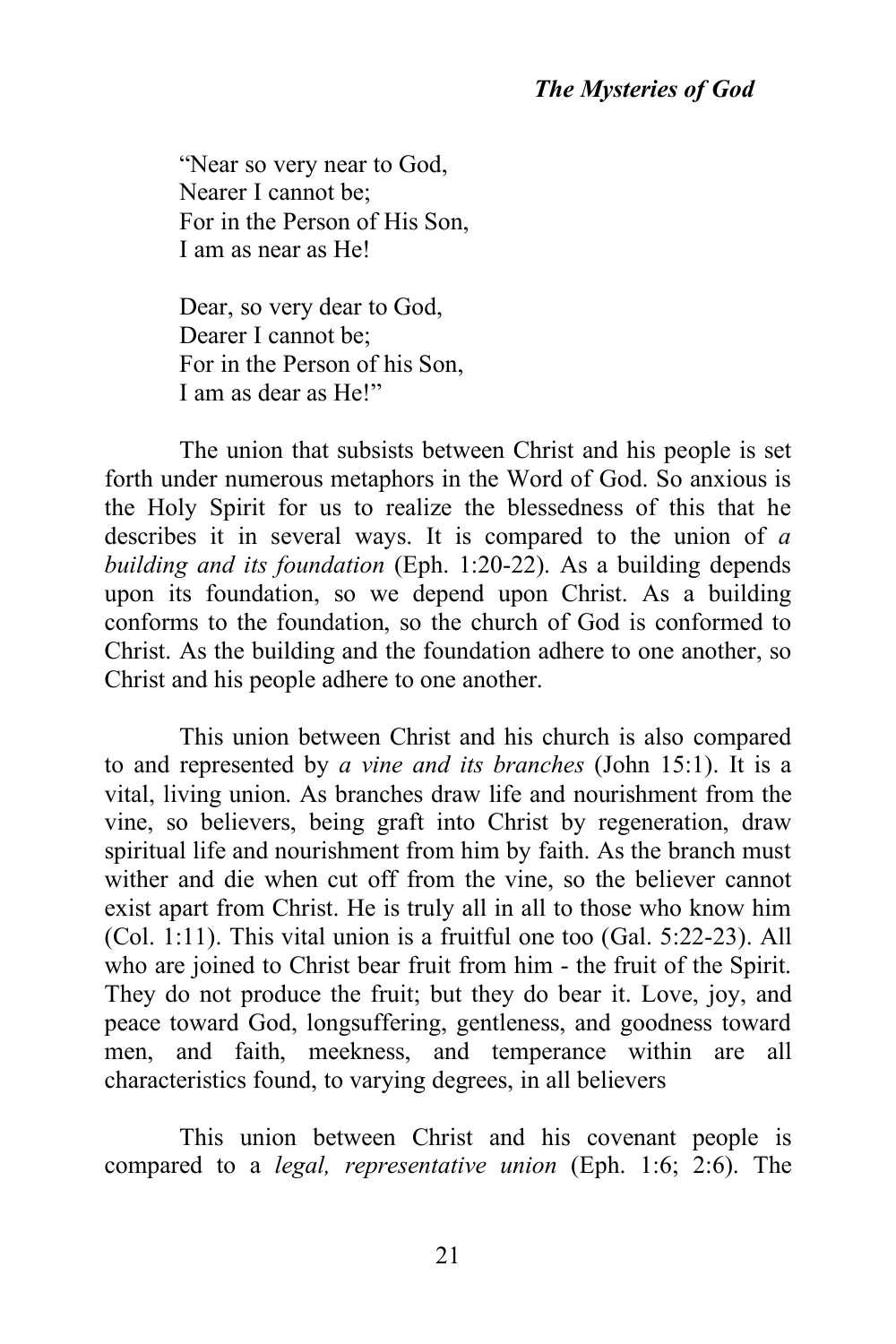### *The Mysteries of God*

"Near so very near to God, Nearer I cannot be; For in the Person of His Son, I am as near as He!

Dear, so very dear to God, Dearer I cannot be; For in the Person of his Son, I am as dear as He!"

The union that subsists between Christ and his people is set forth under numerous metaphors in the Word of God. So anxious is the Holy Spirit for us to realize the blessedness of this that he describes it in several ways. It is compared to the union of *a building and its foundation* (Eph. 1:20-22). As a building depends upon its foundation, so we depend upon Christ. As a building conforms to the foundation, so the church of God is conformed to Christ. As the building and the foundation adhere to one another, so Christ and his people adhere to one another.

This union between Christ and his church is also compared to and represented by *a vine and its branches* (John 15:1). It is a vital, living union. As branches draw life and nourishment from the vine, so believers, being graft into Christ by regeneration, draw spiritual life and nourishment from him by faith. As the branch must wither and die when cut off from the vine, so the believer cannot exist apart from Christ. He is truly all in all to those who know him (Col. 1:11). This vital union is a fruitful one too (Gal. 5:22-23). All who are joined to Christ bear fruit from him - the fruit of the Spirit. They do not produce the fruit; but they do bear it. Love, joy, and peace toward God, longsuffering, gentleness, and goodness toward men, and faith, meekness, and temperance within are all characteristics found, to varying degrees, in all believers

This union between Christ and his covenant people is compared to a *legal, representative union* (Eph. 1:6; 2:6). The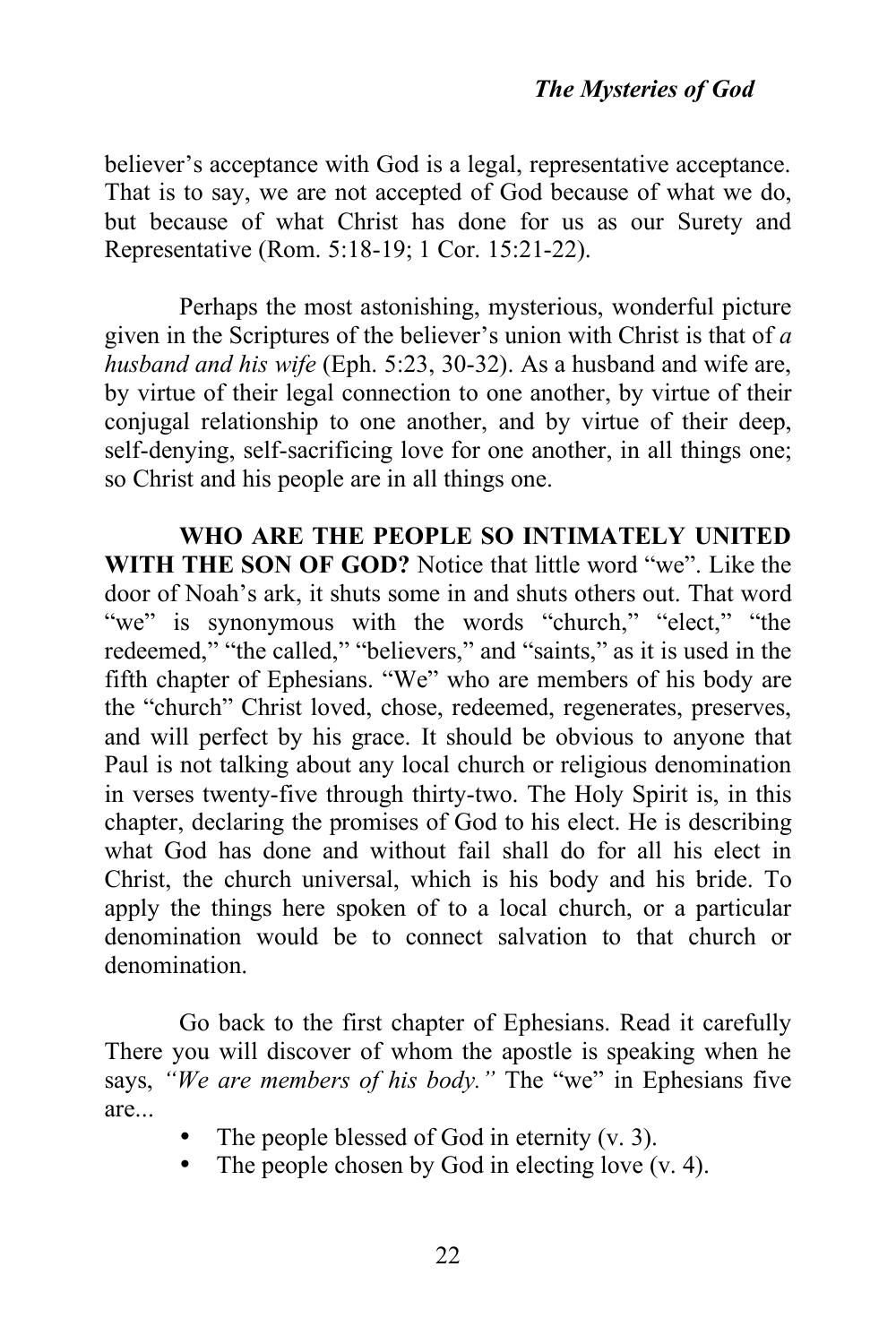believer's acceptance with God is a legal, representative acceptance. That is to say, we are not accepted of God because of what we do, but because of what Christ has done for us as our Surety and Representative (Rom. 5:18-19; 1 Cor. 15:21-22).

Perhaps the most astonishing, mysterious, wonderful picture given in the Scriptures of the believer's union with Christ is that of *a husband and his wife* (Eph. 5:23, 30-32). As a husband and wife are, by virtue of their legal connection to one another, by virtue of their conjugal relationship to one another, and by virtue of their deep, self-denying, self-sacrificing love for one another, in all things one; so Christ and his people are in all things one.

**WHO ARE THE PEOPLE SO INTIMATELY UNITED WITH THE SON OF GOD?** Notice that little word "we". Like the door of Noah's ark, it shuts some in and shuts others out. That word "we" is synonymous with the words "church," "elect," "the redeemed," "the called," "believers," and "saints," as it is used in the fifth chapter of Ephesians. "We" who are members of his body are the "church" Christ loved, chose, redeemed, regenerates, preserves, and will perfect by his grace. It should be obvious to anyone that Paul is not talking about any local church or religious denomination in verses twenty-five through thirty-two. The Holy Spirit is, in this chapter, declaring the promises of God to his elect. He is describing what God has done and without fail shall do for all his elect in Christ, the church universal, which is his body and his bride. To apply the things here spoken of to a local church, or a particular denomination would be to connect salvation to that church or denomination.

Go back to the first chapter of Ephesians. Read it carefully There you will discover of whom the apostle is speaking when he says, *"We are members of his body."* The "we" in Ephesians five are...

- The people blessed of God in eternity (v. 3).
- The people chosen by God in electing love (v. 4).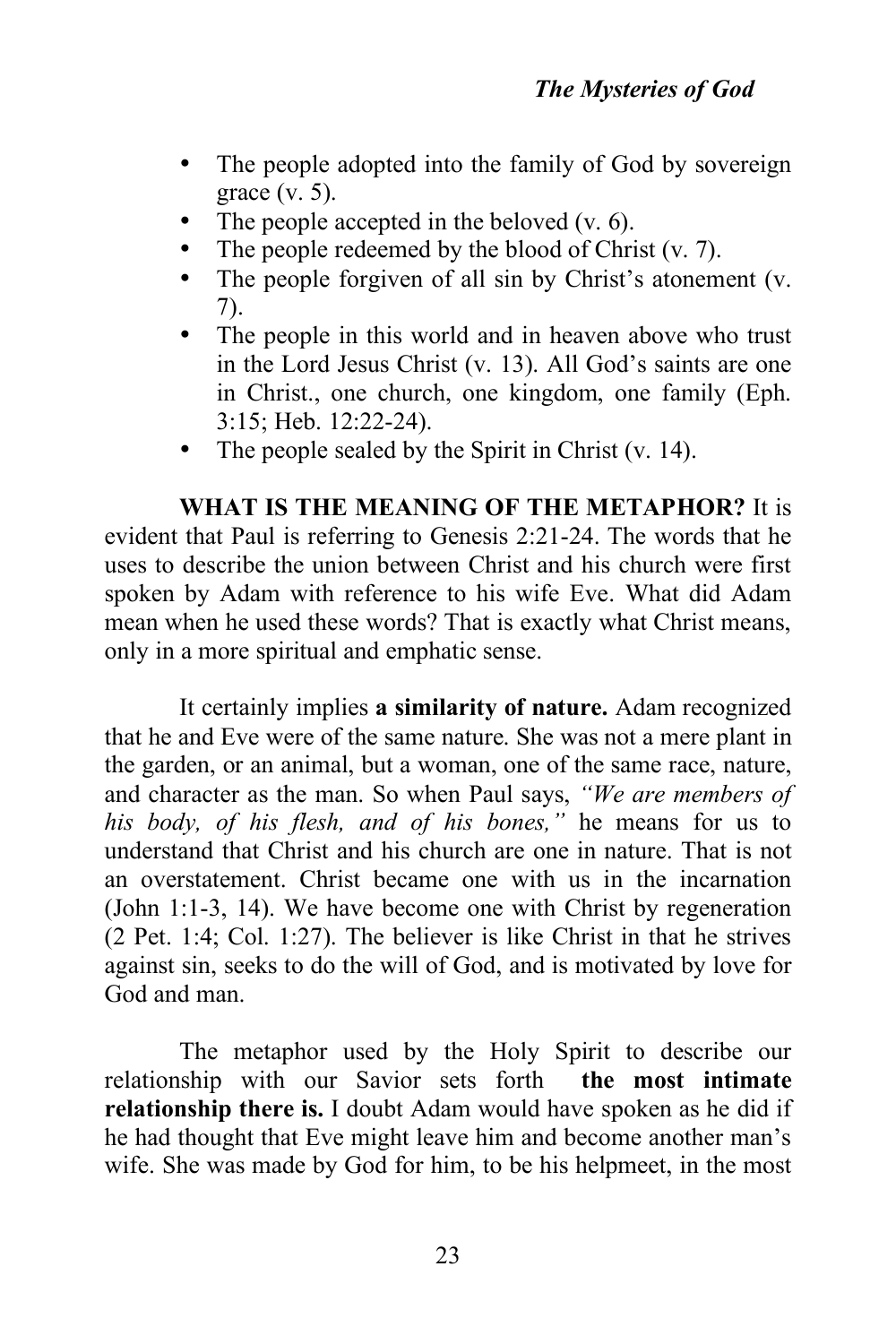- The people adopted into the family of God by sovereign grace  $(v. 5)$ .
- The people accepted in the beloved  $(v, 6)$ .
- The people redeemed by the blood of Christ (v. 7).
- The people forgiven of all sin by Christ's atonement (v. 7).
- The people in this world and in heaven above who trust in the Lord Jesus Christ (v. 13). All God's saints are one in Christ., one church, one kingdom, one family (Eph. 3:15; Heb. 12:22-24).
- The people sealed by the Spirit in Christ  $(v. 14)$ .

**WHAT IS THE MEANING OF THE METAPHOR?** It is evident that Paul is referring to Genesis 2:21-24. The words that he uses to describe the union between Christ and his church were first spoken by Adam with reference to his wife Eve. What did Adam mean when he used these words? That is exactly what Christ means, only in a more spiritual and emphatic sense.

It certainly implies **a similarity of nature.** Adam recognized that he and Eve were of the same nature. She was not a mere plant in the garden, or an animal, but a woman, one of the same race, nature, and character as the man. So when Paul says, *"We are members of his body, of his flesh, and of his bones,"* he means for us to understand that Christ and his church are one in nature. That is not an overstatement. Christ became one with us in the incarnation (John 1:1-3, 14). We have become one with Christ by regeneration (2 Pet. 1:4; Col. 1:27). The believer is like Christ in that he strives against sin, seeks to do the will of God, and is motivated by love for God and man.

The metaphor used by the Holy Spirit to describe our relationship with our Savior sets forth **the most intimate relationship there is.** I doubt Adam would have spoken as he did if he had thought that Eve might leave him and become another man's wife. She was made by God for him, to be his helpmeet, in the most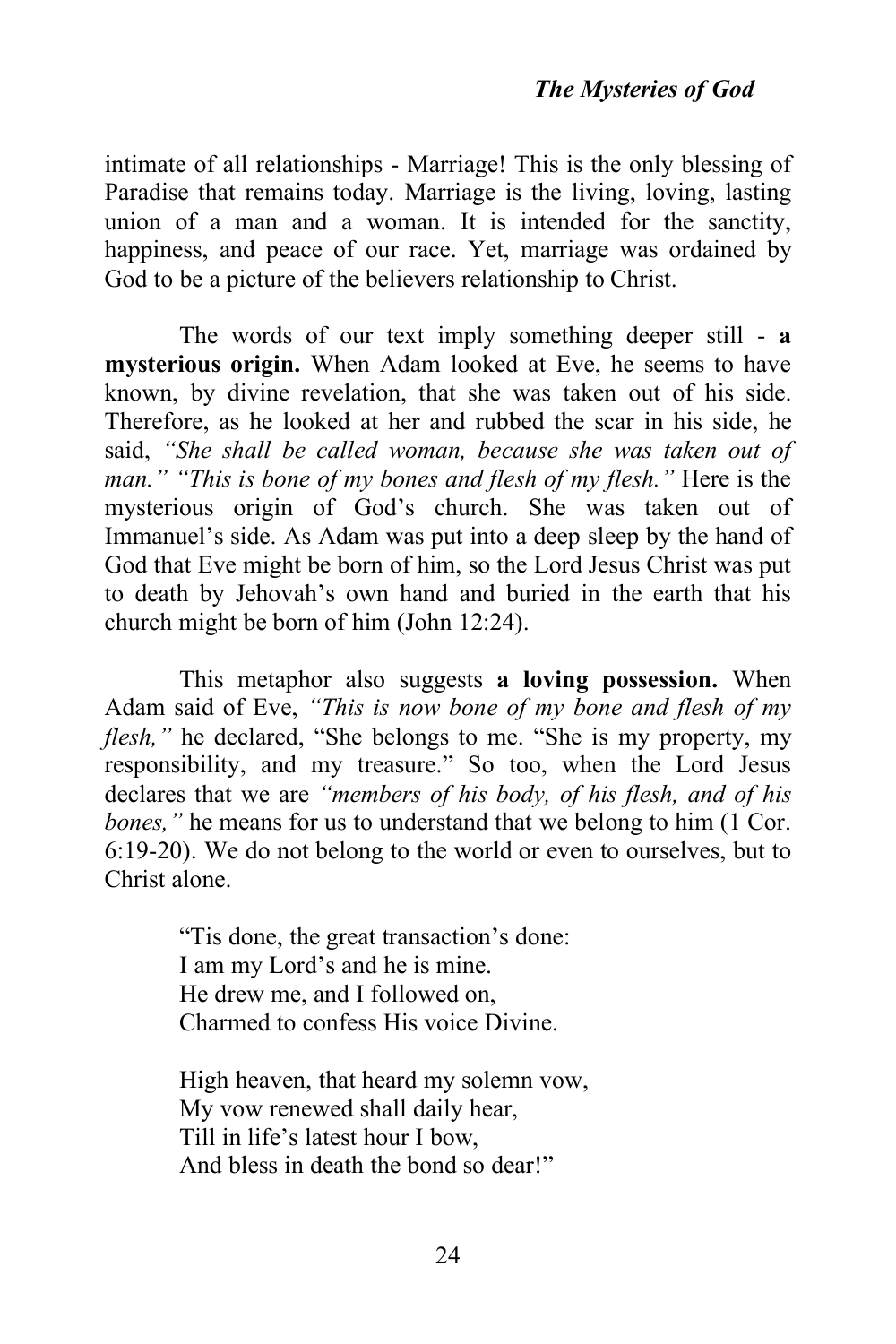intimate of all relationships - Marriage! This is the only blessing of Paradise that remains today. Marriage is the living, loving, lasting union of a man and a woman. It is intended for the sanctity, happiness, and peace of our race. Yet, marriage was ordained by God to be a picture of the believers relationship to Christ.

The words of our text imply something deeper still - **a mysterious origin.** When Adam looked at Eve, he seems to have known, by divine revelation, that she was taken out of his side. Therefore, as he looked at her and rubbed the scar in his side, he said, *"She shall be called woman, because she was taken out of man." "This is bone of my bones and flesh of my flesh."* Here is the mysterious origin of God's church. She was taken out of Immanuel's side. As Adam was put into a deep sleep by the hand of God that Eve might be born of him, so the Lord Jesus Christ was put to death by Jehovah's own hand and buried in the earth that his church might be born of him (John 12:24).

This metaphor also suggests **a loving possession.** When Adam said of Eve, *"This is now bone of my bone and flesh of my flesh,"* he declared, "She belongs to me. "She is my property, my responsibility, and my treasure." So too, when the Lord Jesus declares that we are *"members of his body, of his flesh, and of his bones,*" he means for us to understand that we belong to him (1 Cor. 6:19-20). We do not belong to the world or even to ourselves, but to Christ alone.

> "Tis done, the great transaction's done: I am my Lord's and he is mine. He drew me, and I followed on, Charmed to confess His voice Divine.

High heaven, that heard my solemn vow, My vow renewed shall daily hear, Till in life's latest hour I bow, And bless in death the bond so dear!"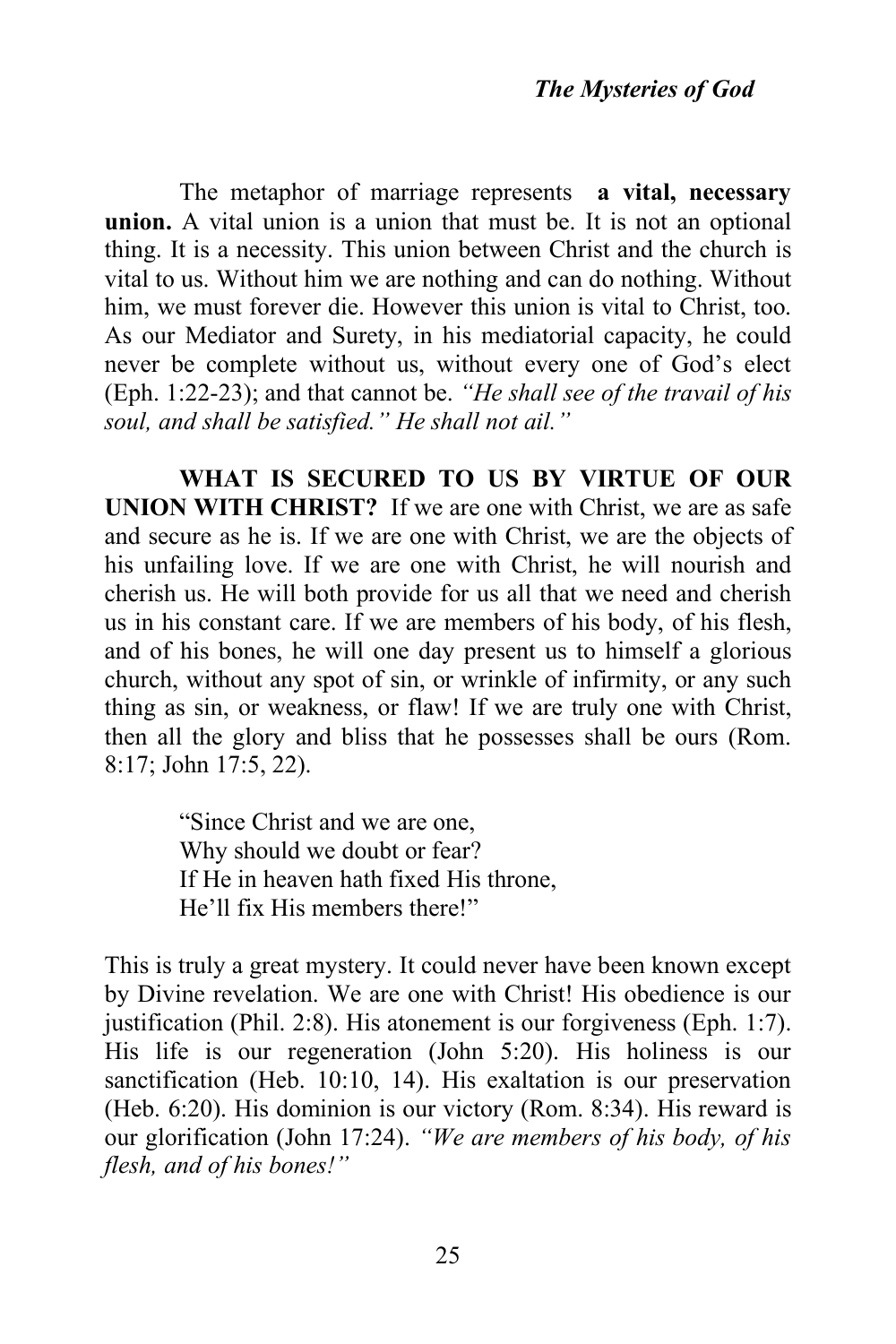The metaphor of marriage represents **a vital, necessary union.** A vital union is a union that must be. It is not an optional thing. It is a necessity. This union between Christ and the church is vital to us. Without him we are nothing and can do nothing. Without him, we must forever die. However this union is vital to Christ, too. As our Mediator and Surety, in his mediatorial capacity, he could never be complete without us, without every one of God's elect (Eph. 1:22-23); and that cannot be. *"He shall see of the travail of his soul, and shall be satisfied." He shall not ail."*

**WHAT IS SECURED TO US BY VIRTUE OF OUR UNION WITH CHRIST?** If we are one with Christ, we are as safe and secure as he is. If we are one with Christ, we are the objects of his unfailing love. If we are one with Christ, he will nourish and cherish us. He will both provide for us all that we need and cherish us in his constant care. If we are members of his body, of his flesh, and of his bones, he will one day present us to himself a glorious church, without any spot of sin, or wrinkle of infirmity, or any such thing as sin, or weakness, or flaw! If we are truly one with Christ, then all the glory and bliss that he possesses shall be ours (Rom. 8:17; John 17:5, 22).

> "Since Christ and we are one, Why should we doubt or fear? If He in heaven hath fixed His throne, He'll fix His members there!"

This is truly a great mystery. It could never have been known except by Divine revelation. We are one with Christ! His obedience is our justification (Phil. 2:8). His atonement is our forgiveness (Eph. 1:7). His life is our regeneration (John 5:20). His holiness is our sanctification (Heb. 10:10, 14). His exaltation is our preservation (Heb. 6:20). His dominion is our victory (Rom. 8:34). His reward is our glorification (John 17:24). *"We are members of his body, of his flesh, and of his bones!"*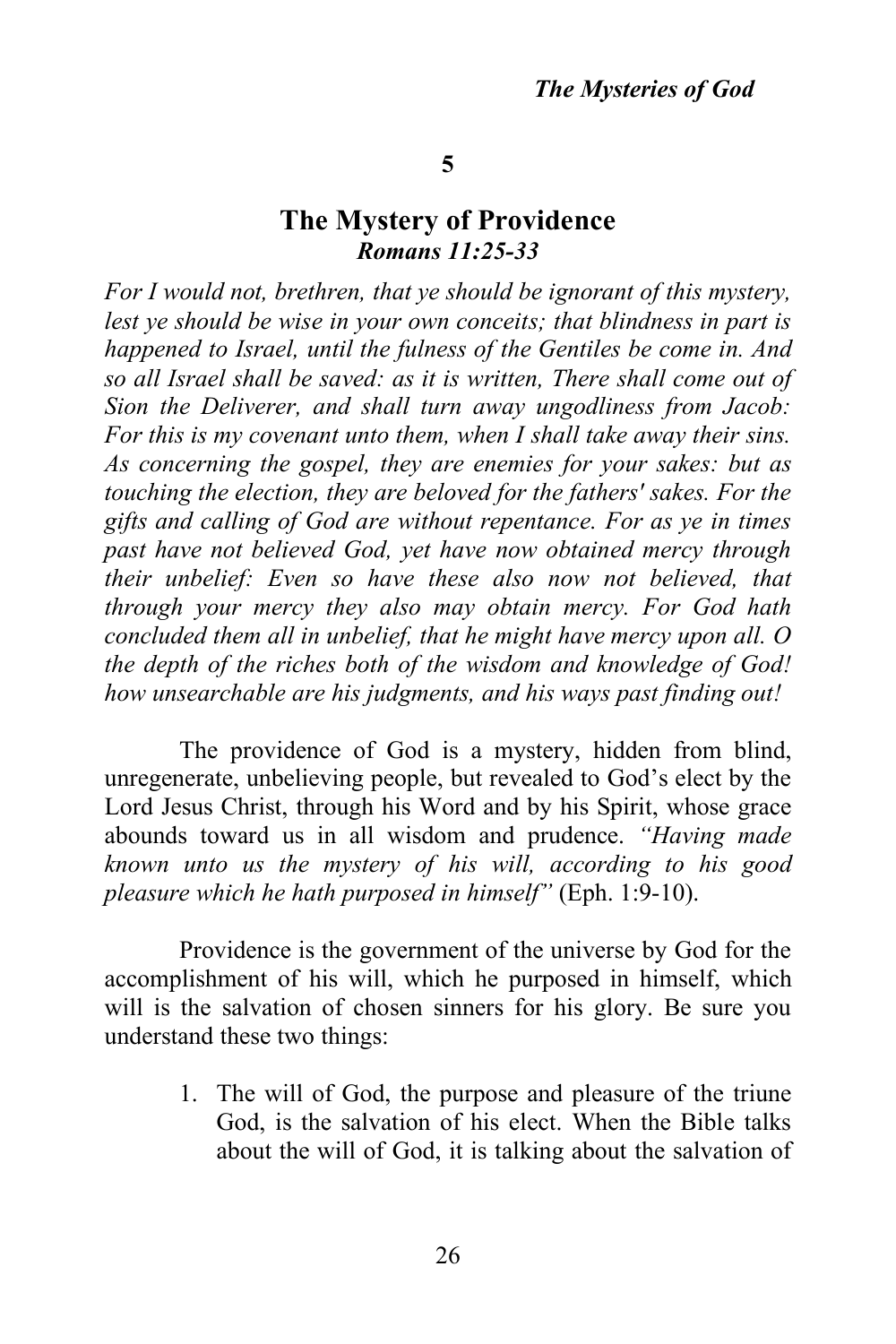**5**

## **The Mystery of Providence** *Romans 11:25-33*

*For I would not, brethren, that ye should be ignorant of this mystery,*  lest ye should be wise in your own conceits; that blindness in part is *happened to Israel, until the fulness of the Gentiles be come in. And so all Israel shall be saved: as it is written, There shall come out of Sion the Deliverer, and shall turn away ungodliness from Jacob: For this is my covenant unto them, when I shall take away their sins. As concerning the gospel, they are enemies for your sakes: but as touching the election, they are beloved for the fathers' sakes. For the gifts and calling of God are without repentance. For as ye in times past have not believed God, yet have now obtained mercy through their unbelief: Even so have these also now not believed, that through your mercy they also may obtain mercy. For God hath concluded them all in unbelief, that he might have mercy upon all. O the depth of the riches both of the wisdom and knowledge of God! how unsearchable are his judgments, and his ways past finding out!*

The providence of God is a mystery, hidden from blind, unregenerate, unbelieving people, but revealed to God's elect by the Lord Jesus Christ, through his Word and by his Spirit, whose grace abounds toward us in all wisdom and prudence. *"Having made known unto us the mystery of his will, according to his good pleasure which he hath purposed in himself"* (Eph. 1:9-10).

Providence is the government of the universe by God for the accomplishment of his will, which he purposed in himself, which will is the salvation of chosen sinners for his glory. Be sure you understand these two things:

> 1. The will of God, the purpose and pleasure of the triune God, is the salvation of his elect. When the Bible talks about the will of God, it is talking about the salvation of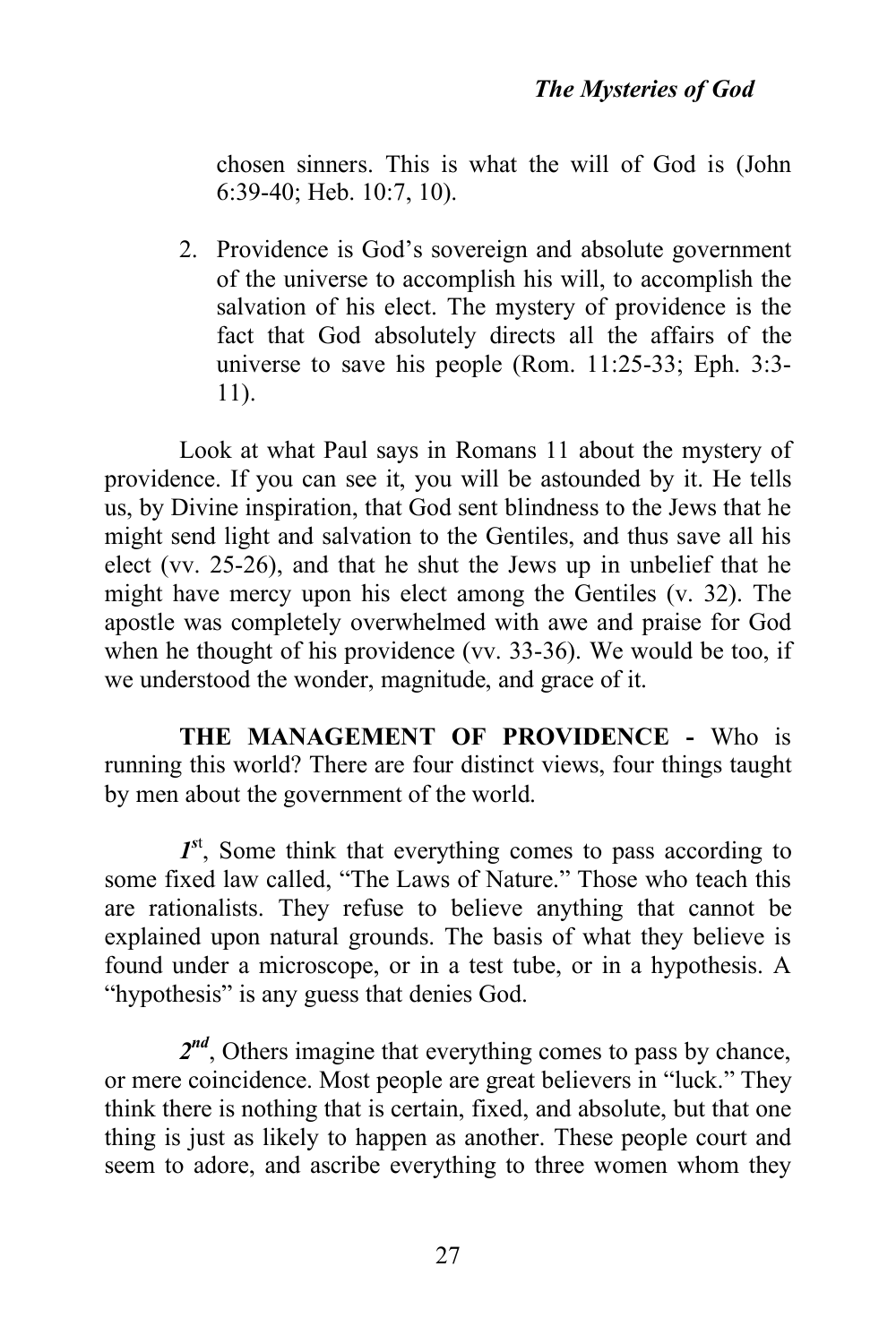chosen sinners. This is what the will of God is (John 6:39-40; Heb. 10:7, 10).

2. Providence is God's sovereign and absolute government of the universe to accomplish his will, to accomplish the salvation of his elect. The mystery of providence is the fact that God absolutely directs all the affairs of the universe to save his people (Rom. 11:25-33; Eph. 3:3- 11).

Look at what Paul says in Romans 11 about the mystery of providence. If you can see it, you will be astounded by it. He tells us, by Divine inspiration, that God sent blindness to the Jews that he might send light and salvation to the Gentiles, and thus save all his elect (vv. 25-26), and that he shut the Jews up in unbelief that he might have mercy upon his elect among the Gentiles (v. 32). The apostle was completely overwhelmed with awe and praise for God when he thought of his providence (vv. 33-36). We would be too, if we understood the wonder, magnitude, and grace of it.

**THE MANAGEMENT OF PROVIDENCE -** Who is running this world? There are four distinct views, four things taught by men about the government of the world.

*1s*t , Some think that everything comes to pass according to some fixed law called, "The Laws of Nature." Those who teach this are rationalists. They refuse to believe anything that cannot be explained upon natural grounds. The basis of what they believe is found under a microscope, or in a test tube, or in a hypothesis. A "hypothesis" is any guess that denies God.

2<sup>nd</sup>, Others imagine that everything comes to pass by chance, or mere coincidence. Most people are great believers in "luck." They think there is nothing that is certain, fixed, and absolute, but that one thing is just as likely to happen as another. These people court and seem to adore, and ascribe everything to three women whom they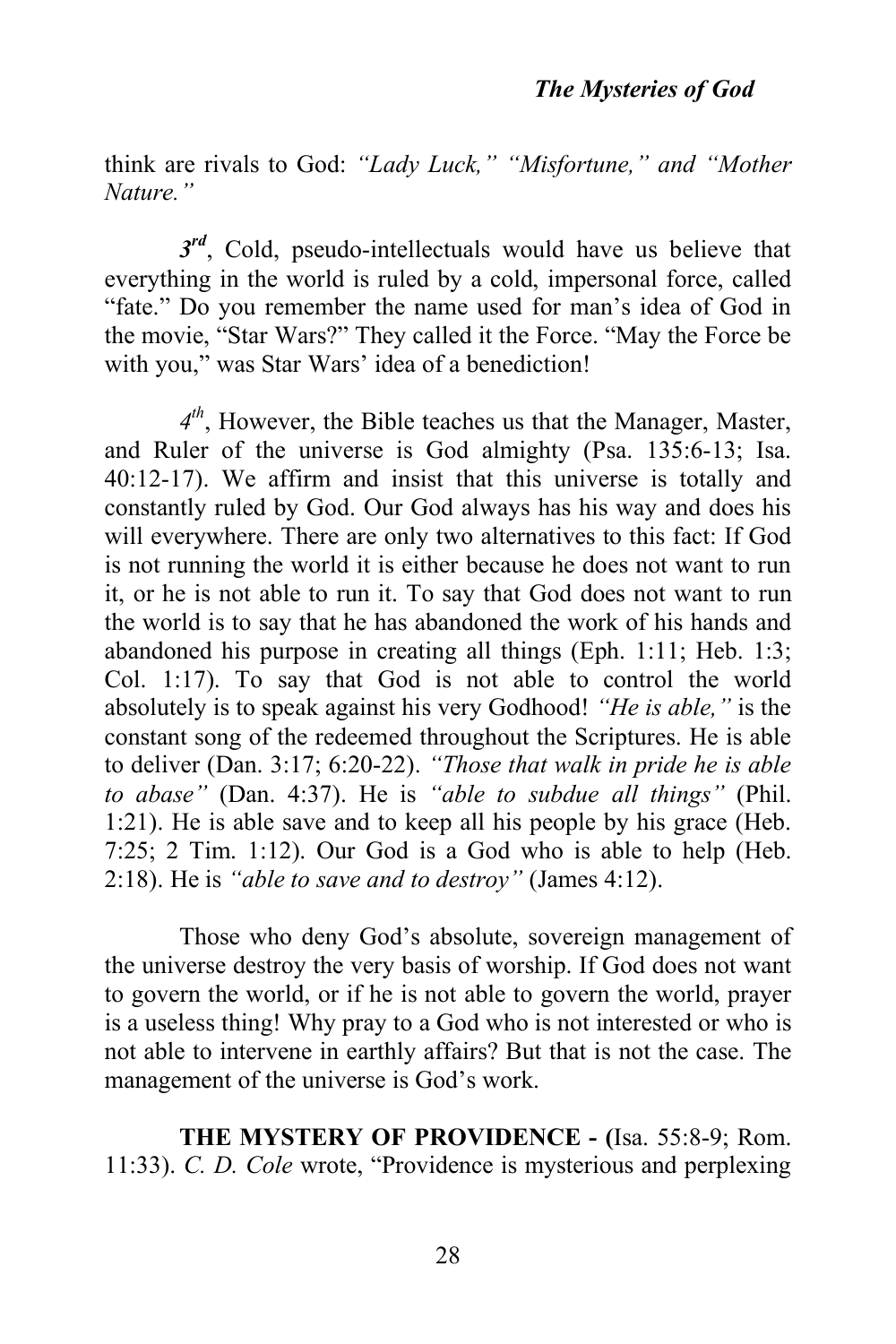think are rivals to God: *"Lady Luck," "Misfortune," and "Mother Nature."*

 $3<sup>rd</sup>$ , Cold, pseudo-intellectuals would have us believe that everything in the world is ruled by a cold, impersonal force, called "fate." Do you remember the name used for man's idea of God in the movie, "Star Wars?" They called it the Force. "May the Force be with you," was Star Wars' idea of a benediction!

*4th*, However, the Bible teaches us that the Manager, Master, and Ruler of the universe is God almighty (Psa. 135:6-13; Isa. 40:12-17). We affirm and insist that this universe is totally and constantly ruled by God. Our God always has his way and does his will everywhere. There are only two alternatives to this fact: If God is not running the world it is either because he does not want to run it, or he is not able to run it. To say that God does not want to run the world is to say that he has abandoned the work of his hands and abandoned his purpose in creating all things (Eph. 1:11; Heb. 1:3; Col. 1:17). To say that God is not able to control the world absolutely is to speak against his very Godhood! *"He is able,"* is the constant song of the redeemed throughout the Scriptures. He is able to deliver (Dan. 3:17; 6:20-22). *"Those that walk in pride he is able to abase"* (Dan. 4:37). He is *"able to subdue all things"* (Phil. 1:21). He is able save and to keep all his people by his grace (Heb. 7:25; 2 Tim. 1:12). Our God is a God who is able to help (Heb. 2:18). He is *"able to save and to destroy"* (James 4:12).

Those who deny God's absolute, sovereign management of the universe destroy the very basis of worship. If God does not want to govern the world, or if he is not able to govern the world, prayer is a useless thing! Why pray to a God who is not interested or who is not able to intervene in earthly affairs? But that is not the case. The management of the universe is God's work.

**THE MYSTERY OF PROVIDENCE - (**Isa. 55:8-9; Rom. 11:33). *C. D. Cole* wrote, "Providence is mysterious and perplexing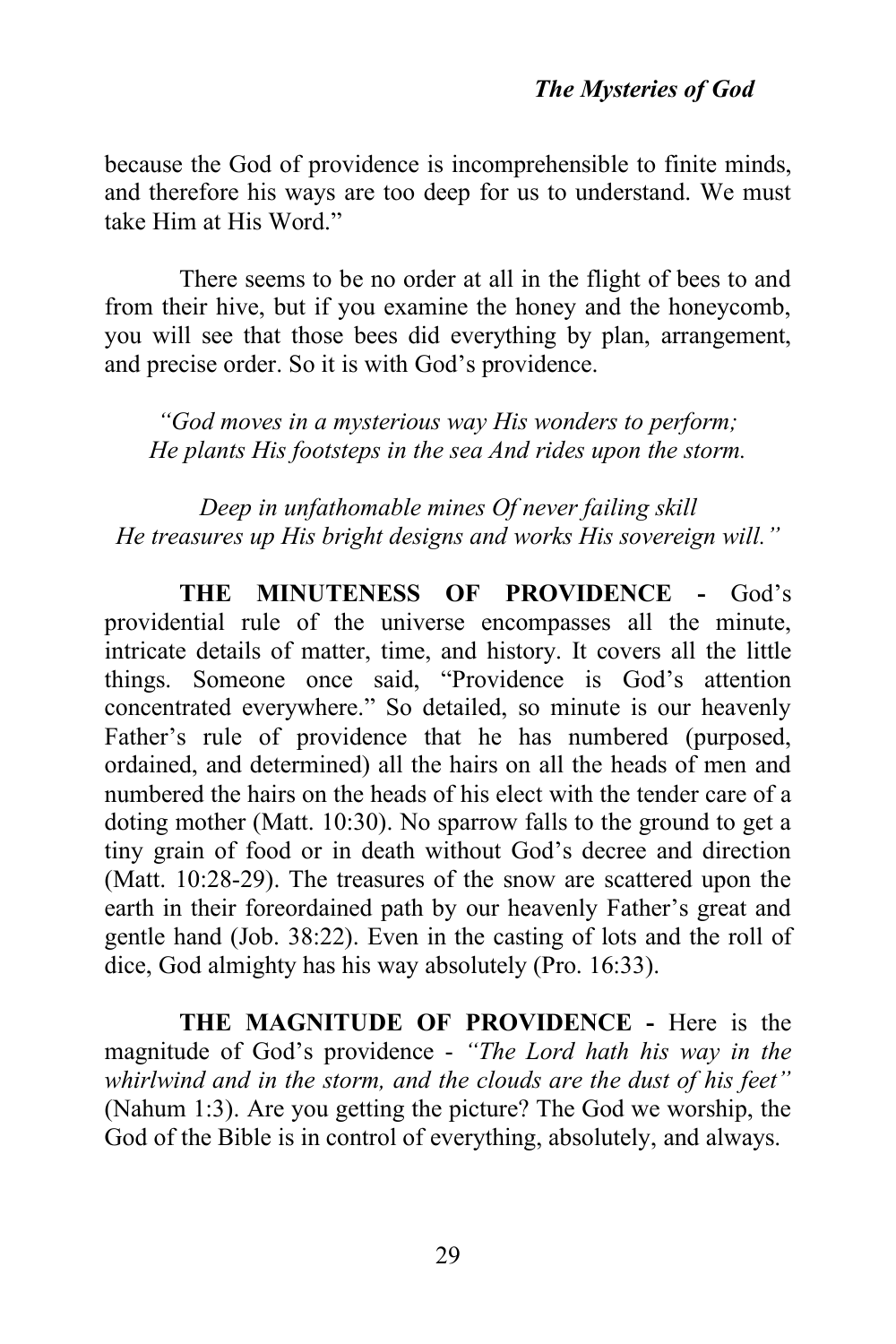because the God of providence is incomprehensible to finite minds, and therefore his ways are too deep for us to understand. We must take Him at His Word."

There seems to be no order at all in the flight of bees to and from their hive, but if you examine the honey and the honeycomb, you will see that those bees did everything by plan, arrangement, and precise order. So it is with God's providence.

*"God moves in a mysterious way His wonders to perform; He plants His footsteps in the sea And rides upon the storm.*

*Deep in unfathomable mines Of never failing skill He treasures up His bright designs and works His sovereign will."*

**THE MINUTENESS OF PROVIDENCE -** God's providential rule of the universe encompasses all the minute, intricate details of matter, time, and history. It covers all the little things. Someone once said, "Providence is God's attention concentrated everywhere." So detailed, so minute is our heavenly Father's rule of providence that he has numbered (purposed, ordained, and determined) all the hairs on all the heads of men and numbered the hairs on the heads of his elect with the tender care of a doting mother (Matt. 10:30). No sparrow falls to the ground to get a tiny grain of food or in death without God's decree and direction (Matt. 10:28-29). The treasures of the snow are scattered upon the earth in their foreordained path by our heavenly Father's great and gentle hand (Job. 38:22). Even in the casting of lots and the roll of dice, God almighty has his way absolutely (Pro. 16:33).

**THE MAGNITUDE OF PROVIDENCE -** Here is the magnitude of God's providence - *"The Lord hath his way in the whirlwind and in the storm, and the clouds are the dust of his feet"*  (Nahum 1:3). Are you getting the picture? The God we worship, the God of the Bible is in control of everything, absolutely, and always.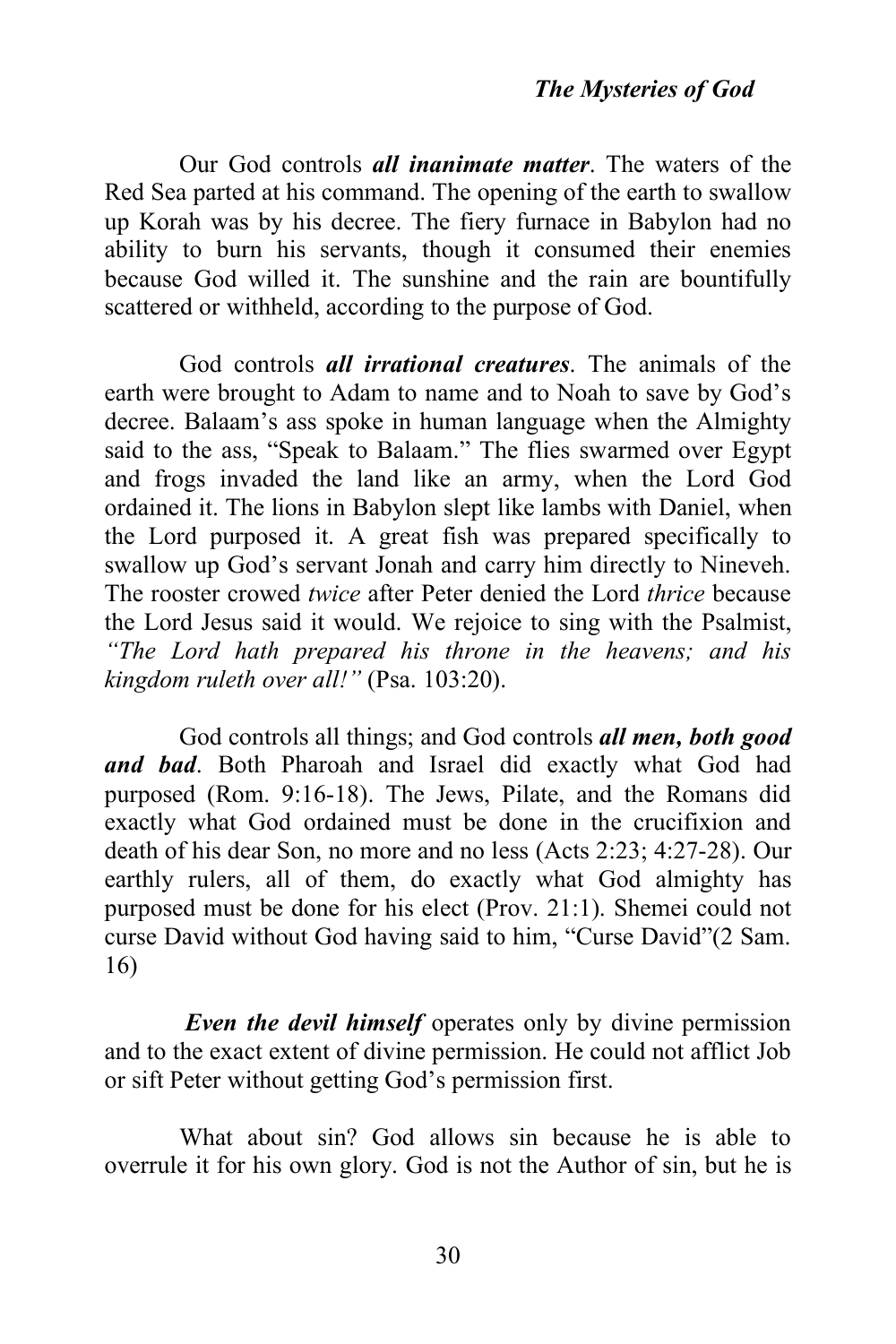Our God controls *all inanimate matter*. The waters of the Red Sea parted at his command. The opening of the earth to swallow up Korah was by his decree. The fiery furnace in Babylon had no ability to burn his servants, though it consumed their enemies because God willed it. The sunshine and the rain are bountifully scattered or withheld, according to the purpose of God.

God controls *all irrational creatures*. The animals of the earth were brought to Adam to name and to Noah to save by God's decree. Balaam's ass spoke in human language when the Almighty said to the ass, "Speak to Balaam." The flies swarmed over Egypt and frogs invaded the land like an army, when the Lord God ordained it. The lions in Babylon slept like lambs with Daniel, when the Lord purposed it. A great fish was prepared specifically to swallow up God's servant Jonah and carry him directly to Nineveh. The rooster crowed *twice* after Peter denied the Lord *thrice* because the Lord Jesus said it would. We rejoice to sing with the Psalmist, *"The Lord hath prepared his throne in the heavens; and his kingdom ruleth over all!"* (Psa. 103:20).

God controls all things; and God controls *all men, both good and bad*. Both Pharoah and Israel did exactly what God had purposed (Rom. 9:16-18). The Jews, Pilate, and the Romans did exactly what God ordained must be done in the crucifixion and death of his dear Son, no more and no less (Acts 2:23; 4:27-28). Our earthly rulers, all of them, do exactly what God almighty has purposed must be done for his elect (Prov. 21:1). Shemei could not curse David without God having said to him, "Curse David"(2 Sam. 16)

*Even the devil himself* operates only by divine permission and to the exact extent of divine permission. He could not afflict Job or sift Peter without getting God's permission first.

What about sin? God allows sin because he is able to overrule it for his own glory. God is not the Author of sin, but he is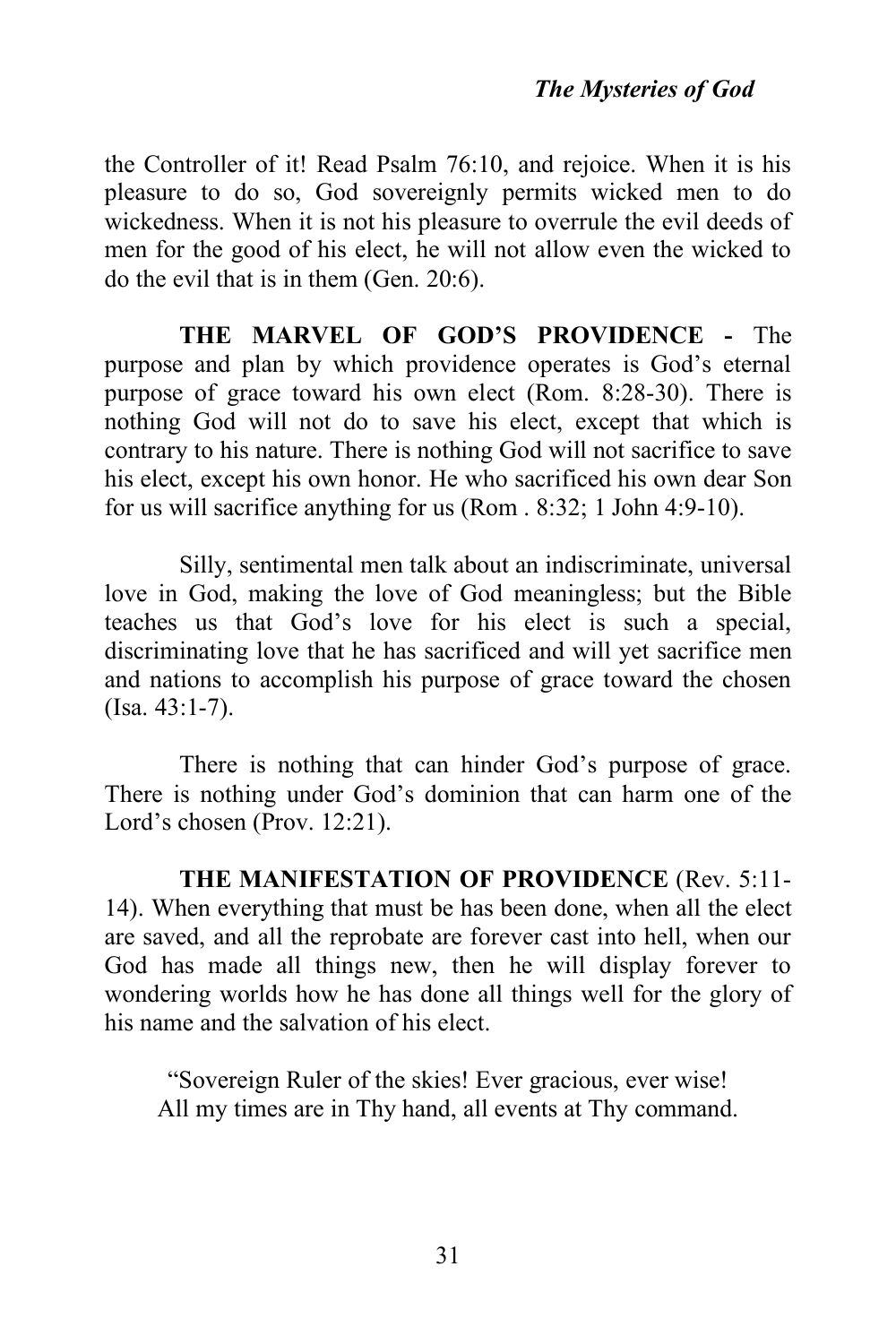the Controller of it! Read Psalm 76:10, and rejoice. When it is his pleasure to do so, God sovereignly permits wicked men to do wickedness. When it is not his pleasure to overrule the evil deeds of men for the good of his elect, he will not allow even the wicked to do the evil that is in them (Gen. 20:6).

**THE MARVEL OF GOD'S PROVIDENCE -** The purpose and plan by which providence operates is God's eternal purpose of grace toward his own elect (Rom. 8:28-30). There is nothing God will not do to save his elect, except that which is contrary to his nature. There is nothing God will not sacrifice to save his elect, except his own honor. He who sacrificed his own dear Son for us will sacrifice anything for us (Rom . 8:32; 1 John 4:9-10).

Silly, sentimental men talk about an indiscriminate, universal love in God, making the love of God meaningless; but the Bible teaches us that God's love for his elect is such a special, discriminating love that he has sacrificed and will yet sacrifice men and nations to accomplish his purpose of grace toward the chosen (Isa. 43:1-7).

There is nothing that can hinder God's purpose of grace. There is nothing under God's dominion that can harm one of the Lord's chosen (Prov. 12:21).

**THE MANIFESTATION OF PROVIDENCE** (Rev. 5:11- 14). When everything that must be has been done, when all the elect are saved, and all the reprobate are forever cast into hell, when our God has made all things new, then he will display forever to wondering worlds how he has done all things well for the glory of his name and the salvation of his elect.

"Sovereign Ruler of the skies! Ever gracious, ever wise! All my times are in Thy hand, all events at Thy command.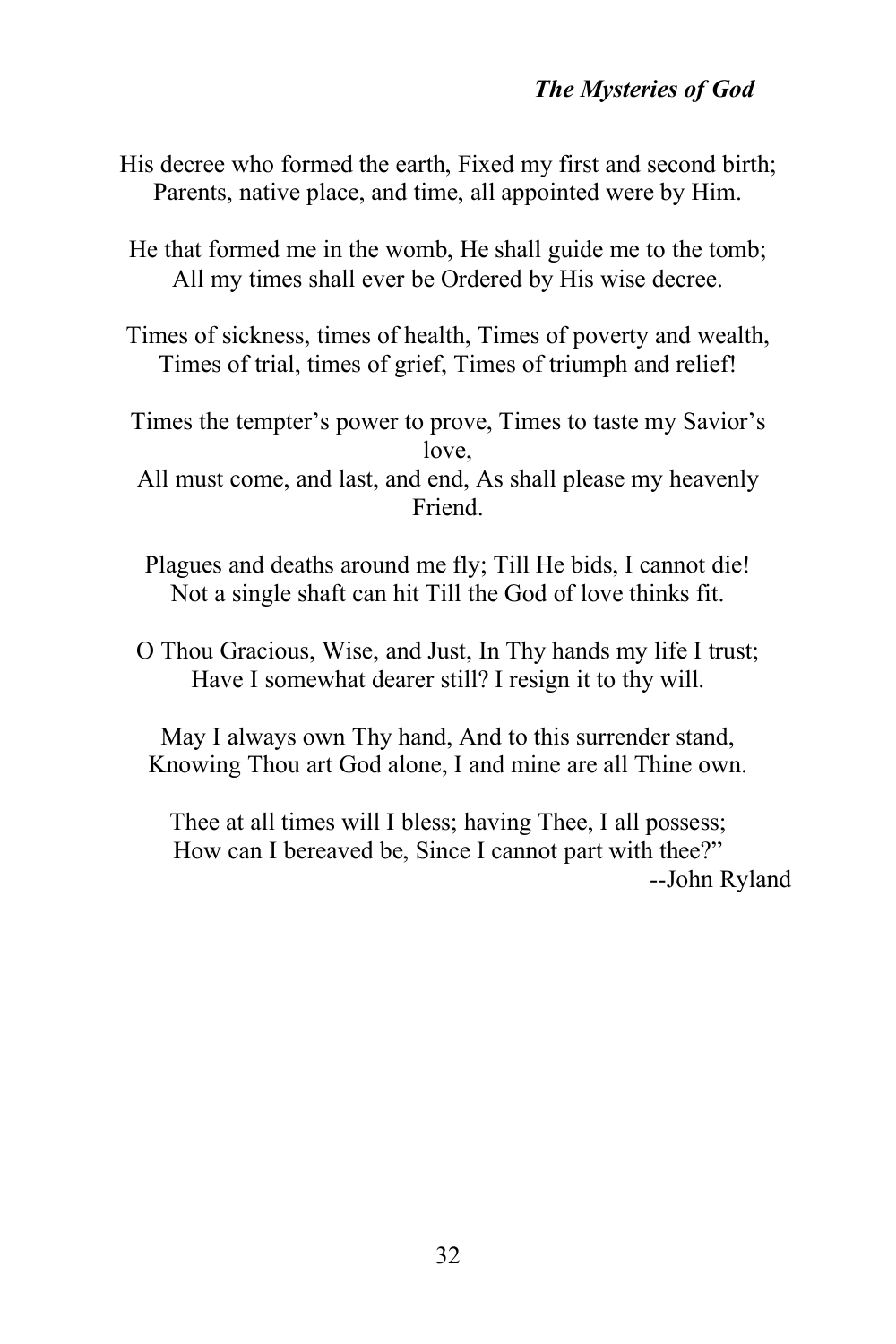- His decree who formed the earth, Fixed my first and second birth; Parents, native place, and time, all appointed were by Him.
- He that formed me in the womb, He shall guide me to the tomb; All my times shall ever be Ordered by His wise decree.
- Times of sickness, times of health, Times of poverty and wealth, Times of trial, times of grief, Times of triumph and relief!

Times the tempter's power to prove, Times to taste my Savior's love,

All must come, and last, and end, As shall please my heavenly Friend.

Plagues and deaths around me fly; Till He bids, I cannot die! Not a single shaft can hit Till the God of love thinks fit.

O Thou Gracious, Wise, and Just, In Thy hands my life I trust; Have I somewhat dearer still? I resign it to thy will.

May I always own Thy hand, And to this surrender stand, Knowing Thou art God alone, I and mine are all Thine own.

Thee at all times will I bless; having Thee, I all possess; How can I bereaved be, Since I cannot part with thee?" --John Ryland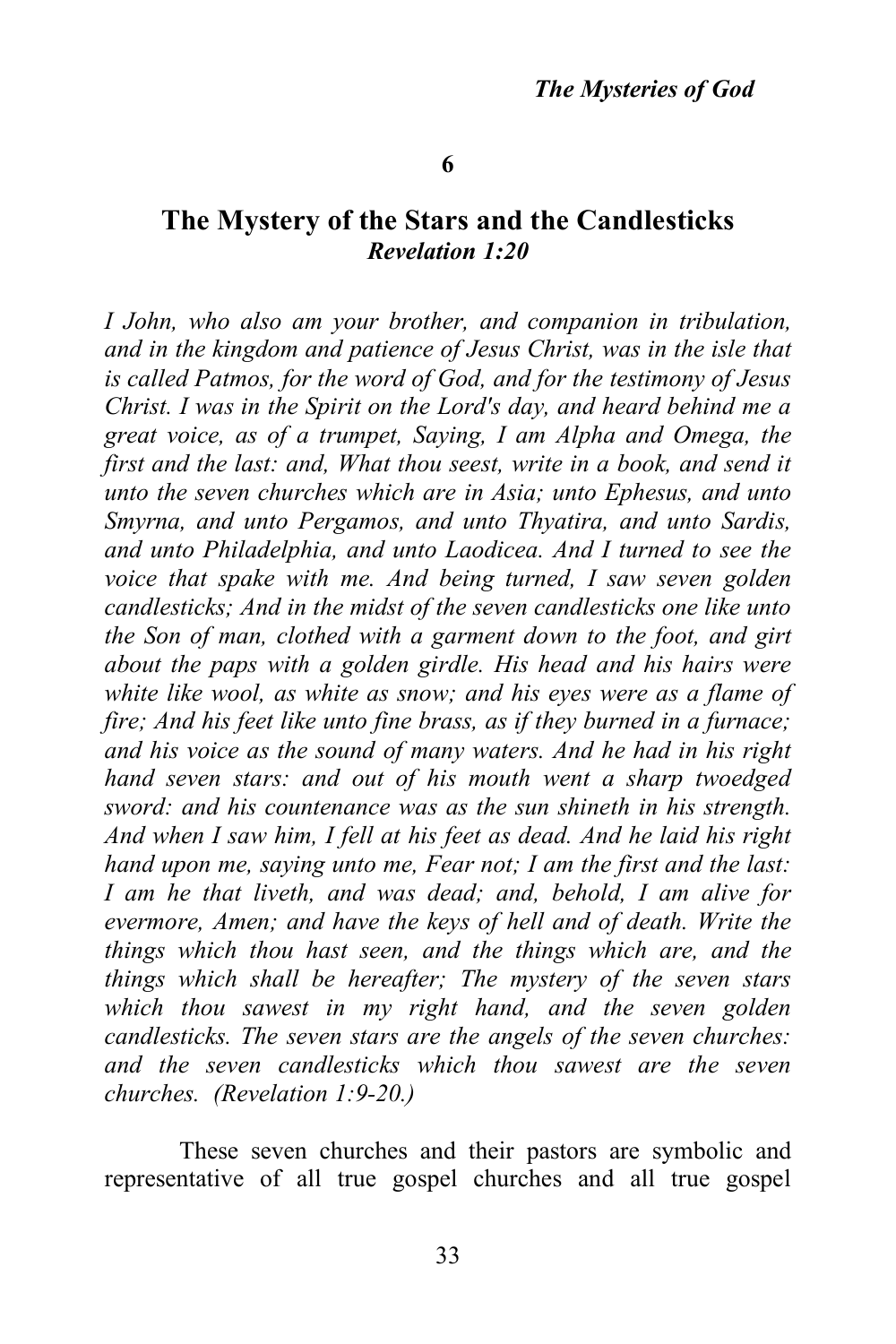**6**

## **The Mystery of the Stars and the Candlesticks** *Revelation 1:20*

*I John, who also am your brother, and companion in tribulation, and in the kingdom and patience of Jesus Christ, was in the isle that is called Patmos, for the word of God, and for the testimony of Jesus Christ. I was in the Spirit on the Lord's day, and heard behind me a great voice, as of a trumpet, Saying, I am Alpha and Omega, the first and the last: and, What thou seest, write in a book, and send it unto the seven churches which are in Asia; unto Ephesus, and unto Smyrna, and unto Pergamos, and unto Thyatira, and unto Sardis, and unto Philadelphia, and unto Laodicea. And I turned to see the voice that spake with me. And being turned, I saw seven golden candlesticks; And in the midst of the seven candlesticks one like unto the Son of man, clothed with a garment down to the foot, and girt about the paps with a golden girdle. His head and his hairs were white like wool, as white as snow; and his eyes were as a flame of fire; And his feet like unto fine brass, as if they burned in a furnace; and his voice as the sound of many waters. And he had in his right hand seven stars: and out of his mouth went a sharp twoedged sword: and his countenance was as the sun shineth in his strength. And when I saw him, I fell at his feet as dead. And he laid his right hand upon me, saying unto me, Fear not; I am the first and the last: I am he that liveth, and was dead; and, behold, I am alive for evermore, Amen; and have the keys of hell and of death. Write the things which thou hast seen, and the things which are, and the things which shall be hereafter; The mystery of the seven stars which thou sawest in my right hand, and the seven golden candlesticks. The seven stars are the angels of the seven churches: and the seven candlesticks which thou sawest are the seven churches. (Revelation 1:9-20.)*

These seven churches and their pastors are symbolic and representative of all true gospel churches and all true gospel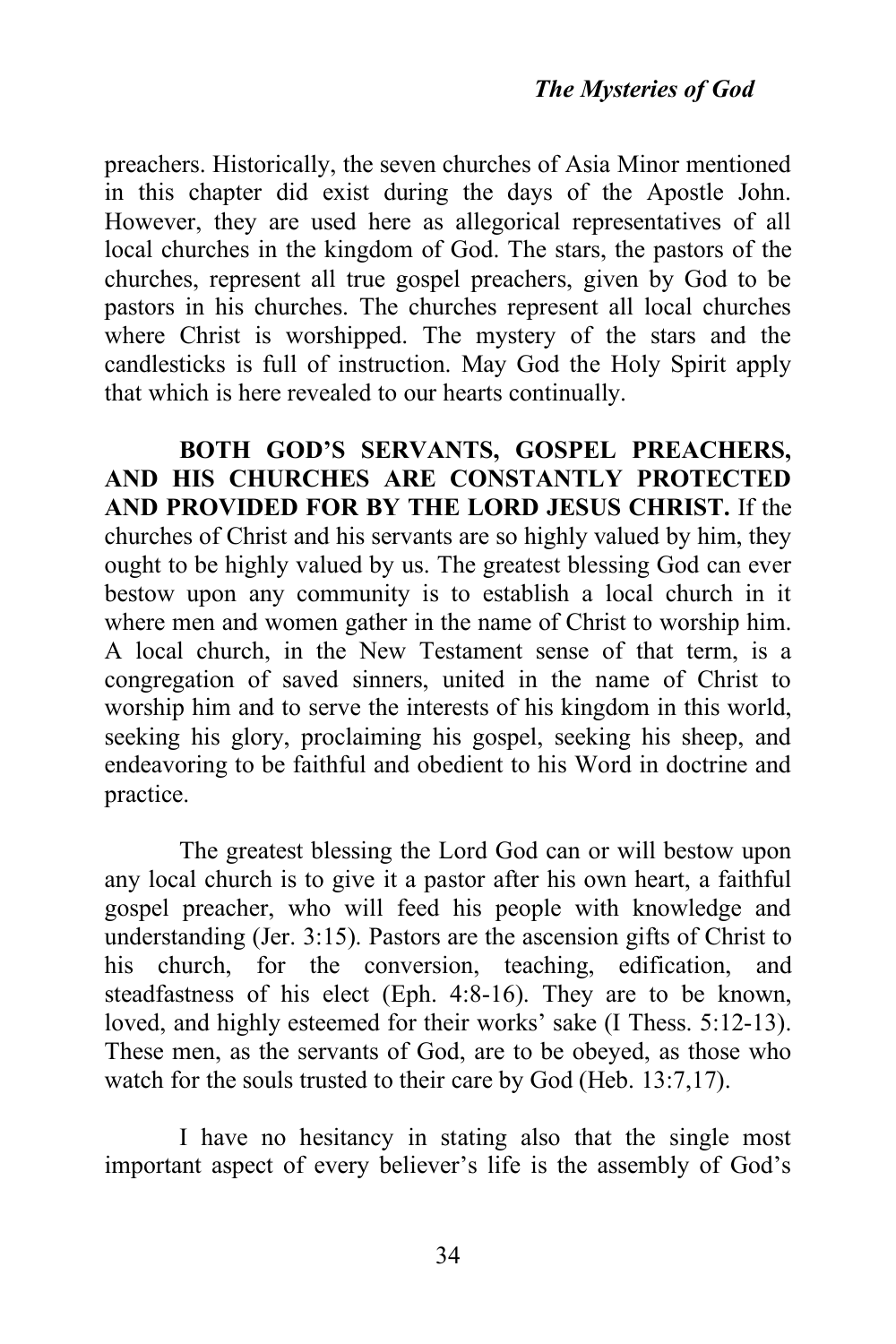preachers. Historically, the seven churches of Asia Minor mentioned in this chapter did exist during the days of the Apostle John. However, they are used here as allegorical representatives of all local churches in the kingdom of God. The stars, the pastors of the churches, represent all true gospel preachers, given by God to be pastors in his churches. The churches represent all local churches where Christ is worshipped. The mystery of the stars and the candlesticks is full of instruction. May God the Holy Spirit apply that which is here revealed to our hearts continually.

**BOTH GOD'S SERVANTS, GOSPEL PREACHERS, AND HIS CHURCHES ARE CONSTANTLY PROTECTED AND PROVIDED FOR BY THE LORD JESUS CHRIST.** If the churches of Christ and his servants are so highly valued by him, they ought to be highly valued by us. The greatest blessing God can ever bestow upon any community is to establish a local church in it where men and women gather in the name of Christ to worship him. A local church, in the New Testament sense of that term, is a congregation of saved sinners, united in the name of Christ to worship him and to serve the interests of his kingdom in this world, seeking his glory, proclaiming his gospel, seeking his sheep, and endeavoring to be faithful and obedient to his Word in doctrine and practice.

The greatest blessing the Lord God can or will bestow upon any local church is to give it a pastor after his own heart, a faithful gospel preacher, who will feed his people with knowledge and understanding (Jer. 3:15). Pastors are the ascension gifts of Christ to his church, for the conversion, teaching, edification, and steadfastness of his elect (Eph. 4:8-16). They are to be known, loved, and highly esteemed for their works' sake (I Thess. 5:12-13). These men, as the servants of God, are to be obeyed, as those who watch for the souls trusted to their care by God (Heb. 13:7,17).

I have no hesitancy in stating also that the single most important aspect of every believer's life is the assembly of God's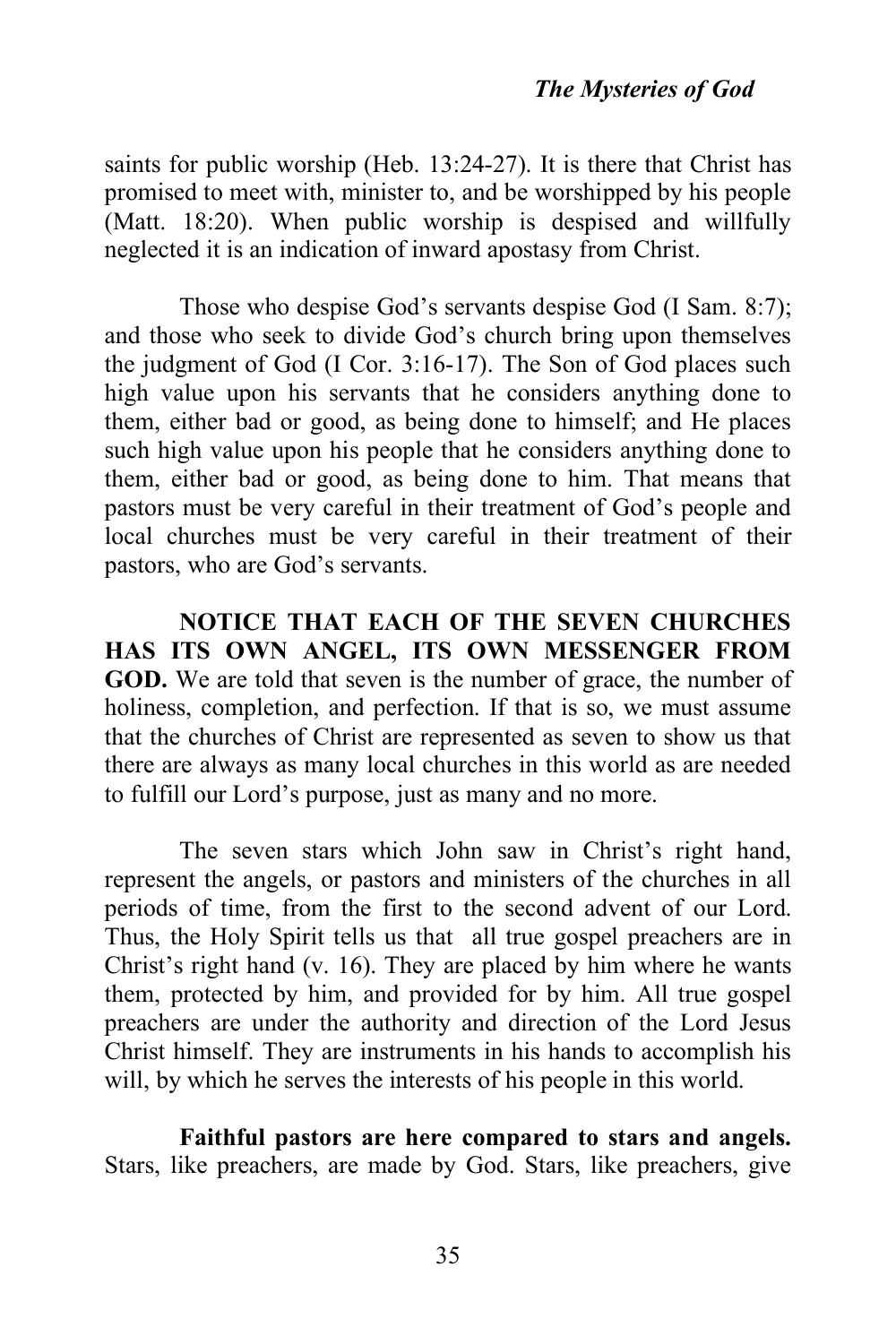saints for public worship (Heb. 13:24-27). It is there that Christ has promised to meet with, minister to, and be worshipped by his people (Matt. 18:20). When public worship is despised and willfully neglected it is an indication of inward apostasy from Christ.

Those who despise God's servants despise God (I Sam. 8:7); and those who seek to divide God's church bring upon themselves the judgment of God (I Cor. 3:16-17). The Son of God places such high value upon his servants that he considers anything done to them, either bad or good, as being done to himself; and He places such high value upon his people that he considers anything done to them, either bad or good, as being done to him. That means that pastors must be very careful in their treatment of God's people and local churches must be very careful in their treatment of their pastors, who are God's servants.

**NOTICE THAT EACH OF THE SEVEN CHURCHES HAS ITS OWN ANGEL, ITS OWN MESSENGER FROM GOD.** We are told that seven is the number of grace, the number of holiness, completion, and perfection. If that is so, we must assume that the churches of Christ are represented as seven to show us that there are always as many local churches in this world as are needed to fulfill our Lord's purpose, just as many and no more.

The seven stars which John saw in Christ's right hand, represent the angels, or pastors and ministers of the churches in all periods of time, from the first to the second advent of our Lord. Thus, the Holy Spirit tells us that all true gospel preachers are in Christ's right hand (v. 16). They are placed by him where he wants them, protected by him, and provided for by him. All true gospel preachers are under the authority and direction of the Lord Jesus Christ himself. They are instruments in his hands to accomplish his will, by which he serves the interests of his people in this world.

**Faithful pastors are here compared to stars and angels.**  Stars, like preachers, are made by God. Stars, like preachers, give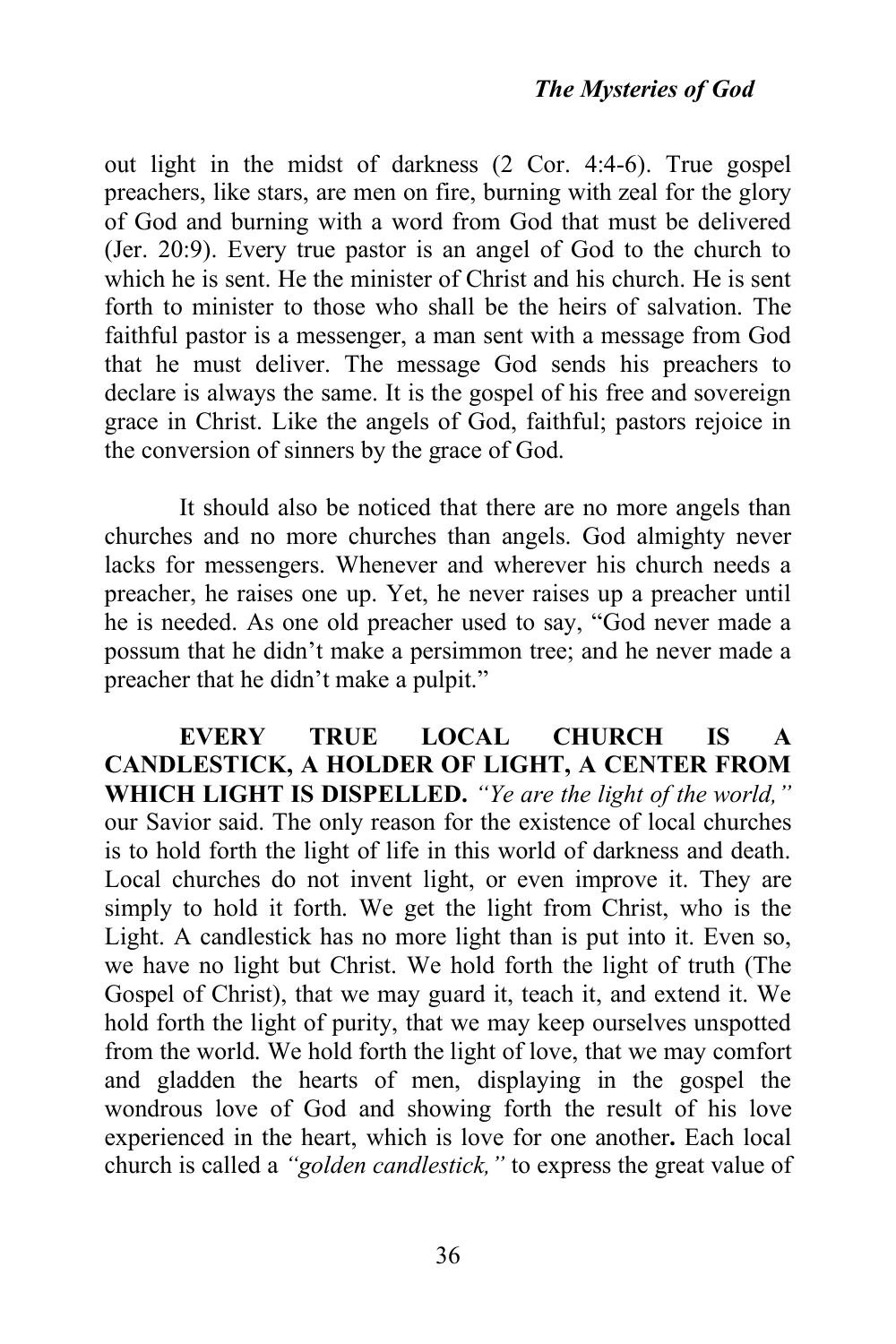out light in the midst of darkness (2 Cor. 4:4-6). True gospel preachers, like stars, are men on fire, burning with zeal for the glory of God and burning with a word from God that must be delivered (Jer. 20:9). Every true pastor is an angel of God to the church to which he is sent. He the minister of Christ and his church. He is sent forth to minister to those who shall be the heirs of salvation. The faithful pastor is a messenger, a man sent with a message from God that he must deliver. The message God sends his preachers to declare is always the same. It is the gospel of his free and sovereign grace in Christ. Like the angels of God, faithful; pastors rejoice in the conversion of sinners by the grace of God.

It should also be noticed that there are no more angels than churches and no more churches than angels. God almighty never lacks for messengers. Whenever and wherever his church needs a preacher, he raises one up. Yet, he never raises up a preacher until he is needed. As one old preacher used to say, "God never made a possum that he didn't make a persimmon tree; and he never made a preacher that he didn't make a pulpit."

**EVERY TRUE LOCAL CHURCH IS A CANDLESTICK, A HOLDER OF LIGHT, A CENTER FROM WHICH LIGHT IS DISPELLED.** *"Ye are the light of the world,"*  our Savior said. The only reason for the existence of local churches is to hold forth the light of life in this world of darkness and death. Local churches do not invent light, or even improve it. They are simply to hold it forth. We get the light from Christ, who is the Light. A candlestick has no more light than is put into it. Even so, we have no light but Christ. We hold forth the light of truth (The Gospel of Christ), that we may guard it, teach it, and extend it. We hold forth the light of purity, that we may keep ourselves unspotted from the world. We hold forth the light of love, that we may comfort and gladden the hearts of men, displaying in the gospel the wondrous love of God and showing forth the result of his love experienced in the heart, which is love for one another**.** Each local church is called a *"golden candlestick,"* to express the great value of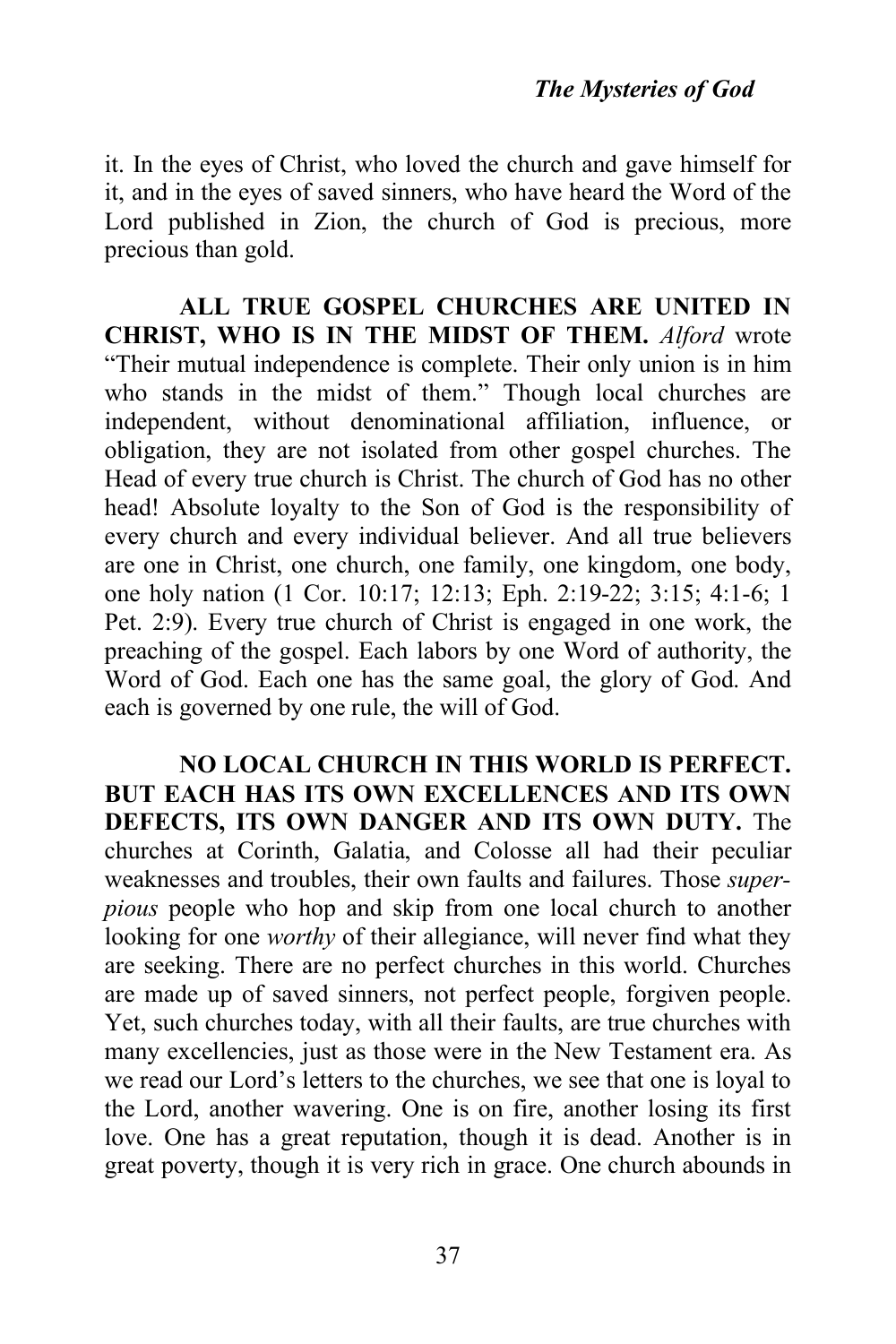it. In the eyes of Christ, who loved the church and gave himself for it, and in the eyes of saved sinners, who have heard the Word of the Lord published in Zion, the church of God is precious, more precious than gold.

**ALL TRUE GOSPEL CHURCHES ARE UNITED IN CHRIST, WHO IS IN THE MIDST OF THEM.** *Alford* wrote "Their mutual independence is complete. Their only union is in him who stands in the midst of them." Though local churches are independent, without denominational affiliation, influence, or obligation, they are not isolated from other gospel churches. The Head of every true church is Christ. The church of God has no other head! Absolute loyalty to the Son of God is the responsibility of every church and every individual believer. And all true believers are one in Christ, one church, one family, one kingdom, one body, one holy nation (1 Cor. 10:17; 12:13; Eph. 2:19-22; 3:15; 4:1-6; 1 Pet. 2:9). Every true church of Christ is engaged in one work, the preaching of the gospel. Each labors by one Word of authority, the Word of God. Each one has the same goal, the glory of God. And each is governed by one rule, the will of God.

**NO LOCAL CHURCH IN THIS WORLD IS PERFECT. BUT EACH HAS ITS OWN EXCELLENCES AND ITS OWN DEFECTS, ITS OWN DANGER AND ITS OWN DUTY.** The churches at Corinth, Galatia, and Colosse all had their peculiar weaknesses and troubles, their own faults and failures. Those *superpious* people who hop and skip from one local church to another looking for one *worthy* of their allegiance, will never find what they are seeking. There are no perfect churches in this world. Churches are made up of saved sinners, not perfect people, forgiven people. Yet, such churches today, with all their faults, are true churches with many excellencies, just as those were in the New Testament era. As we read our Lord's letters to the churches, we see that one is loyal to the Lord, another wavering. One is on fire, another losing its first love. One has a great reputation, though it is dead. Another is in great poverty, though it is very rich in grace. One church abounds in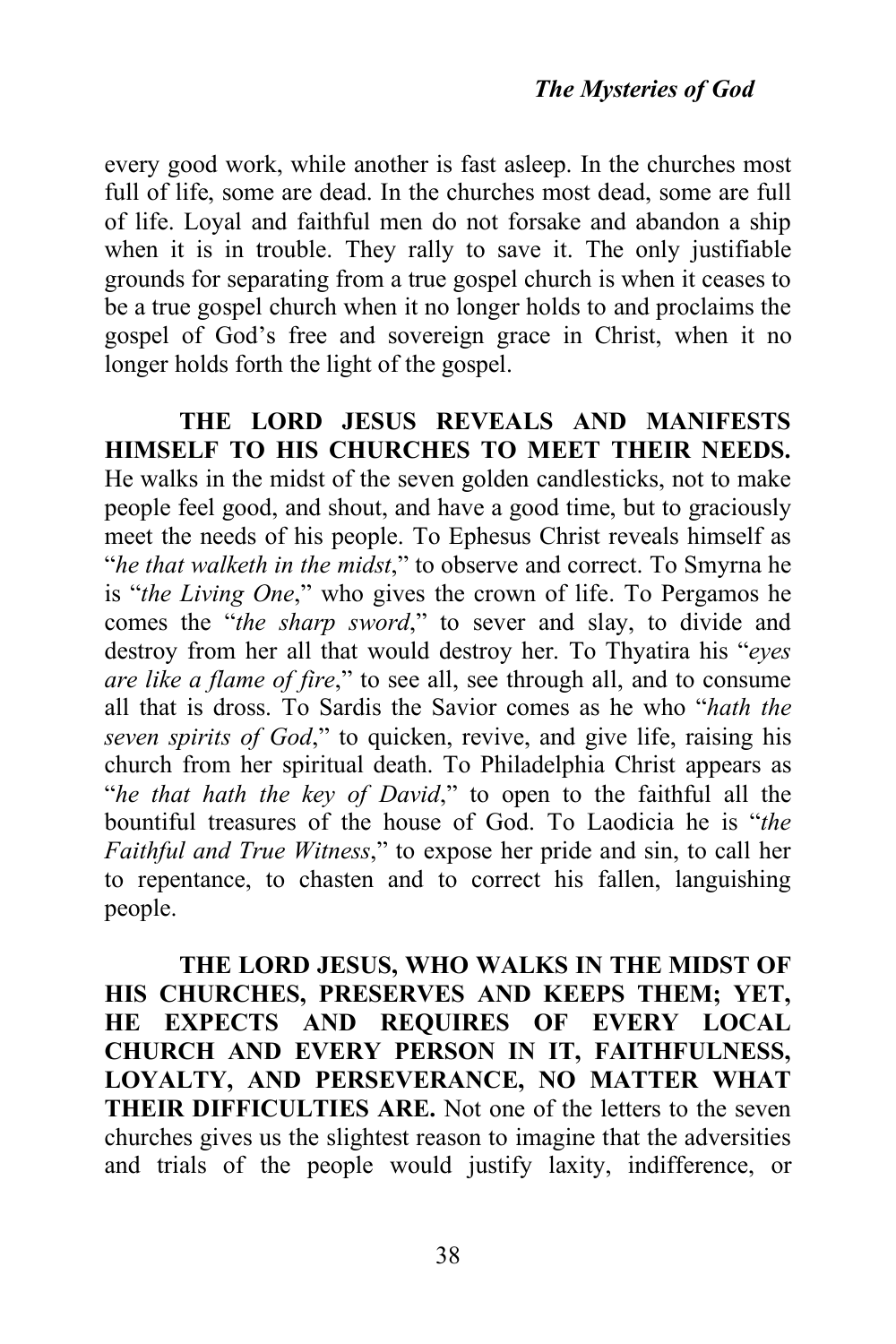every good work, while another is fast asleep. In the churches most full of life, some are dead. In the churches most dead, some are full of life. Loyal and faithful men do not forsake and abandon a ship when it is in trouble. They rally to save it. The only justifiable grounds for separating from a true gospel church is when it ceases to be a true gospel church when it no longer holds to and proclaims the gospel of God's free and sovereign grace in Christ, when it no longer holds forth the light of the gospel.

**THE LORD JESUS REVEALS AND MANIFESTS HIMSELF TO HIS CHURCHES TO MEET THEIR NEEDS.**  He walks in the midst of the seven golden candlesticks, not to make people feel good, and shout, and have a good time, but to graciously meet the needs of his people. To Ephesus Christ reveals himself as "*he that walketh in the midst*," to observe and correct. To Smyrna he is "*the Living One*," who gives the crown of life. To Pergamos he comes the "*the sharp sword*," to sever and slay, to divide and destroy from her all that would destroy her. To Thyatira his "*eyes are like a flame of fire*," to see all, see through all, and to consume all that is dross. To Sardis the Savior comes as he who "*hath the seven spirits of God*," to quicken, revive, and give life, raising his church from her spiritual death. To Philadelphia Christ appears as "*he that hath the key of David*," to open to the faithful all the bountiful treasures of the house of God. To Laodicia he is "*the Faithful and True Witness*," to expose her pride and sin, to call her to repentance, to chasten and to correct his fallen, languishing people.

**THE LORD JESUS, WHO WALKS IN THE MIDST OF HIS CHURCHES, PRESERVES AND KEEPS THEM; YET, HE EXPECTS AND REQUIRES OF EVERY LOCAL CHURCH AND EVERY PERSON IN IT, FAITHFULNESS, LOYALTY, AND PERSEVERANCE, NO MATTER WHAT THEIR DIFFICULTIES ARE.** Not one of the letters to the seven churches gives us the slightest reason to imagine that the adversities and trials of the people would justify laxity, indifference, or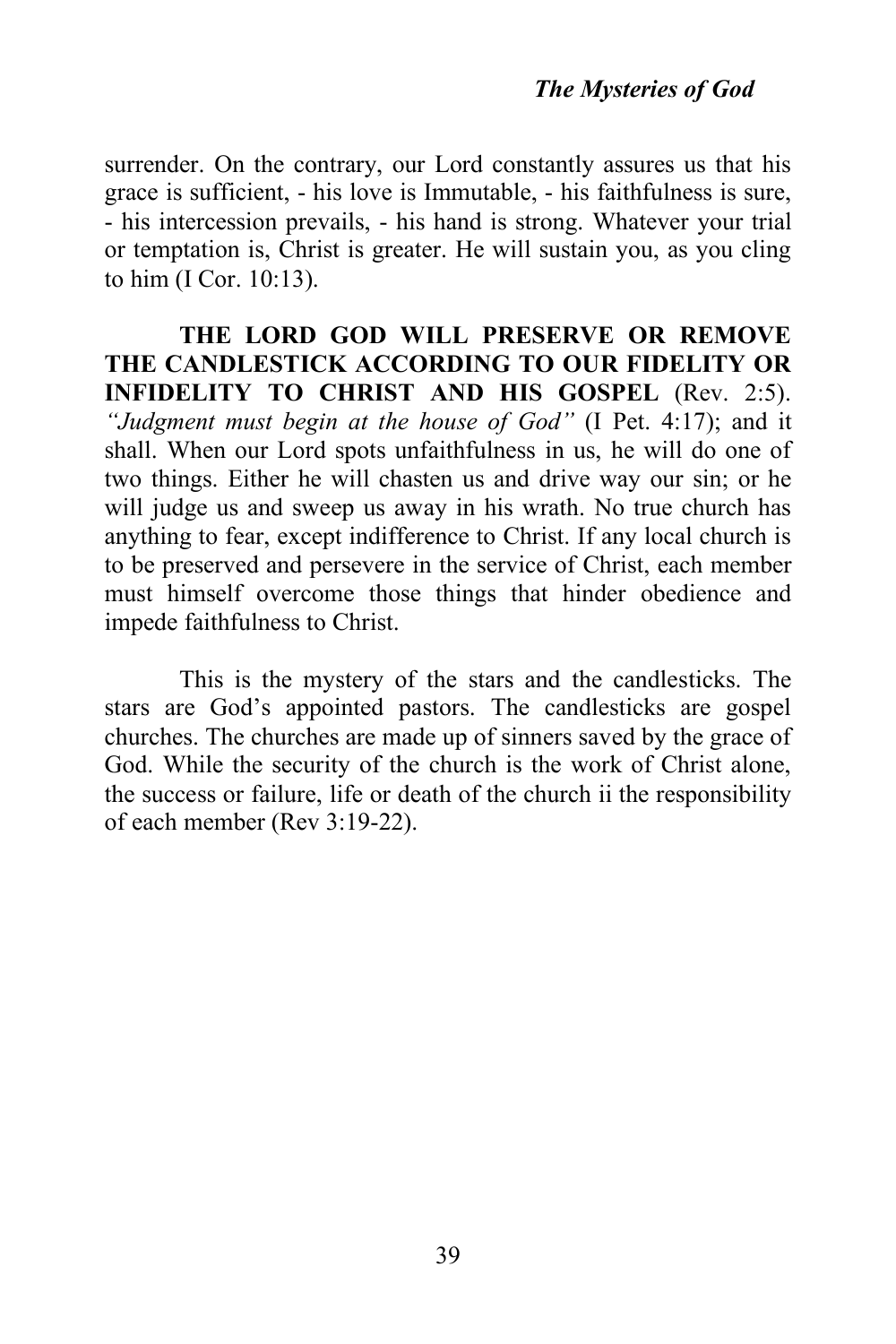surrender. On the contrary, our Lord constantly assures us that his grace is sufficient, - his love is Immutable, - his faithfulness is sure, - his intercession prevails, - his hand is strong. Whatever your trial or temptation is, Christ is greater. He will sustain you, as you cling to him (I Cor. 10:13).

**THE LORD GOD WILL PRESERVE OR REMOVE THE CANDLESTICK ACCORDING TO OUR FIDELITY OR INFIDELITY TO CHRIST AND HIS GOSPEL** (Rev. 2:5). *"Judgment must begin at the house of God"* (I Pet. 4:17); and it shall. When our Lord spots unfaithfulness in us, he will do one of two things. Either he will chasten us and drive way our sin; or he will judge us and sweep us away in his wrath. No true church has anything to fear, except indifference to Christ. If any local church is to be preserved and persevere in the service of Christ, each member must himself overcome those things that hinder obedience and impede faithfulness to Christ.

This is the mystery of the stars and the candlesticks. The stars are God's appointed pastors. The candlesticks are gospel churches. The churches are made up of sinners saved by the grace of God. While the security of the church is the work of Christ alone, the success or failure, life or death of the church ii the responsibility of each member (Rev 3:19-22).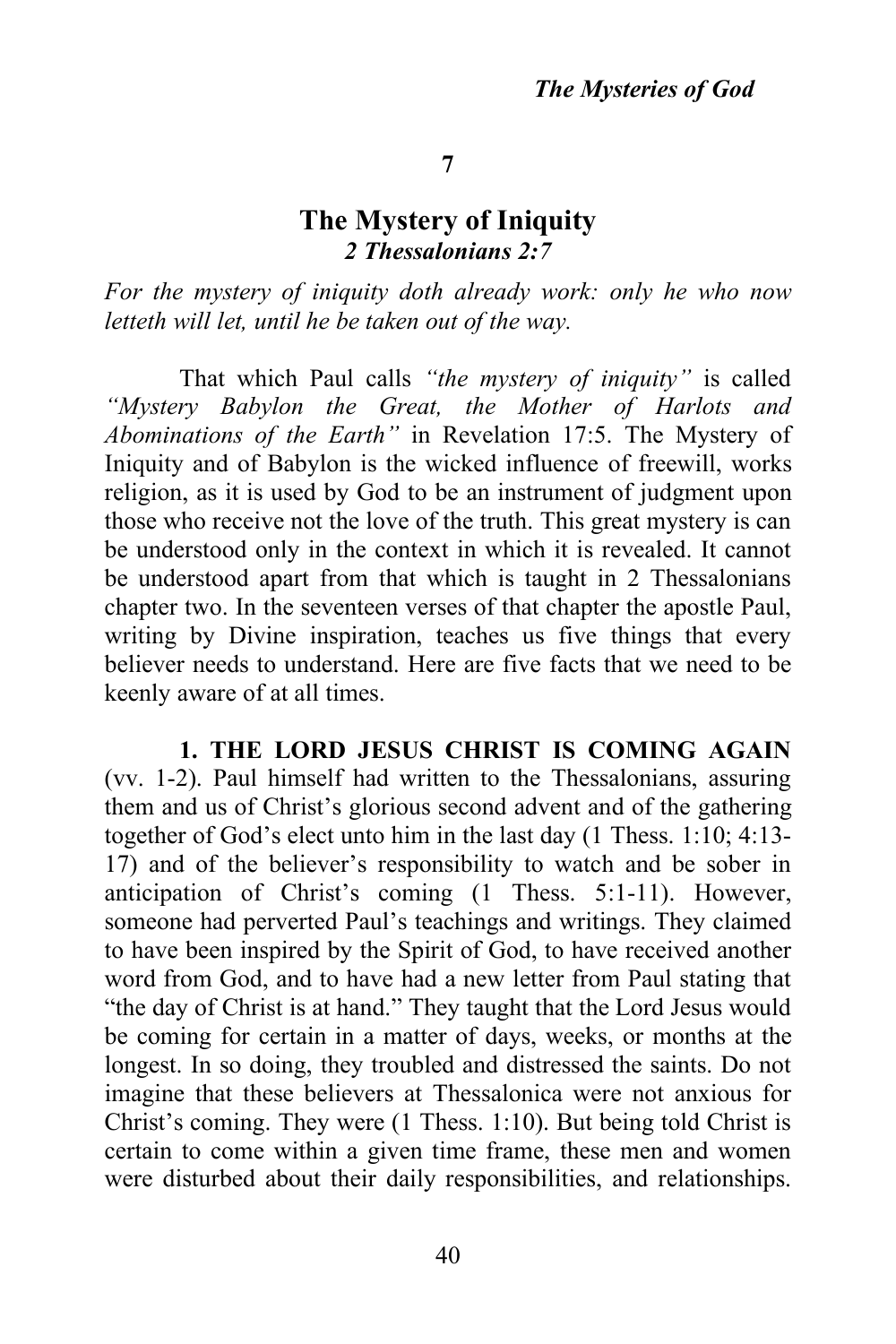**7**

## **The Mystery of Iniquity** *2 Thessalonians 2:7*

*For the mystery of iniquity doth already work: only he who now letteth will let, until he be taken out of the way.*

That which Paul calls *"the mystery of iniquity"* is called *"Mystery Babylon the Great, the Mother of Harlots and Abominations of the Earth"* in Revelation 17:5. The Mystery of Iniquity and of Babylon is the wicked influence of freewill, works religion, as it is used by God to be an instrument of judgment upon those who receive not the love of the truth. This great mystery is can be understood only in the context in which it is revealed. It cannot be understood apart from that which is taught in 2 Thessalonians chapter two. In the seventeen verses of that chapter the apostle Paul, writing by Divine inspiration, teaches us five things that every believer needs to understand. Here are five facts that we need to be keenly aware of at all times.

**1. THE LORD JESUS CHRIST IS COMING AGAIN**  (vv. 1-2). Paul himself had written to the Thessalonians, assuring them and us of Christ's glorious second advent and of the gathering together of God's elect unto him in the last day (1 Thess. 1:10; 4:13- 17) and of the believer's responsibility to watch and be sober in anticipation of Christ's coming (1 Thess. 5:1-11). However, someone had perverted Paul's teachings and writings. They claimed to have been inspired by the Spirit of God, to have received another word from God, and to have had a new letter from Paul stating that "the day of Christ is at hand." They taught that the Lord Jesus would be coming for certain in a matter of days, weeks, or months at the longest. In so doing, they troubled and distressed the saints. Do not imagine that these believers at Thessalonica were not anxious for Christ's coming. They were (1 Thess. 1:10). But being told Christ is certain to come within a given time frame, these men and women were disturbed about their daily responsibilities, and relationships.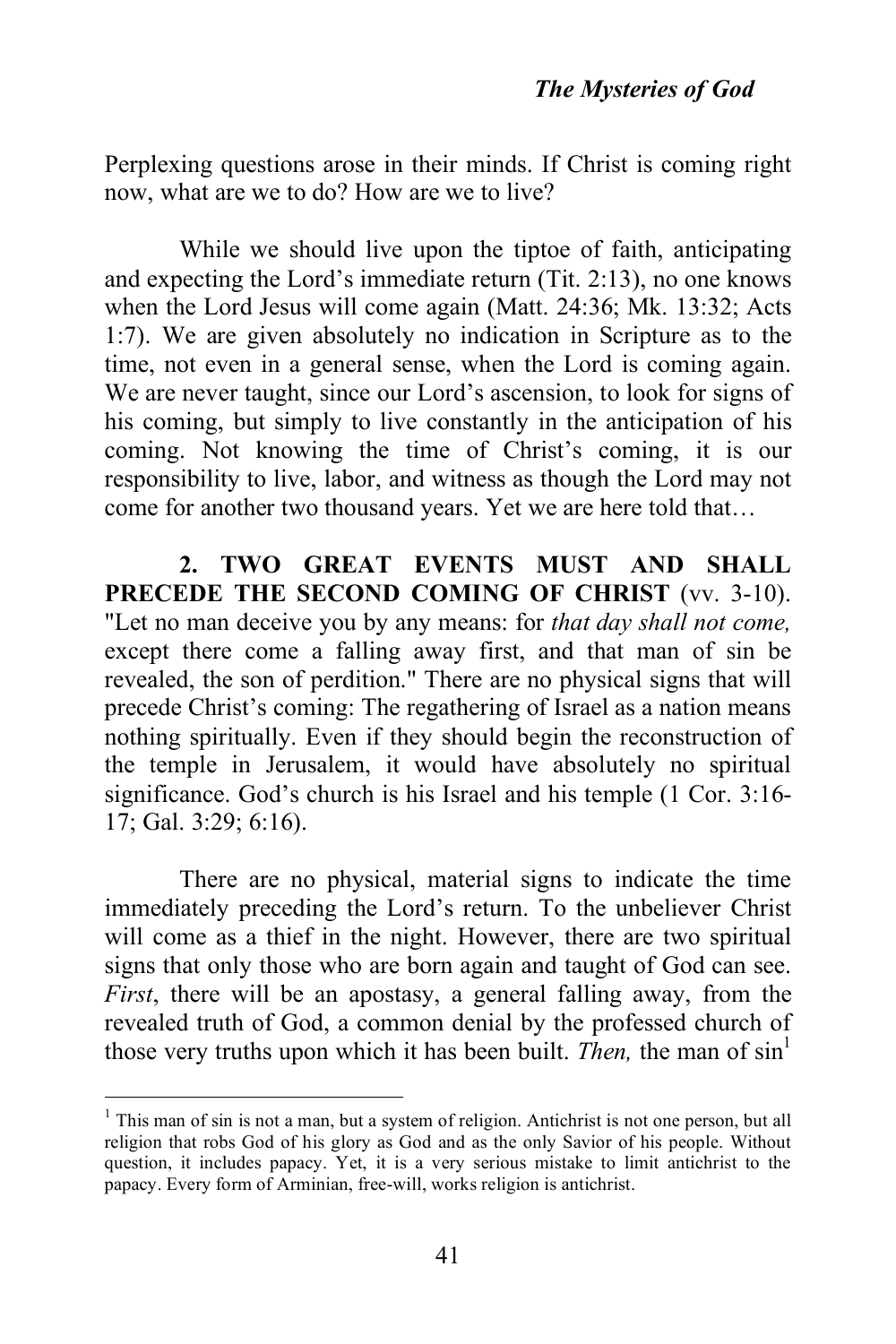Perplexing questions arose in their minds. If Christ is coming right now, what are we to do? How are we to live?

While we should live upon the tiptoe of faith, anticipating and expecting the Lord's immediate return (Tit. 2:13), no one knows when the Lord Jesus will come again (Matt. 24:36; Mk. 13:32; Acts 1:7). We are given absolutely no indication in Scripture as to the time, not even in a general sense, when the Lord is coming again. We are never taught, since our Lord's ascension, to look for signs of his coming, but simply to live constantly in the anticipation of his coming. Not knowing the time of Christ's coming, it is our responsibility to live, labor, and witness as though the Lord may not come for another two thousand years. Yet we are here told that…

**2. TWO GREAT EVENTS MUST AND SHALL PRECEDE THE SECOND COMING OF CHRIST** (vv. 3-10). "Let no man deceive you by any means: for *that day shall not come,*  except there come a falling away first, and that man of sin be revealed, the son of perdition." There are no physical signs that will precede Christ's coming: The regathering of Israel as a nation means nothing spiritually. Even if they should begin the reconstruction of the temple in Jerusalem, it would have absolutely no spiritual significance. God's church is his Israel and his temple (1 Cor. 3:16- 17; Gal. 3:29; 6:16).

There are no physical, material signs to indicate the time immediately preceding the Lord's return. To the unbeliever Christ will come as a thief in the night. However, there are two spiritual signs that only those who are born again and taught of God can see. *First*, there will be an apostasy, a general falling away, from the revealed truth of God, a common denial by the professed church of those very truths upon which it has been built. *Then*, the man of  $\sin<sup>1</sup>$ 

 $\frac{1}{1}$ <sup>1</sup> This man of sin is not a man, but a system of religion. Antichrist is not one person, but all religion that robs God of his glory as God and as the only Savior of his people. Without question, it includes papacy. Yet, it is a very serious mistake to limit antichrist to the papacy. Every form of Arminian, free-will, works religion is antichrist.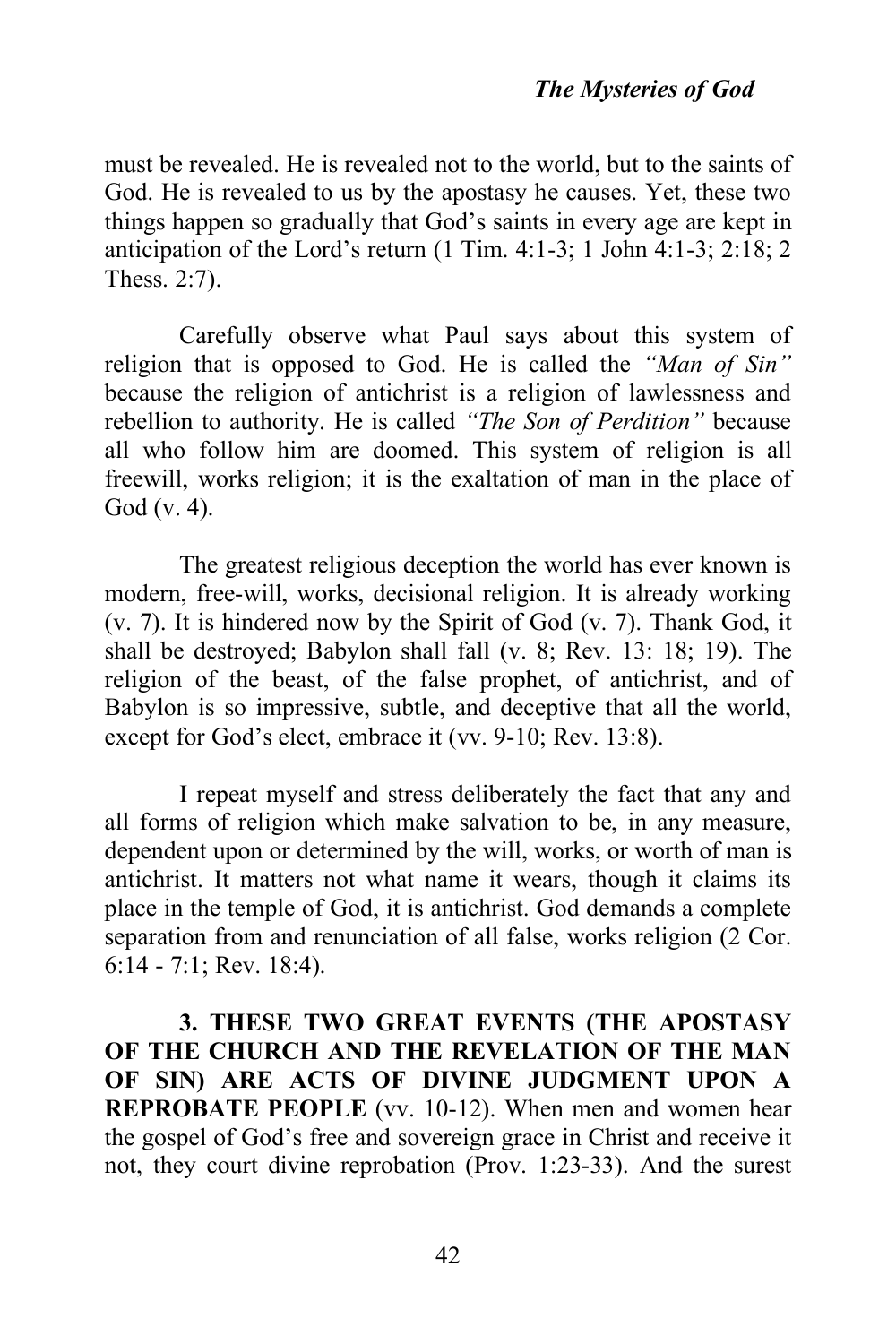must be revealed. He is revealed not to the world, but to the saints of God. He is revealed to us by the apostasy he causes. Yet, these two things happen so gradually that God's saints in every age are kept in anticipation of the Lord's return  $(1 \text{ Tim. } 4:1-3; 1 \text{ John } 4:1-3; 2:18; 2)$ Thess. 2:7).

Carefully observe what Paul says about this system of religion that is opposed to God. He is called the *"Man of Sin"* because the religion of antichrist is a religion of lawlessness and rebellion to authority. He is called *"The Son of Perdition"* because all who follow him are doomed. This system of religion is all freewill, works religion; it is the exaltation of man in the place of God (v. 4).

The greatest religious deception the world has ever known is modern, free-will, works, decisional religion. It is already working (v. 7). It is hindered now by the Spirit of God (v. 7). Thank God, it shall be destroyed; Babylon shall fall (v. 8; Rev. 13: 18; 19). The religion of the beast, of the false prophet, of antichrist, and of Babylon is so impressive, subtle, and deceptive that all the world, except for God's elect, embrace it (vv. 9-10; Rev. 13:8).

I repeat myself and stress deliberately the fact that any and all forms of religion which make salvation to be, in any measure, dependent upon or determined by the will, works, or worth of man is antichrist. It matters not what name it wears, though it claims its place in the temple of God, it is antichrist. God demands a complete separation from and renunciation of all false, works religion (2 Cor. 6:14 - 7:1; Rev. 18:4).

**3. THESE TWO GREAT EVENTS (THE APOSTASY OF THE CHURCH AND THE REVELATION OF THE MAN OF SIN) ARE ACTS OF DIVINE JUDGMENT UPON A REPROBATE PEOPLE** (vv. 10-12). When men and women hear the gospel of God's free and sovereign grace in Christ and receive it not, they court divine reprobation (Prov. 1:23-33). And the surest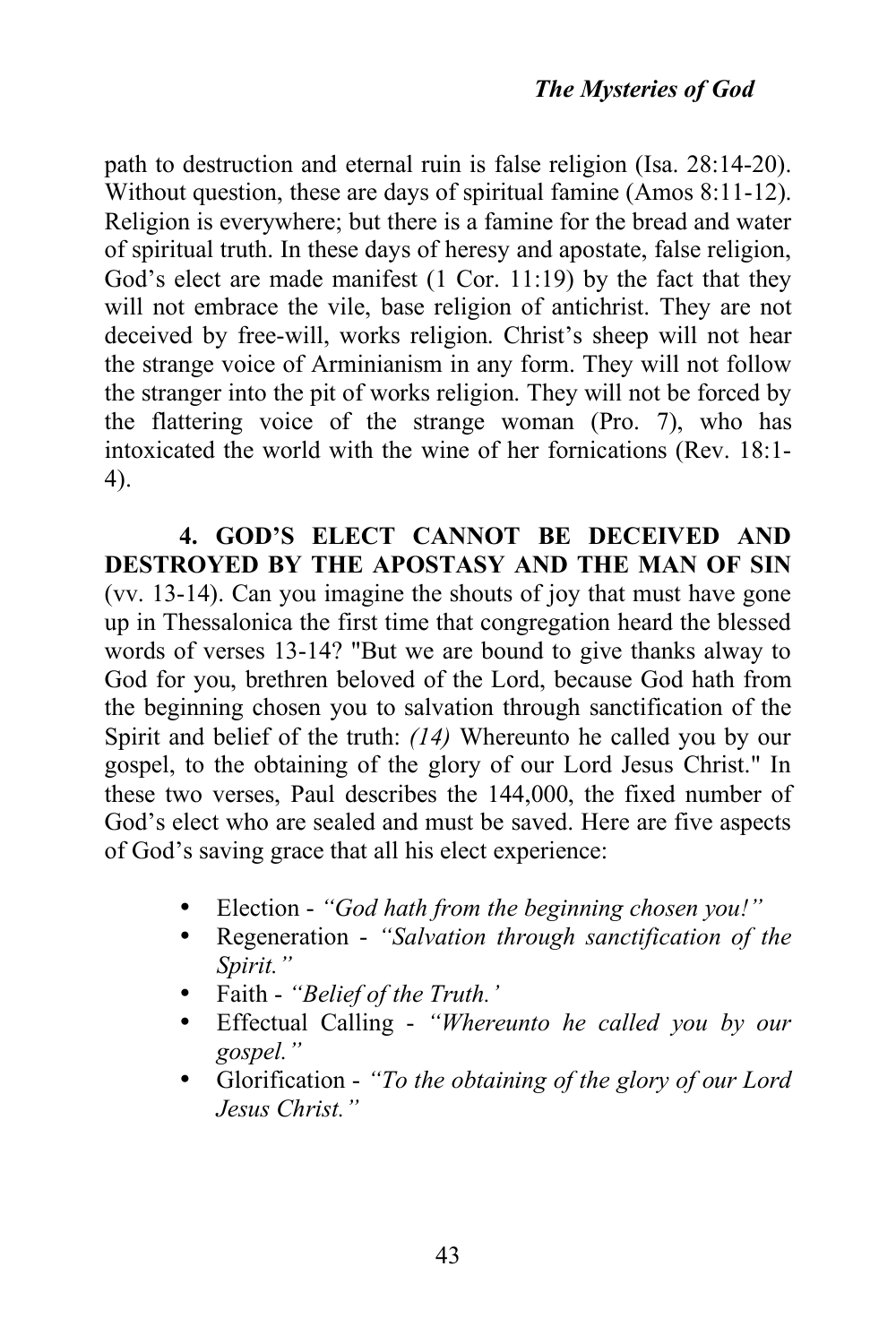path to destruction and eternal ruin is false religion (Isa. 28:14-20). Without question, these are days of spiritual famine (Amos 8:11-12). Religion is everywhere; but there is a famine for the bread and water of spiritual truth. In these days of heresy and apostate, false religion, God's elect are made manifest (1 Cor. 11:19) by the fact that they will not embrace the vile, base religion of antichrist. They are not deceived by free-will, works religion. Christ's sheep will not hear the strange voice of Arminianism in any form. They will not follow the stranger into the pit of works religion. They will not be forced by the flattering voice of the strange woman (Pro. 7), who has intoxicated the world with the wine of her fornications (Rev. 18:1- 4).

**4. GOD'S ELECT CANNOT BE DECEIVED AND DESTROYED BY THE APOSTASY AND THE MAN OF SIN**  (vv. 13-14). Can you imagine the shouts of joy that must have gone up in Thessalonica the first time that congregation heard the blessed words of verses 13-14? "But we are bound to give thanks alway to God for you, brethren beloved of the Lord, because God hath from the beginning chosen you to salvation through sanctification of the Spirit and belief of the truth: *(14)* Whereunto he called you by our gospel, to the obtaining of the glory of our Lord Jesus Christ." In these two verses, Paul describes the 144,000, the fixed number of God's elect who are sealed and must be saved. Here are five aspects of God's saving grace that all his elect experience:

- Election *"God hath from the beginning chosen you!"*
- Regeneration *"Salvation through sanctification of the Spirit."*
- Faith *"Belief of the Truth.'*
- Effectual Calling *"Whereunto he called you by our gospel."*
- Glorification *"To the obtaining of the glory of our Lord Jesus Christ."*